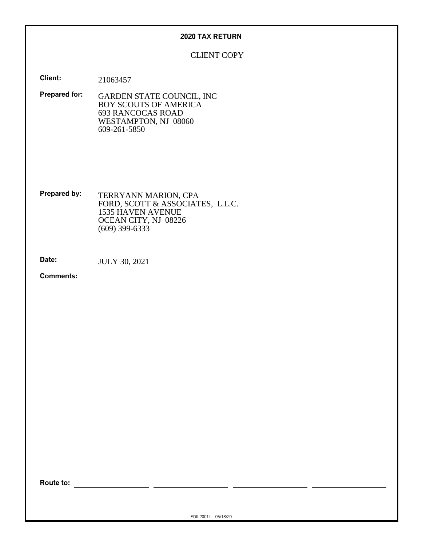#### **2020 TAX RETURN**

# CLIENT COPY

**Client:** 21063457

**Prepared for:** GARDEN STATE COUNCIL, INC BOY SCOUTS OF AMERICA 693 RANCOCAS ROAD WESTAMPTON, NJ 08060 609-261-5850

**Prepared by:** TERRYANN MARION, CPA FORD, SCOTT & ASSOCIATES, L.L.C. 1535 HAVEN AVENUE OCEAN CITY, NJ 08226 (609) 399-6333

**Date:** JULY 30, 2021

**Comments:**

**Route to:**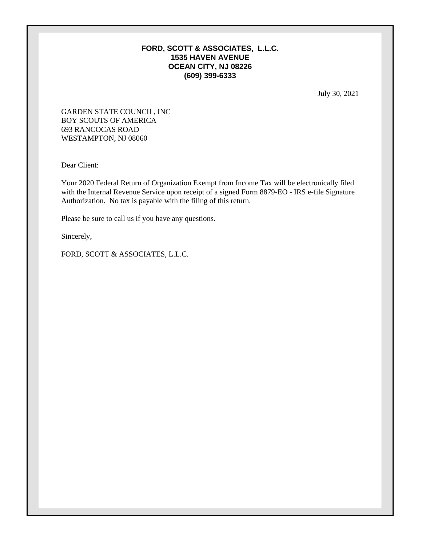# **FORD, SCOTT & ASSOCIATES, L.L.C. 1535 HAVEN AVENUE OCEAN CITY, NJ 08226 (609) 399-6333**

July 30, 2021

GARDEN STATE COUNCIL, INC BOY SCOUTS OF AMERICA 693 RANCOCAS ROAD WESTAMPTON, NJ 08060

Dear Client:

Your 2020 Federal Return of Organization Exempt from Income Tax will be electronically filed with the Internal Revenue Service upon receipt of a signed Form 8879-EO - IRS e-file Signature Authorization. No tax is payable with the filing of this return.

Please be sure to call us if you have any questions.

Sincerely,

FORD, SCOTT & ASSOCIATES, L.L.C.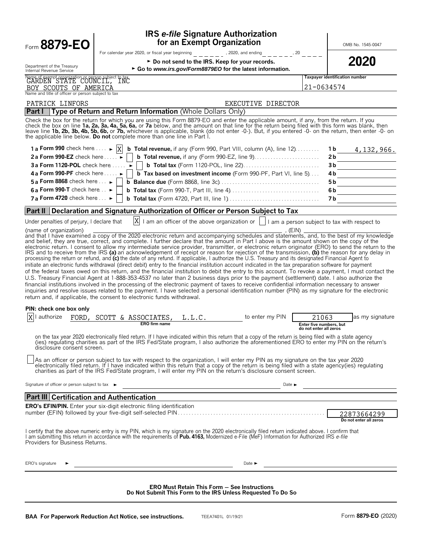| Form 8879-EO                                                                                               | <b>IRS e-file Signature Authorization</b><br>for an Exempt Organization                                                                                                                                                                                                                                                                                                                                                                                                                                                                                                                                                                                                                                                                                                                                                                                                                                                                                                                                                                                                                                                                                                                                                                                                                                                                                                              |                                                   | OMB No. 1545-0047                            |
|------------------------------------------------------------------------------------------------------------|--------------------------------------------------------------------------------------------------------------------------------------------------------------------------------------------------------------------------------------------------------------------------------------------------------------------------------------------------------------------------------------------------------------------------------------------------------------------------------------------------------------------------------------------------------------------------------------------------------------------------------------------------------------------------------------------------------------------------------------------------------------------------------------------------------------------------------------------------------------------------------------------------------------------------------------------------------------------------------------------------------------------------------------------------------------------------------------------------------------------------------------------------------------------------------------------------------------------------------------------------------------------------------------------------------------------------------------------------------------------------------------|---------------------------------------------------|----------------------------------------------|
| Department of the Treasury<br>Internal Revenue Service                                                     | For calendar year 2020, or fiscal year beginning $\frac{1}{2}$ = $\frac{1}{2}$ = $\frac{1}{2}$ , 2020, and ending<br>► Do not send to the IRS. Keep for your records.<br>► Go to www.irs.gov/Form8879EO for the latest information.                                                                                                                                                                                                                                                                                                                                                                                                                                                                                                                                                                                                                                                                                                                                                                                                                                                                                                                                                                                                                                                                                                                                                  | $     ^{20}$ $-$                                  | 2020                                         |
| Name of exempt organization or person subject to tax<br>GARDEN STATE COUNCIL, INC<br>BOY SCOUTS OF AMERICA |                                                                                                                                                                                                                                                                                                                                                                                                                                                                                                                                                                                                                                                                                                                                                                                                                                                                                                                                                                                                                                                                                                                                                                                                                                                                                                                                                                                      |                                                   | Taxpayer identification number<br>21-0634574 |
| Name and title of officer or person subject to tax                                                         |                                                                                                                                                                                                                                                                                                                                                                                                                                                                                                                                                                                                                                                                                                                                                                                                                                                                                                                                                                                                                                                                                                                                                                                                                                                                                                                                                                                      |                                                   |                                              |
| PATRICK LINFORS                                                                                            | EXECUTIVE DIRECTOR                                                                                                                                                                                                                                                                                                                                                                                                                                                                                                                                                                                                                                                                                                                                                                                                                                                                                                                                                                                                                                                                                                                                                                                                                                                                                                                                                                   |                                                   |                                              |
| <b>Part I</b>                                                                                              | Type of Return and Return Information (Whole Dollars Only)<br>Check the box for the return for which you are using this Form 8879-EO and enter the applicable amount, if any, from the return. If you<br>check the box on line 1a, 2a, 3a, 4a, 5a, 6a, or 7a below, and the amount on that line for the return being filed with this form was blank, then<br>leave line 1b, 2b, 3b, 4b, 5b, 6b, or 7b, whichever is applicable, blank (do not enter -0-). But, if you entered -0- on the return, then enter -0- on<br>the applicable line below. Do not complete more than one line in Part I.                                                                                                                                                                                                                                                                                                                                                                                                                                                                                                                                                                                                                                                                                                                                                                                       |                                                   |                                              |
| 1 a Form 990 check here $\dots \rightarrow  X $                                                            | <b>b</b> Total revenue, if any (Form 990, Part VIII, column (A), line $12$ )                                                                                                                                                                                                                                                                                                                                                                                                                                                                                                                                                                                                                                                                                                                                                                                                                                                                                                                                                                                                                                                                                                                                                                                                                                                                                                         |                                                   | 1 b<br><u>4,132,966.</u>                     |
| 2a Form 990-EZ check here                                                                                  |                                                                                                                                                                                                                                                                                                                                                                                                                                                                                                                                                                                                                                                                                                                                                                                                                                                                                                                                                                                                                                                                                                                                                                                                                                                                                                                                                                                      |                                                   | 2 <sub>b</sub>                               |
| 3a Form 1120-POL check here $\dots$ $\blacktriangleright$                                                  |                                                                                                                                                                                                                                                                                                                                                                                                                                                                                                                                                                                                                                                                                                                                                                                                                                                                                                                                                                                                                                                                                                                                                                                                                                                                                                                                                                                      |                                                   | 3b                                           |
| 4 a Form 990-PF check here $\dots$                                                                         | <b>b</b> Tax based on investment income (Form 990-PF, Part VI, line 5)                                                                                                                                                                                                                                                                                                                                                                                                                                                                                                                                                                                                                                                                                                                                                                                                                                                                                                                                                                                                                                                                                                                                                                                                                                                                                                               |                                                   | 4 b                                          |
| 5 a Form 8868 check here $\ldots \blacktriangleright$                                                      |                                                                                                                                                                                                                                                                                                                                                                                                                                                                                                                                                                                                                                                                                                                                                                                                                                                                                                                                                                                                                                                                                                                                                                                                                                                                                                                                                                                      |                                                   | 5 b                                          |
| 6a Form 990-T check here                                                                                   |                                                                                                                                                                                                                                                                                                                                                                                                                                                                                                                                                                                                                                                                                                                                                                                                                                                                                                                                                                                                                                                                                                                                                                                                                                                                                                                                                                                      |                                                   | 6b                                           |
| 7 a Form 4720 check here $\ldots \blacktriangleright$                                                      |                                                                                                                                                                                                                                                                                                                                                                                                                                                                                                                                                                                                                                                                                                                                                                                                                                                                                                                                                                                                                                                                                                                                                                                                                                                                                                                                                                                      |                                                   | 7 b                                          |
| Part II                                                                                                    | Declaration and Signature Authorization of Officer or Person Subject to Tax                                                                                                                                                                                                                                                                                                                                                                                                                                                                                                                                                                                                                                                                                                                                                                                                                                                                                                                                                                                                                                                                                                                                                                                                                                                                                                          |                                                   |                                              |
| Under penalties of perjury, I declare that                                                                 | $ X $ I am an officer of the above organization or $\ $ I am a person subject to tax with respect to                                                                                                                                                                                                                                                                                                                                                                                                                                                                                                                                                                                                                                                                                                                                                                                                                                                                                                                                                                                                                                                                                                                                                                                                                                                                                 |                                                   |                                              |
| PIN: check one box only<br>authorize                                                                       | electronic return. I consent to allow my intermediate service provider, transmitter, or electronic return originator (ERO) to send the return to the<br>IRS and to receive from the IRS (a) an acknowledgement of receipt or reason for rejection of the transmission, (b) the reason for any delay in<br>processing the return or refund, and (c) the date of any refund. If applicable, I authorize the U.S. Treasury and its designated Financial Agent to<br>initiate an electronic funds withdrawal (direct debit) entry to the financial institution account indicated in the tax preparation software for payment<br>of the federal taxes owed on this return, and the financial institution to debit the entry to this account. To revoke a payment, I must contact the<br>U.S. Treasury Financial Agent at 1-888-353-4537 no later than 2 business days prior to the payment (settlement) date. I also authorize the<br>financial institutions involved in the processing of the electronic payment of taxes to receive confidential information necessary to answer<br>inquiries and resolve issues related to the payment. I have selected a personal identification number (PIN) as my signature for the electronic<br>return and, if applicable, the consent to electronic funds withdrawal.<br>FORD, SCOTT & ASSOCIATES,<br>L.L.C.<br>to enter my PIN<br>ERO firm name | 21063                                             | as my signature                              |
| disclosure consent screen.                                                                                 | on the tax year 2020 electronically filed return. If I have indicated within this return that a copy of the return is being filed with a state agency<br>(ies) regulating charities as part of the IRS Fed/State program, I also authorize the aforementioned ERO to enter my PIN on the return's                                                                                                                                                                                                                                                                                                                                                                                                                                                                                                                                                                                                                                                                                                                                                                                                                                                                                                                                                                                                                                                                                    | Enter five numbers, but<br>do not enter all zero: |                                              |
|                                                                                                            | As an officer or person subject to tax with respect to the organization, I will enter my PIN as my signature on the tax year 2020<br>electronically filed return. If I have indicated within this return that a copy of the return is being filed with a state agency(ies) regulating<br>charities as part of the IRS Fed/State program, I will enter my PIN on the return's disclosure consent screen.                                                                                                                                                                                                                                                                                                                                                                                                                                                                                                                                                                                                                                                                                                                                                                                                                                                                                                                                                                              |                                                   |                                              |
| Signature of officer or person subject to tax $\blacktriangleright$                                        |                                                                                                                                                                                                                                                                                                                                                                                                                                                                                                                                                                                                                                                                                                                                                                                                                                                                                                                                                                                                                                                                                                                                                                                                                                                                                                                                                                                      | Date $\blacktriangleright$                        |                                              |
| <b>Part III Certification and Authentication</b>                                                           |                                                                                                                                                                                                                                                                                                                                                                                                                                                                                                                                                                                                                                                                                                                                                                                                                                                                                                                                                                                                                                                                                                                                                                                                                                                                                                                                                                                      |                                                   |                                              |
|                                                                                                            | <b>ERO's EFIN/PIN.</b> Enter your six-digit electronic filing identification                                                                                                                                                                                                                                                                                                                                                                                                                                                                                                                                                                                                                                                                                                                                                                                                                                                                                                                                                                                                                                                                                                                                                                                                                                                                                                         |                                                   |                                              |
|                                                                                                            |                                                                                                                                                                                                                                                                                                                                                                                                                                                                                                                                                                                                                                                                                                                                                                                                                                                                                                                                                                                                                                                                                                                                                                                                                                                                                                                                                                                      |                                                   | 22873664299<br>Do not enter all zeros        |
|                                                                                                            |                                                                                                                                                                                                                                                                                                                                                                                                                                                                                                                                                                                                                                                                                                                                                                                                                                                                                                                                                                                                                                                                                                                                                                                                                                                                                                                                                                                      |                                                   |                                              |
| Providers for Business Returns.                                                                            | I certify that the above numeric entry is my PIN, which is my signature on the 2020 electronically filed return indicated above. I confirm that<br>I am submitting this return in accordance with the requirements of Pub. 4163, Modernized e-File (MeF) Information for Authorized IRS e-file                                                                                                                                                                                                                                                                                                                                                                                                                                                                                                                                                                                                                                                                                                                                                                                                                                                                                                                                                                                                                                                                                       |                                                   |                                              |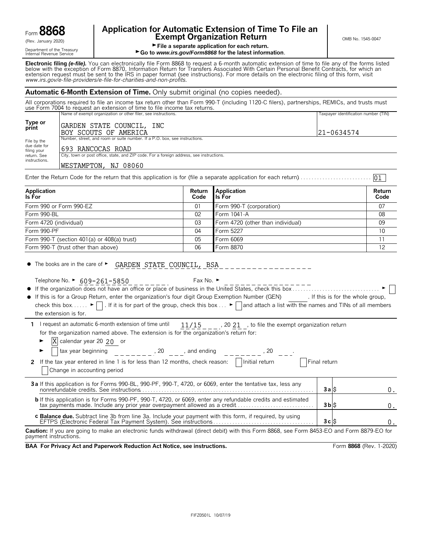| Form 8868 |  |
|-----------|--|
|           |  |

Department of the Treasury<br>Internal Revenue Service

# **Application for Automatic Extension of Time To File an Form B8668 Exempt Organization Return** CRET **EXEMPT ON B No. 1545-0047**

01

File a separate application for each return.

#### ► Go to *www.irs.gov/Form8868* for the latest information.

**Electronic filing** *(e-file).* You can electronically file Form 8868 to request a 6-month automatic extension of time to file any of the forms listed below with the exception of Form 8870, Information Return for Transfers Associated With Certain Personal Benefit Contracts, for which an extension request must be sent to the IRS in paper format (see instructions). For more details on the electronic filing of this form, visit *www.irs.gov/e*-*file*-*providers/e-file-for-charities-and-non-profits*.

#### **Automatic 6-Month Extension of Time.** Only submit original (no copies needed).

All corporations required to file an income tax return other than Form 990-T (including 1120-C filers), partnerships, REMICs, and trusts must use Form 7004 to request an extension of time to file income tax returns. Name of exempt organization or other filer, see instructions. Taxpayer identification number (TIN)

| Type or<br>print                           | GARDEN STATE COUNCIL, INC<br>BOY SCOUTS OF AMERICA                                                               | $121 - 0634574$ |
|--------------------------------------------|------------------------------------------------------------------------------------------------------------------|-----------------|
| File by the<br>due date for<br>filing your | Number, street, and room or suite number. If a P.O. box, see instructions.<br>1693 RANCOCAS ROAD                 |                 |
| return. See<br>instructions.               | City, town or post office, state, and ZIP code. For a foreign address, see instructions.<br>WESTAMPTON, NJ 08060 |                 |

Enter the Return Code for the return that this application is for (file a separate application for each return). . . . . . . . . . . . . . . . . . . . . . . . . . .

| Application<br>Is For                               | Return<br>Code | <b>Application</b><br><b>I</b> Is For | Return<br>Code  |
|-----------------------------------------------------|----------------|---------------------------------------|-----------------|
| Form 990 or Form 990-EZ                             | 01             | Form 990-T (corporation)              | 07              |
| Form 990-BL                                         | 02             | Form 1041-A                           | 08              |
| Form 4720 (individual)                              | 03             | Form 4720 (other than individual)     | 09              |
| Form 990-PF                                         | 04             | Form 5227                             | 10 <sup>1</sup> |
| Form $990 - T$ (section $401(a)$ or $408(a)$ trust) | 05             | Form 6069                             |                 |
| Form 990-T (trust other than above)                 | 06             | Form 8870                             | 12              |

 $\bullet$  The books are in the care of  $\blacktriangleright$ GARDEN STATE COUNCIL, BSA

Telephone No. ►  $\underline{609-261-5850}$  \_ \_ \_ \_ \_ \_ \_ \_ \_ Fax No. ►

the extension is for.

| • If this is for a Group Return, enter the organization's four digit Group Exemption Number (GEN)                                                                              | . If this is for the whole group, |
|--------------------------------------------------------------------------------------------------------------------------------------------------------------------------------|-----------------------------------|
| check this box $\blacktriangleright \Box$ . If it is for part of the group, check this box $\blacktriangleright \Box$ and attach a list with the names and TINs of all members |                                   |

1 I request an automatic 6-month extension of time until  $11/15$ , 20 21, to file the exempt organization return for the organization named above. The extension is for the organization's return for:  $11/15$ 

 $\blacktriangleright$   $\mathbf{X}$  calendar year 20 20 or

| tax year beginning<br>. 20<br>, and ending<br>20                                                                                |              |  |
|---------------------------------------------------------------------------------------------------------------------------------|--------------|--|
| 2 If the tax year entered in line 1 is for less than 12 months, check reason:     Initial return<br>Change in accounting period | Final return |  |
|                                                                                                                                 | 3alS         |  |
|                                                                                                                                 | $3b$ $s$     |  |
|                                                                                                                                 | 3clS         |  |

**Caution:** If you are going to make an electronic funds withdrawal (direct debit) with this Form 8868, see Form 8453-EO and Form 8879-EO for payment instructions.

**BAA For Privacy Act and Paperwork Reduction Act Notice, see instructions. Form 8868 (Rev. 1-2020)**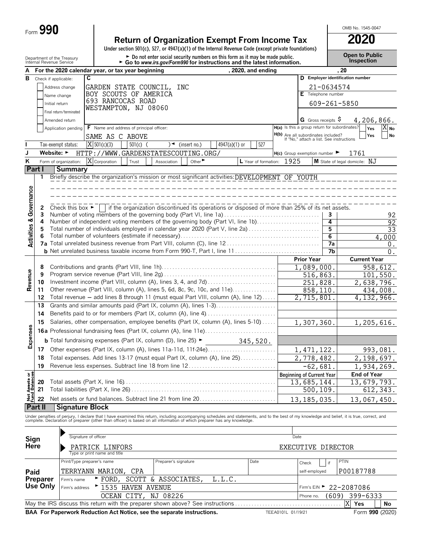| Form $\boldsymbol{J}$ | 990 |
|-----------------------|-----|
|-----------------------|-----|

# **Return of Organization Exempt From Income Tax** 2020<br>
Under section 501(c), 527, or 4947(a)(1) of the Internal Revenue Code (except private foundations)

Department of the Treasury **and County of the Treasury and County of the County of Science County of County of County of the Donot enter social security numbers on this form as it may be made public. County the Treasury C** 

OMB No. 1545-0047

| А                                |                                |                                      | For the 2020 calendar year, or tax year beginning                                                                                                                                                                                 |                                                                                                 |               | , 2020, and ending        |                    |                                                                                 | . 20            |                                  |                   |  |
|----------------------------------|--------------------------------|--------------------------------------|-----------------------------------------------------------------------------------------------------------------------------------------------------------------------------------------------------------------------------------|-------------------------------------------------------------------------------------------------|---------------|---------------------------|--------------------|---------------------------------------------------------------------------------|-----------------|----------------------------------|-------------------|--|
| в                                | Check if applicable:           |                                      | C.                                                                                                                                                                                                                                |                                                                                                 |               |                           |                    |                                                                                 |                 | D Employer identification number |                   |  |
|                                  |                                | Address change                       | GARDEN STATE COUNCIL,                                                                                                                                                                                                             | INC                                                                                             |               |                           |                    |                                                                                 | 21-0634574      |                                  |                   |  |
|                                  |                                | Name change                          | BOY SCOUTS OF AMERICA                                                                                                                                                                                                             |                                                                                                 |               |                           |                    | E Telephone number                                                              |                 |                                  |                   |  |
|                                  | Initial return                 |                                      | 693 RANCOCAS ROAD                                                                                                                                                                                                                 |                                                                                                 |               |                           |                    |                                                                                 | 609-261-5850    |                                  |                   |  |
|                                  |                                | Final return/terminated              | WESTAMPTON, NJ 08060                                                                                                                                                                                                              |                                                                                                 |               |                           |                    |                                                                                 |                 |                                  |                   |  |
|                                  |                                | Amended return                       |                                                                                                                                                                                                                                   |                                                                                                 |               |                           |                    | G Gross receipts \$                                                             |                 | 4,206,866.                       |                   |  |
|                                  |                                | Application pending                  | F Name and address of principal officer:                                                                                                                                                                                          |                                                                                                 |               |                           |                    | H(a) Is this a group return for subordinates?                                   |                 | Yes                              | $X_{\mathsf{No}}$ |  |
|                                  |                                |                                      | SAME AS C ABOVE                                                                                                                                                                                                                   |                                                                                                 |               |                           |                    |                                                                                 |                 | Yes                              | No                |  |
|                                  |                                |                                      | $\overline{X}$ 501(c)(3)                                                                                                                                                                                                          |                                                                                                 |               | 527                       |                    | H(b) Are all subordinates included?<br>If "No," attach a list. See instructions |                 |                                  |                   |  |
|                                  |                                | Tax-exempt status:                   | $501(c)$ (                                                                                                                                                                                                                        | $\sqrt{ }$ (insert no.)                                                                         | 4947(a)(1) or |                           |                    |                                                                                 |                 |                                  |                   |  |
| J                                | Website: $\blacktriangleright$ |                                      | HTTP://WWW.GARDENSTATESCOUTING.ORG/                                                                                                                                                                                               |                                                                                                 |               |                           |                    | $H(c)$ Group exemption number $\blacktriangleright$                             |                 | 1761                             |                   |  |
| Κ                                |                                | Form of organization:                | $\overline{X}$ Corporation<br>Trust                                                                                                                                                                                               | Other $\blacktriangleright$<br>Association                                                      |               | L Year of formation: 1925 |                    |                                                                                 |                 | M State of legal domicile: N.T   |                   |  |
| Part I                           |                                | <b>Summary</b>                       |                                                                                                                                                                                                                                   |                                                                                                 |               |                           |                    |                                                                                 |                 |                                  |                   |  |
|                                  | 1                              |                                      | Briefly describe the organization's mission or most significant activities: DEVELOPMENT OF YOUTH                                                                                                                                  |                                                                                                 |               |                           |                    |                                                                                 |                 |                                  |                   |  |
|                                  |                                |                                      |                                                                                                                                                                                                                                   |                                                                                                 |               |                           |                    |                                                                                 |                 |                                  |                   |  |
| Governance                       |                                |                                      |                                                                                                                                                                                                                                   |                                                                                                 |               |                           |                    |                                                                                 |                 |                                  |                   |  |
|                                  | 2                              | Check this box $\blacktriangleright$ |                                                                                                                                                                                                                                   | if the organization discontinued its operations or disposed of more than 25% of its net assets. |               |                           |                    |                                                                                 |                 |                                  |                   |  |
|                                  | 3                              |                                      | Number of voting members of the governing body (Part VI, line 1a)                                                                                                                                                                 |                                                                                                 |               |                           |                    |                                                                                 | 3               |                                  | 92                |  |
|                                  | 4                              |                                      | Number of independent voting members of the governing body (Part VI, line 1b)                                                                                                                                                     |                                                                                                 |               |                           |                    |                                                                                 | 4               |                                  | 92                |  |
|                                  | 5                              |                                      | Total number of individuals employed in calendar year 2020 (Part V, line 2a)                                                                                                                                                      |                                                                                                 |               |                           |                    |                                                                                 | 5               |                                  | $\overline{33}$   |  |
| <b>Activities &amp;</b>          | 6                              |                                      |                                                                                                                                                                                                                                   |                                                                                                 |               |                           |                    |                                                                                 | $\overline{6}$  |                                  | 4,000             |  |
|                                  |                                |                                      |                                                                                                                                                                                                                                   |                                                                                                 |               |                           |                    |                                                                                 | $\overline{7a}$ |                                  | 0.                |  |
|                                  |                                |                                      |                                                                                                                                                                                                                                   |                                                                                                 |               |                           |                    |                                                                                 | 7b              |                                  | 0.                |  |
|                                  |                                |                                      |                                                                                                                                                                                                                                   |                                                                                                 |               |                           |                    | <b>Prior Year</b>                                                               |                 | <b>Current Year</b>              |                   |  |
|                                  | 8                              |                                      |                                                                                                                                                                                                                                   |                                                                                                 |               |                           |                    | 1,089,000.                                                                      |                 |                                  | 958,612.          |  |
| Revenue                          | 9                              |                                      |                                                                                                                                                                                                                                   |                                                                                                 |               |                           |                    | 516,863.                                                                        |                 |                                  | 101,550.          |  |
|                                  | 10                             |                                      | Investment income (Part VIII, column (A), lines 3, 4, and 7d)                                                                                                                                                                     |                                                                                                 |               |                           |                    | $\overline{251}$ , 828.                                                         |                 | 2,638,796.                       |                   |  |
|                                  | 11                             |                                      | Other revenue (Part VIII, column (A), lines 5, 6d, 8c, 9c, 10c, and 11e)                                                                                                                                                          |                                                                                                 |               |                           |                    | 858,110.                                                                        |                 |                                  | 434,008.          |  |
|                                  | 12                             |                                      | Total revenue - add lines 8 through 11 (must equal Part VIII, column (A), line 12)                                                                                                                                                |                                                                                                 |               |                           |                    | 2,715,801                                                                       |                 | 4, 132, 966.                     |                   |  |
|                                  | 13                             |                                      | Grants and similar amounts paid (Part IX, column (A), lines 1-3)                                                                                                                                                                  |                                                                                                 |               |                           |                    |                                                                                 |                 |                                  |                   |  |
|                                  | 14                             |                                      | Benefits paid to or for members (Part IX, column (A), line 4)                                                                                                                                                                     |                                                                                                 |               |                           |                    |                                                                                 |                 |                                  |                   |  |
|                                  | 15                             |                                      | Salaries, other compensation, employee benefits (Part IX, column (A), lines 5-10)                                                                                                                                                 |                                                                                                 |               |                           |                    | 1,307,360.                                                                      |                 | 1,205,616.                       |                   |  |
|                                  |                                |                                      | 16a Professional fundraising fees (Part IX, column (A), line 11e)                                                                                                                                                                 |                                                                                                 |               |                           |                    |                                                                                 |                 |                                  |                   |  |
| Expenses                         |                                |                                      | <b>b</b> Total fundraising expenses (Part IX, column (D), line 25) $\blacktriangleright$                                                                                                                                          |                                                                                                 |               | 345,520.                  |                    |                                                                                 |                 |                                  |                   |  |
|                                  | 17                             |                                      |                                                                                                                                                                                                                                   |                                                                                                 |               |                           |                    | 1, 471, 122.                                                                    |                 |                                  | 993,081.          |  |
|                                  | 18                             |                                      | Total expenses. Add lines 13-17 (must equal Part IX, column (A), line 25)                                                                                                                                                         |                                                                                                 |               |                           |                    | 2,778,482.                                                                      |                 | 2,198,697.                       |                   |  |
|                                  | 19                             |                                      | Revenue less expenses. Subtract line 18 from line 12                                                                                                                                                                              |                                                                                                 |               |                           | $-62,681.$         |                                                                                 |                 | 1,934,269.                       |                   |  |
| 58                               |                                |                                      |                                                                                                                                                                                                                                   |                                                                                                 |               |                           |                    | <b>Beginning of Current Year</b>                                                |                 | <b>End of Year</b>               |                   |  |
|                                  | 20                             |                                      |                                                                                                                                                                                                                                   |                                                                                                 |               |                           |                    | 13,685,144.                                                                     |                 | 13,679,793.                      |                   |  |
|                                  | 21                             |                                      |                                                                                                                                                                                                                                   |                                                                                                 |               |                           |                    | 500,109.                                                                        |                 |                                  | 612,343.          |  |
| <b>Net Assets</b><br>Fund Balanc | 22                             |                                      | Net assets or fund balances. Subtract line 21 from line 20                                                                                                                                                                        |                                                                                                 |               |                           |                    | 13, 185, 035.                                                                   |                 | 13,067,450.                      |                   |  |
|                                  | Part II                        | <b>Signature Block</b>               |                                                                                                                                                                                                                                   |                                                                                                 |               |                           |                    |                                                                                 |                 |                                  |                   |  |
|                                  |                                |                                      |                                                                                                                                                                                                                                   |                                                                                                 |               |                           |                    |                                                                                 |                 |                                  |                   |  |
|                                  |                                |                                      | Under penalties of perjury, I declare that I have examined this return, including accompanying schedules and statements, and to the best of my knowledge and belief, it is true, correct, and<br>complete. Declaration of prepare |                                                                                                 |               |                           |                    |                                                                                 |                 |                                  |                   |  |
|                                  |                                |                                      |                                                                                                                                                                                                                                   |                                                                                                 |               |                           |                    |                                                                                 |                 |                                  |                   |  |
| Sign                             |                                |                                      | Signature of officer                                                                                                                                                                                                              |                                                                                                 |               |                           |                    | Date                                                                            |                 |                                  |                   |  |
| Here                             |                                |                                      | PATRICK LINFORS                                                                                                                                                                                                                   |                                                                                                 |               |                           |                    | EXECUTIVE DIRECTOR                                                              |                 |                                  |                   |  |
|                                  |                                |                                      | Type or print name and title                                                                                                                                                                                                      |                                                                                                 |               |                           |                    |                                                                                 |                 |                                  |                   |  |
|                                  |                                |                                      | Print/Type preparer's name                                                                                                                                                                                                        | Preparer's signature                                                                            |               | Date                      |                    | Check                                                                           | if              | PTIN                             |                   |  |
| Paid                             |                                |                                      | TERRYANN MARION,<br>CPA                                                                                                                                                                                                           |                                                                                                 |               |                           |                    | self-employed                                                                   |                 | P00187788                        |                   |  |
|                                  | Preparer                       | Firm's name                          | $\blacktriangleright$ FORD,                                                                                                                                                                                                       | SCOTT & ASSOCIATES,                                                                             | L.L.C.        |                           |                    |                                                                                 |                 |                                  |                   |  |
|                                  | <b>Use Only</b>                | Firm's address                       | 1535 HAVEN AVENUE                                                                                                                                                                                                                 |                                                                                                 |               |                           |                    | Firm's $EIN$ $\blacktriangleright$                                              |                 | 22-2087086                       |                   |  |
|                                  |                                |                                      | OCEAN CITY, NJ 08226                                                                                                                                                                                                              |                                                                                                 |               |                           |                    | Phone no.                                                                       | (609)           | 399-6333                         |                   |  |
|                                  |                                |                                      | May the IRS discuss this return with the preparer shown above? See instructions                                                                                                                                                   |                                                                                                 |               |                           | .                  |                                                                                 |                 | X<br>Yes                         | No                |  |
|                                  |                                |                                      | BAA For Paperwork Reduction Act Notice, see the separate instructions.                                                                                                                                                            |                                                                                                 |               |                           | TEEA0101L 01/19/21 |                                                                                 |                 | Form 990 (2020)                  |                   |  |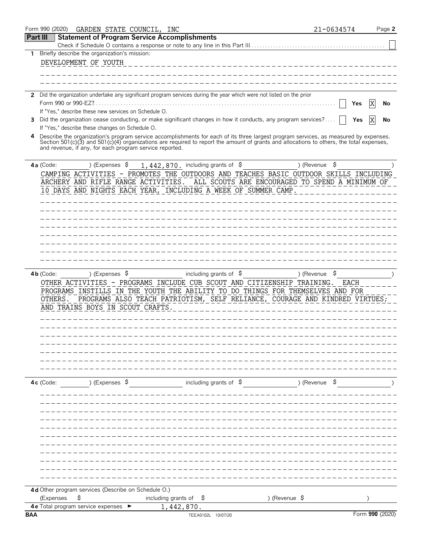|                 | Form 990 (2020)                                                      |                        | GARDEN STATE COUNCIL, INC |                                   |                                                     |                                                                                                                                          |                          | 21-0634574  |                 | Page 2 |
|-----------------|----------------------------------------------------------------------|------------------------|---------------------------|-----------------------------------|-----------------------------------------------------|------------------------------------------------------------------------------------------------------------------------------------------|--------------------------|-------------|-----------------|--------|
| <b>Part III</b> |                                                                      |                        |                           |                                   | <b>Statement of Program Service Accomplishments</b> |                                                                                                                                          |                          |             |                 |        |
|                 |                                                                      |                        |                           |                                   |                                                     |                                                                                                                                          |                          |             |                 |        |
| $\mathbf{1}$    | Briefly describe the organization's mission:<br>DEVELOPMENT OF YOUTH |                        |                           |                                   |                                                     |                                                                                                                                          |                          |             |                 |        |
|                 |                                                                      |                        |                           |                                   |                                                     |                                                                                                                                          |                          |             |                 |        |
|                 |                                                                      |                        |                           |                                   |                                                     |                                                                                                                                          |                          |             |                 |        |
|                 |                                                                      |                        |                           |                                   |                                                     |                                                                                                                                          |                          |             |                 |        |
|                 |                                                                      |                        |                           |                                   |                                                     | 2 Did the organization undertake any significant program services during the year which were not listed on the prior                     |                          |             |                 |        |
|                 |                                                                      |                        |                           |                                   |                                                     |                                                                                                                                          |                          | Yes         |                 | No     |
|                 | If "Yes," describe these new services on Schedule O.                 |                        |                           |                                   |                                                     |                                                                                                                                          |                          |             |                 |        |
| 3               | If "Yes," describe these changes on Schedule O.                      |                        |                           |                                   |                                                     | Did the organization cease conducting, or make significant changes in how it conducts, any program services?                             |                          | Yes         |                 | No     |
| 4               |                                                                      |                        |                           |                                   |                                                     | Describe the organization's program service accomplishments for each of its three largest program services, as measured by expenses.     |                          |             |                 |        |
|                 |                                                                      |                        |                           |                                   |                                                     | Section 501(c)(3) and 501(c)(4) organizations are required to report the amount of grants and allocations to others, the total expenses, |                          |             |                 |        |
|                 | and revenue, if any, for each program service reported.              |                        |                           |                                   |                                                     |                                                                                                                                          |                          |             |                 |        |
|                 | $4a$ (Code:                                                          | ) (Expenses \$         |                           |                                   | 1,442,870. including grants of \$                   |                                                                                                                                          | ) (Revenue               | \$          |                 |        |
|                 |                                                                      |                        |                           |                                   |                                                     | CAMPING ACTIVITIES - PROMOTES THE OUTDOORS AND TEACHES BASIC OUTDOOR SKILLS INCLUDING                                                    |                          |             |                 |        |
|                 |                                                                      |                        |                           |                                   |                                                     | ARCHERY AND RIFLE RANGE ACTIVITIES. ALL SCOUTS ARE ENCOURAGED TO SPEND A MINIMUM OF                                                      |                          |             |                 |        |
|                 |                                                                      |                        |                           |                                   |                                                     | 10 DAYS AND NIGHTS EACH YEAR, INCLUDING A WEEK OF SUMMER CAMP.                                                                           |                          |             |                 |        |
|                 |                                                                      |                        |                           |                                   |                                                     |                                                                                                                                          |                          |             |                 |        |
|                 |                                                                      |                        |                           |                                   |                                                     |                                                                                                                                          |                          |             |                 |        |
|                 |                                                                      |                        |                           |                                   |                                                     |                                                                                                                                          |                          |             |                 |        |
|                 |                                                                      |                        |                           |                                   |                                                     |                                                                                                                                          |                          |             |                 |        |
|                 |                                                                      |                        |                           |                                   |                                                     |                                                                                                                                          |                          |             |                 |        |
|                 |                                                                      |                        |                           |                                   |                                                     |                                                                                                                                          |                          |             |                 |        |
|                 |                                                                      |                        |                           |                                   |                                                     |                                                                                                                                          |                          |             |                 |        |
|                 |                                                                      |                        |                           |                                   |                                                     |                                                                                                                                          |                          |             |                 |        |
|                 | $4b$ (Code:                                                          | ) (Expenses $\sqrt{5}$ |                           |                                   | including grants of $\beta$                         |                                                                                                                                          | ) (Revenue               | -\$         |                 |        |
|                 |                                                                      |                        |                           |                                   |                                                     | OTHER ACTIVITIES - PROGRAMS INCLUDE CUB SCOUT AND CITIZENSHIP TRAINING.                                                                  |                          | <b>EACH</b> |                 |        |
|                 |                                                                      |                        |                           |                                   |                                                     | PROGRAMS INSTILLS IN THE YOUTH THE ABILITY TO DO THINGS FOR THEMSELVES AND FOR                                                           |                          |             |                 |        |
|                 | OTHERS.                                                              |                        |                           |                                   |                                                     | PROGRAMS ALSO TEACH PATRIOTISM, SELF RELIANCE, COURAGE AND KINDRED VIRTUES;                                                              |                          |             |                 |        |
|                 | AND TRAINS BOYS IN SCOUT CRAFTS                                      |                        |                           |                                   |                                                     |                                                                                                                                          |                          |             |                 |        |
|                 |                                                                      |                        |                           |                                   |                                                     |                                                                                                                                          |                          |             |                 |        |
|                 |                                                                      |                        |                           |                                   |                                                     |                                                                                                                                          |                          |             |                 |        |
|                 |                                                                      |                        |                           |                                   |                                                     |                                                                                                                                          |                          |             |                 |        |
|                 |                                                                      |                        |                           |                                   |                                                     |                                                                                                                                          |                          |             |                 |        |
|                 |                                                                      |                        |                           |                                   |                                                     |                                                                                                                                          |                          |             |                 |        |
|                 |                                                                      |                        |                           |                                   |                                                     |                                                                                                                                          |                          |             |                 |        |
|                 |                                                                      |                        |                           |                                   |                                                     |                                                                                                                                          |                          |             |                 |        |
|                 | $4c$ (Code:                                                          | ) (Expenses \$         |                           |                                   | including grants of $\sqrt{5}$                      |                                                                                                                                          | ) (Revenue $\frac{1}{2}$ |             |                 |        |
|                 |                                                                      |                        |                           |                                   |                                                     |                                                                                                                                          |                          |             |                 |        |
|                 |                                                                      |                        |                           |                                   |                                                     |                                                                                                                                          |                          |             |                 |        |
|                 |                                                                      |                        |                           |                                   |                                                     |                                                                                                                                          |                          |             |                 |        |
|                 |                                                                      |                        |                           |                                   |                                                     |                                                                                                                                          |                          |             |                 |        |
|                 |                                                                      |                        |                           |                                   |                                                     |                                                                                                                                          |                          |             |                 |        |
|                 |                                                                      |                        |                           |                                   |                                                     |                                                                                                                                          |                          |             |                 |        |
|                 |                                                                      |                        |                           |                                   |                                                     |                                                                                                                                          |                          |             |                 |        |
|                 |                                                                      |                        |                           |                                   |                                                     |                                                                                                                                          |                          |             |                 |        |
|                 |                                                                      |                        |                           |                                   |                                                     |                                                                                                                                          |                          |             |                 |        |
|                 |                                                                      |                        |                           |                                   |                                                     |                                                                                                                                          |                          |             |                 |        |
|                 |                                                                      |                        |                           |                                   |                                                     |                                                                                                                                          |                          |             |                 |        |
|                 | 4d Other program services (Describe on Schedule O.)                  |                        |                           |                                   |                                                     |                                                                                                                                          |                          |             |                 |        |
|                 | (Expenses<br><b>4e</b> Total program service expenses                | \$                     |                           | including grants of<br>1,442,870. | \$                                                  | ) (Revenue \$                                                                                                                            |                          |             |                 |        |
| BAA             |                                                                      |                        |                           |                                   | TEEA0102L 10/07/20                                  |                                                                                                                                          |                          |             | Form 990 (2020) |        |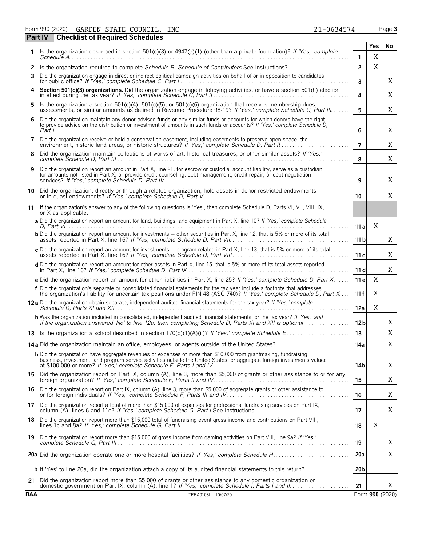Form 990 (2020) Page **3** GARDEN STATE COUNCIL, INC 21-0634574

|            | <b>Checklist of Required Schedules</b><br><b>Part IV</b>                                                                                                                                                                                            |                 |     |                 |
|------------|-----------------------------------------------------------------------------------------------------------------------------------------------------------------------------------------------------------------------------------------------------|-----------------|-----|-----------------|
| 1.         | Is the organization described in section 501(c)(3) or 4947(a)(1) (other than a private foundation)? If 'Yes,' complete                                                                                                                              |                 | Yes | No              |
|            |                                                                                                                                                                                                                                                     | 1               | X   |                 |
| 2          | Is the organization required to complete Schedule B, Schedule of Contributors See instructions?                                                                                                                                                     | $\overline{2}$  | X   |                 |
| 3          | Did the organization engage in direct or indirect political campaign activities on behalf of or in opposition to candidates                                                                                                                         | 3               |     | Χ               |
|            | Section 501(c)(3) organizations. Did the organization engage in lobbying activities, or have a section 501(h) election in effect during the tax year? If 'Yes,' complete Schedule C, Part II.                                                       | 4               |     | Χ               |
| 5          | Is the organization a section 501(c)(4), 501(c)(5), or 501(c)(6) organization that receives membership dues, assessments, or similar amounts as defined in Revenue Procedure 98-19? If 'Yes,' complete Schedule C, Part III                         | 5               |     | Χ               |
| 6          | Did the organization maintain any donor advised funds or any similar funds or accounts for which donors have the right<br>to provide advice on the distribution or investment of amounts in such funds or accounts? If 'Yes,' complete Schedule D,  | 6               |     | Χ               |
| 7          | Did the organization receive or hold a conservation easement, including easements to preserve open space, the                                                                                                                                       | $\overline{7}$  |     | Χ               |
| 8          | Did the organization maintain collections of works of art, historical treasures, or other similar assets? If 'Yes,'                                                                                                                                 | 8               |     | X               |
| 9          | Did the organization report an amount in Part X, line 21, for escrow or custodial account liability, serve as a custodian<br>for amounts not listed in Part X; or provide credit counseling, debt management, credit repair, or debt negotiation    | 9               |     | X               |
| 10         | Did the organization, directly or through a related organization, hold assets in donor-restricted endowments                                                                                                                                        | 10              |     | X               |
| 11         | If the organization's answer to any of the following questions is 'Yes', then complete Schedule D, Parts VI, VII, VIII, IX,<br>or X as applicable.                                                                                                  |                 |     |                 |
|            | a Did the organization report an amount for land, buildings, and equipment in Part X, line 10? If 'Yes,' complete Schedule                                                                                                                          | 11a             | X   |                 |
|            | <b>b</b> Did the organization report an amount for investments – other securities in Part X, line 12, that is 5% or more of its total                                                                                                               | 11 <sub>b</sub> |     | X               |
|            | c Did the organization report an amount for investments - program related in Part X, line 13, that is 5% or more of its total                                                                                                                       | 11c             |     | Χ               |
|            | d Did the organization report an amount for other assets in Part X, line 15, that is 5% or more of its total assets reported                                                                                                                        | 11d             |     | X               |
|            | e Did the organization report an amount for other liabilities in Part X, line 25? If 'Yes,' complete Schedule D, Part X                                                                                                                             | 11 e            | X   |                 |
|            | f Did the organization's separate or consolidated financial statements for the tax year include a footnote that addresses<br>the organization's liability for uncertain tax positions under FIN 48 (ASC 740)? If 'Yes,' complete Schedule D, Part X | 11 f            | X   |                 |
|            | 12a Did the organization obtain separate, independent audited financial statements for the tax year? If 'Yes,' complete                                                                                                                             | 12a             | X   |                 |
|            | <b>b</b> Was the organization included in consolidated, independent audited financial statements for the tax year? If 'Yes,' and<br>if the organization answered 'No' to line 12a, then completing Schedule D, Parts XI and XII is optional         | 12 <sub>b</sub> |     | Χ               |
|            |                                                                                                                                                                                                                                                     | 13              |     | X               |
|            | 14a Did the organization maintain an office, employees, or agents outside of the United States?                                                                                                                                                     | 14a             |     | X               |
|            | <b>b</b> Did the organization have aggregate revenues or expenses of more than \$10,000 from grantmaking, fundraising,<br>business, investment, and program service activities outside the United States, or aggregate foreign investments valued   | 14b             |     | X               |
|            | 15 Did the organization report on Part IX, column (A), line 3, more than \$5,000 of grants or other assistance to or for any foreign organization? If 'Yes,' complete Schedule F, Parts II and IV                                                   | 15              |     | X               |
|            | 16 Did the organization report on Part IX, column (A), line 3, more than \$5,000 of aggregate grants or other assistance to<br>or for foreign individuals? If 'Yes,' complete Schedule F, Parts III and IV                                          | 16              |     | Χ               |
|            | 17 Did the organization report a total of more than \$15,000 of expenses for professional fundraising services on Part IX,<br>column (A), lines 6 and 11e? If 'Yes,' complete Schedule G, Part I See instructions                                   | 17              |     | Χ               |
|            | 18 Did the organization report more than \$15,000 total of fundraising event gross income and contributions on Part VIII,                                                                                                                           | 18              | Χ   |                 |
|            | 19 Did the organization report more than \$15,000 of gross income from gaming activities on Part VIII, line 9a? If 'Yes,'                                                                                                                           | 19              |     | X               |
|            |                                                                                                                                                                                                                                                     | 20a             |     | Χ               |
|            | <b>b</b> If 'Yes' to line 20a, did the organization attach a copy of its audited financial statements to this return?                                                                                                                               | 20 <sub>b</sub> |     |                 |
|            | 21 Did the organization report more than \$5,000 of grants or other assistance to any domestic organization or                                                                                                                                      | 21              |     | X               |
| <b>BAA</b> | TEEA0103L 10/07/20                                                                                                                                                                                                                                  |                 |     | Form 990 (2020) |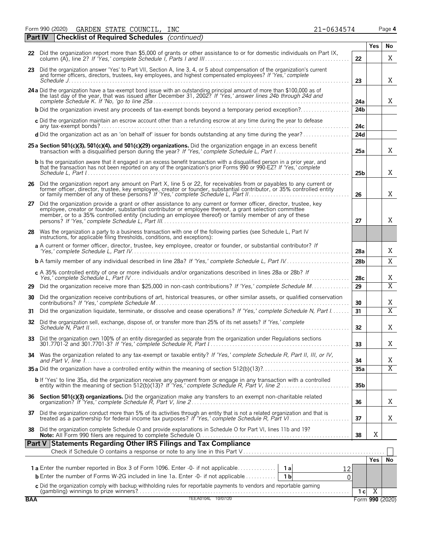Form 990 (2020) Page **4** GARDEN STATE COUNCIL, INC 21-0634574

|            | Part IV | <b>Checklist of Required Schedules</b> (continued)                                                                                                                                                                                                                                                                                    |                 |                |                         |
|------------|---------|---------------------------------------------------------------------------------------------------------------------------------------------------------------------------------------------------------------------------------------------------------------------------------------------------------------------------------------|-----------------|----------------|-------------------------|
|            |         |                                                                                                                                                                                                                                                                                                                                       |                 | Yes            | No                      |
|            |         | 22 Did the organization report more than \$5,000 of grants or other assistance to or for domestic individuals on Part IX,                                                                                                                                                                                                             | 22              |                | X                       |
|            |         | 23 Did the organization answer 'Yes' to Part VII, Section A, line 3, 4, or 5 about compensation of the organization's current<br>and former officers, directors, trustees, key employees, and highest compensated employees? If 'Yes,' complete                                                                                       | 23              |                | X                       |
|            |         | 24 a Did the organization have a tax-exempt bond issue with an outstanding principal amount of more than \$100,000 as of the last day of the year, that was issued after December 31, 2002? If 'Yes,' answer lines 24b through                                                                                                        | 24a             |                | X                       |
|            |         | <b>b</b> Did the organization invest any proceeds of tax-exempt bonds beyond a temporary period exception?                                                                                                                                                                                                                            | 24 <sub>b</sub> |                |                         |
|            |         | c Did the organization maintain an escrow account other than a refunding escrow at any time during the year to defease                                                                                                                                                                                                                | 24с             |                |                         |
|            |         | d Did the organization act as an 'on behalf of' issuer for bonds outstanding at any time during the year?                                                                                                                                                                                                                             | 24d             |                |                         |
|            |         | 25 a Section 501(c)(3), 501(c)(4), and 501(c)(29) organizations. Did the organization engage in an excess benefit                                                                                                                                                                                                                     | 25a             |                | X                       |
|            |         | <b>b</b> Is the organization aware that it engaged in an excess benefit transaction with a disqualified person in a prior year, and<br>that the transaction has not been reported on any of the organization's prior Forms 990 or 990-EZ? If 'Yes,' complete                                                                          | 25b             |                | X                       |
|            |         | 26 Did the organization report any amount on Part X, line 5 or 22, for receivables from or payables to any current or former officer, director, trustee, key employee, creator or founder, substantial contributor, or 35% con                                                                                                        | 26              |                | Χ                       |
| 27         |         | Did the organization provide a grant or other assistance to any current or former officer, director, trustee, key<br>employee, creator or founder, substantial contributor or employee thereof, a grant selection committee<br>member, or to a 35% controlled entity (including an employee thereof) or family member of any of these | 27              |                | Χ                       |
| 28         |         | Was the organization a party to a business transaction with one of the following parties (see Schedule L, Part IV<br>instructions, for applicable filing thresholds, conditions, and exceptions):                                                                                                                                     |                 |                |                         |
|            |         | a A current or former officer, director, trustee, key employee, creator or founder, or substantial contributor? If                                                                                                                                                                                                                    | 28a             |                | Χ                       |
|            |         | <b>b</b> A family member of any individual described in line 28a? If 'Yes,' complete Schedule L, Part IV                                                                                                                                                                                                                              | 28 <sub>b</sub> |                | X                       |
|            |         | c A 35% controlled entity of one or more individuals and/or organizations described in lines 28a or 28b? If                                                                                                                                                                                                                           | 28c             |                | Χ                       |
| 29         |         | Did the organization receive more than \$25,000 in non-cash contributions? If 'Yes,' complete Schedule M                                                                                                                                                                                                                              | 29              |                | $\overline{\text{X}}$   |
| 30         |         | Did the organization receive contributions of art, historical treasures, or other similar assets, or qualified conservation                                                                                                                                                                                                           | 30              |                | Χ                       |
| 31         |         | Did the organization liquidate, terminate, or dissolve and cease operations? If 'Yes,' complete Schedule N, Part I                                                                                                                                                                                                                    | 31              |                | $\overline{\mathrm{X}}$ |
| 32         |         | Did the organization sell, exchange, dispose of, or transfer more than 25% of its net assets? If 'Yes,' complete                                                                                                                                                                                                                      | 32 <sub>2</sub> |                | Χ                       |
| 33         |         | Did the organization own 100% of an entity disregarded as separate from the organization under Regulations sections                                                                                                                                                                                                                   | 33              |                | Χ                       |
| 34         |         | Was the organization related to any tax-exempt or taxable entity? If 'Yes,' complete Schedule R, Part II, III, or IV,                                                                                                                                                                                                                 | 34              |                | Χ                       |
|            |         |                                                                                                                                                                                                                                                                                                                                       | 35a             |                | $\overline{X}$          |
|            |         | b If 'Yes' to line 35a, did the organization receive any payment from or engage in any transaction with a controlled<br>entity within the meaning of section 512(b)(13)? If 'Yes,' complete Schedule R, Part V, line 2                                                                                                                | 35 <sub>b</sub> |                |                         |
|            |         |                                                                                                                                                                                                                                                                                                                                       | 36              |                | Χ                       |
| 37         |         | Did the organization conduct more than 5% of its activities through an entity that is not a related organization and that is treated as a partnership for federal income tax purposes? If 'Yes,' complete Schedule R, Part VI.                                                                                                        | 37              |                | Χ                       |
| 38         |         | Did the organization complete Schedule O and provide explanations in Schedule O for Part VI, lines 11b and 19?                                                                                                                                                                                                                        | 38              | X              |                         |
|            |         | Part V Statements Regarding Other IRS Filings and Tax Compliance                                                                                                                                                                                                                                                                      |                 |                |                         |
|            |         |                                                                                                                                                                                                                                                                                                                                       |                 | <b>Yes</b>     | No                      |
|            |         | 12                                                                                                                                                                                                                                                                                                                                    |                 |                |                         |
|            |         | <b>b</b> Enter the number of Forms W-2G included in line 1a. Enter -0- if not applicable<br>1 <sub>b</sub><br>0                                                                                                                                                                                                                       |                 |                |                         |
|            |         |                                                                                                                                                                                                                                                                                                                                       |                 | $\overline{X}$ |                         |
| <b>BAA</b> |         | C Did the organization comply with backup withholding rules for reportable payments to vendors and reportable gaming<br>(gambling) winnings to prize winners?<br>TEEA0104L 10/07/20                                                                                                                                                   | 1 <sub>c</sub>  |                | Form 990 (2020)         |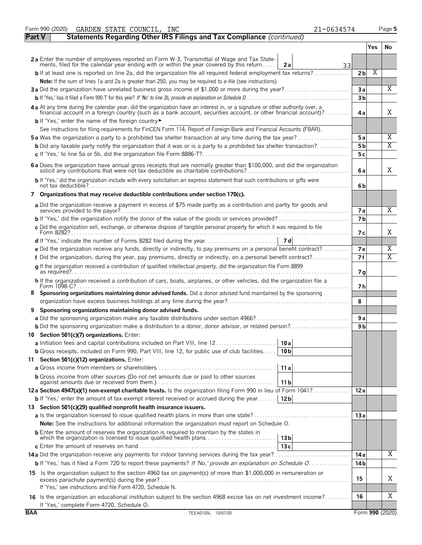|               | Form 990 (2020)<br>GARDEN STATE COUNCIL, INC<br>21-0634574                                                                                                                                                                     |                |     | Page 5          |
|---------------|--------------------------------------------------------------------------------------------------------------------------------------------------------------------------------------------------------------------------------|----------------|-----|-----------------|
| <b>Part V</b> | Statements Regarding Other IRS Filings and Tax Compliance (continued)                                                                                                                                                          |                |     |                 |
|               |                                                                                                                                                                                                                                |                | Yes | No.             |
|               | 2a Enter the number of employees reported on Form W-3, Transmittal of Wage and Tax State-<br>ments, filed for the calendar year ending with or within the year covered by this return<br>2a<br>33                              |                |     |                 |
|               | <b>b</b> If at least one is reported on line 2a, did the organization file all required federal employment tax returns?                                                                                                        | 2 <sub>b</sub> | Χ   |                 |
|               | Note: If the sum of lines 1a and 2a is greater than 250, you may be required to e-file (see instructions)                                                                                                                      |                |     |                 |
|               | 3a Did the organization have unrelated business gross income of \$1,000 or more during the year?                                                                                                                               | 3a             |     | X               |
|               |                                                                                                                                                                                                                                | 3 <sub>b</sub> |     |                 |
|               | 4 a At any time during the calendar year, did the organization have an interest in, or a signature or other authority over, a financial account in a foreign country (such as a bank account, securities account, or other fin | 4a             |     | X               |
|               | <b>b</b> If 'Yes,' enter the name of the foreign country                                                                                                                                                                       |                |     |                 |
|               | See instructions for filing requirements for FinCEN Form 114, Report of Foreign Bank and Financial Accounts (FBAR).                                                                                                            |                |     |                 |
|               | <b>5a</b> Was the organization a party to a prohibited tax shelter transaction at any time during the tax year?                                                                                                                | 5a             |     | Χ               |
|               | <b>b</b> Did any taxable party notify the organization that it was or is a party to a prohibited tax shelter transaction?                                                                                                      | 5 b            |     | X               |
|               |                                                                                                                                                                                                                                | 5c             |     |                 |
|               | 6 a Does the organization have annual gross receipts that are normally greater than \$100,000, and did the organization solicit any contributions that were not tax deductible as charitable contributions?                    | 6a             |     | X               |
|               | b If 'Yes,' did the organization include with every solicitation an express statement that such contributions or gifts were                                                                                                    | 6b             |     |                 |
|               | 7 Organizations that may receive deductible contributions under section 170(c).                                                                                                                                                |                |     |                 |
|               | a Did the organization receive a payment in excess of \$75 made partly as a contribution and partly for goods and                                                                                                              | <b>7a</b>      |     | X               |
|               |                                                                                                                                                                                                                                | 7 <sub>b</sub> |     |                 |
|               | c Did the organization sell, exchange, or otherwise dispose of tangible personal property for which it was required to file                                                                                                    | 7 с            |     | X               |
|               |                                                                                                                                                                                                                                |                |     |                 |
|               | e Did the organization receive any funds, directly or indirectly, to pay premiums on a personal benefit contract?                                                                                                              | 7e             |     | Χ               |
|               | f Did the organization, during the year, pay premiums, directly or indirectly, on a personal benefit contract?                                                                                                                 | 7f             |     | Χ               |
|               | g If the organization received a contribution of qualified intellectual property, did the organization file Form 8899                                                                                                          | 7g             |     |                 |
|               | h If the organization received a contribution of cars, boats, airplanes, or other vehicles, did the organization file a                                                                                                        | 7 h            |     |                 |
|               | Sponsoring organizations maintaining donor advised funds. Did a donor advised fund maintained by the sponsoring                                                                                                                |                |     |                 |
|               |                                                                                                                                                                                                                                | 8              |     |                 |
| 9             | Sponsoring organizations maintaining donor advised funds.                                                                                                                                                                      |                |     |                 |
|               |                                                                                                                                                                                                                                | 9a             |     |                 |
|               |                                                                                                                                                                                                                                | 9 b            |     |                 |
|               | 10 Section 501(c)(7) organizations. Enter:                                                                                                                                                                                     |                |     |                 |
|               | 10 a                                                                                                                                                                                                                           |                |     |                 |
|               | <b>b</b> Gross receipts, included on Form 990, Part VIII, line 12, for public use of club facilities<br>10 <sub>b</sub>                                                                                                        |                |     |                 |
|               | 11 Section 501(c)(12) organizations. Enter:                                                                                                                                                                                    |                |     |                 |
|               | 11a                                                                                                                                                                                                                            |                |     |                 |
|               | <b>b</b> Gross income from other sources (Do not net amounts due or paid to other sources<br>11 b                                                                                                                              |                |     |                 |
|               | 12a Section 4947(a)(1) non-exempt charitable trusts. Is the organization filing Form 990 in lieu of Form 1041?                                                                                                                 | 12a            |     |                 |
|               | <b>b</b> If 'Yes,' enter the amount of tax-exempt interest received or accrued during the year   12b                                                                                                                           |                |     |                 |
|               | 13 Section 501(c)(29) qualified nonprofit health insurance issuers.                                                                                                                                                            |                |     |                 |
|               |                                                                                                                                                                                                                                | 13a            |     |                 |
|               | <b>Note:</b> See the instructions for additional information the organization must report on Schedule O.                                                                                                                       |                |     |                 |
|               | <b>b</b> Enter the amount of reserves the organization is required to maintain by the states in<br>which the organization is licensed to issue qualified health plans<br>13 <sub>b</sub>                                       |                |     |                 |
|               | 13c                                                                                                                                                                                                                            |                |     | Χ               |
|               |                                                                                                                                                                                                                                | 14 a           |     |                 |
|               | b If 'Yes,' has it filed a Form 720 to report these payments? If 'No,' provide an explanation on Schedule O                                                                                                                    | 14 b           |     |                 |
|               | 15 Is the organization subject to the section 4960 tax on payment(s) of more than \$1,000,000 in remuneration or                                                                                                               | 15             |     | Χ               |
|               | If 'Yes,' see instructions and file Form 4720, Schedule N.                                                                                                                                                                     |                |     |                 |
|               | 16 Is the organization an educational institution subject to the section 4968 excise tax on net investment income?<br>If 'Yes,' complete Form 4720, Schedule O.                                                                | 16             |     | Χ               |
| <b>BAA</b>    | TEEA0105L 10/07/20                                                                                                                                                                                                             |                |     | Form 990 (2020) |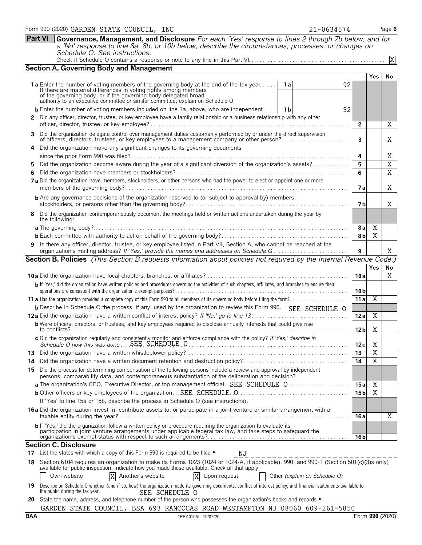|                                                                                                                            | <b>Section A. Governing Body and Management</b>                                                                                                                                                                                                                                                                                         |                 |                     |                |  |  |  |  |
|----------------------------------------------------------------------------------------------------------------------------|-----------------------------------------------------------------------------------------------------------------------------------------------------------------------------------------------------------------------------------------------------------------------------------------------------------------------------------------|-----------------|---------------------|----------------|--|--|--|--|
|                                                                                                                            |                                                                                                                                                                                                                                                                                                                                         |                 | <b>Yes</b>          | No             |  |  |  |  |
|                                                                                                                            | <b>1a</b> Enter the number of voting members of the governing body at the end of the tax year<br>่ 1 a<br>92<br>If there are material differences in voting rights among members<br>of the governing body, or if the governing body delegated broad<br>authority to an executive committee or similar committee, explain on Schedule O. |                 |                     |                |  |  |  |  |
|                                                                                                                            | <b>b</b> Enter the number of voting members included on line 1a, above, who are independent   1b<br>92                                                                                                                                                                                                                                  |                 |                     |                |  |  |  |  |
|                                                                                                                            | 2 Did any officer, director, trustee, or key employee have a family relationship or a business relationship with any other                                                                                                                                                                                                              |                 |                     |                |  |  |  |  |
|                                                                                                                            |                                                                                                                                                                                                                                                                                                                                         | $\mathbf{2}$    |                     | Χ              |  |  |  |  |
| 3.                                                                                                                         | Did the organization delegate control over management duties customarily performed by or under the direct supervision<br>of officers, directors, trustees, or key employees to a management company or other person?                                                                                                                    | 3               |                     | Χ              |  |  |  |  |
|                                                                                                                            | Did the organization make any significant changes to its governing documents<br>4                                                                                                                                                                                                                                                       |                 |                     | Χ              |  |  |  |  |
|                                                                                                                            |                                                                                                                                                                                                                                                                                                                                         |                 |                     |                |  |  |  |  |
| 5.                                                                                                                         | Did the organization become aware during the year of a significant diversion of the organization's assets?                                                                                                                                                                                                                              | 5               |                     | $\overline{X}$ |  |  |  |  |
| 6.                                                                                                                         |                                                                                                                                                                                                                                                                                                                                         | 6               |                     | $\overline{X}$ |  |  |  |  |
|                                                                                                                            | 7 a Did the organization have members, stockholders, or other persons who had the power to elect or appoint one or more                                                                                                                                                                                                                 | 7 a             |                     | X              |  |  |  |  |
|                                                                                                                            | <b>b</b> Are any governance decisions of the organization reserved to (or subject to approval by) members,                                                                                                                                                                                                                              | 7 b             |                     | X              |  |  |  |  |
|                                                                                                                            | 8 Did the organization contemporaneously document the meetings held or written actions undertaken during the year by<br>the following:                                                                                                                                                                                                  |                 |                     |                |  |  |  |  |
|                                                                                                                            |                                                                                                                                                                                                                                                                                                                                         | 8 a             | X<br>$\overline{X}$ |                |  |  |  |  |
|                                                                                                                            |                                                                                                                                                                                                                                                                                                                                         |                 |                     |                |  |  |  |  |
|                                                                                                                            | 9 Is there any officer, director, trustee, or key employee listed in Part VII, Section A, who cannot be reached at the<br>organization's mailing address? If 'Yes,' provide the names and addresses on Schedule Q                                                                                                                       | 9               |                     | Χ              |  |  |  |  |
| <b>Section B. Policies</b> (This Section B requests information about policies not required by the Internal Revenue Code.) |                                                                                                                                                                                                                                                                                                                                         |                 |                     |                |  |  |  |  |
|                                                                                                                            |                                                                                                                                                                                                                                                                                                                                         |                 | <b>Yes</b>          | No             |  |  |  |  |
|                                                                                                                            |                                                                                                                                                                                                                                                                                                                                         |                 |                     |                |  |  |  |  |
|                                                                                                                            |                                                                                                                                                                                                                                                                                                                                         | 10a             |                     | Χ              |  |  |  |  |
|                                                                                                                            | b If 'Yes,' did the organization have written policies and procedures governing the activities of such chapters, affiliates, and branches to ensure their                                                                                                                                                                               | 10 <sub>b</sub> |                     |                |  |  |  |  |
|                                                                                                                            |                                                                                                                                                                                                                                                                                                                                         | 11a             | $\overline{X}$      |                |  |  |  |  |
|                                                                                                                            | <b>b</b> Describe in Schedule O the process, if any, used by the organization to review this Form 990. SEE SCHEDULE O                                                                                                                                                                                                                   |                 |                     |                |  |  |  |  |
|                                                                                                                            |                                                                                                                                                                                                                                                                                                                                         | 12a             | X                   |                |  |  |  |  |
|                                                                                                                            | <b>b</b> Were officers, directors, or trustees, and key employees required to disclose annually interests that could give rise                                                                                                                                                                                                          | 12 <sub>b</sub> | Χ                   |                |  |  |  |  |
|                                                                                                                            | c Did the organization regularly and consistently monitor and enforce compliance with the policy? If 'Yes,' describe in                                                                                                                                                                                                                 | 12c             | X                   |                |  |  |  |  |
|                                                                                                                            |                                                                                                                                                                                                                                                                                                                                         | 13              | $\overline{X}$      |                |  |  |  |  |
| 14.                                                                                                                        | Did the organization have a written document retention and destruction policy?                                                                                                                                                                                                                                                          | 14              | $\overline{X}$      |                |  |  |  |  |
| 15                                                                                                                         | Did the process for determining compensation of the following persons include a review and approval by independent<br>persons, comparability data, and contemporaneous substantiation of the deliberation and decision?                                                                                                                 |                 |                     |                |  |  |  |  |
|                                                                                                                            | a The organization's CEO, Executive Director, or top management official. SEE SCHEDULE 0                                                                                                                                                                                                                                                | 15 a            | Χ                   |                |  |  |  |  |
|                                                                                                                            |                                                                                                                                                                                                                                                                                                                                         | 15 <sub>b</sub> | Χ                   |                |  |  |  |  |
|                                                                                                                            | If 'Yes' to line 15a or 15b, describe the process in Schedule O (see instructions).                                                                                                                                                                                                                                                     |                 |                     |                |  |  |  |  |
|                                                                                                                            | 16 a Did the organization invest in, contribute assets to, or participate in a joint venture or similar arrangement with a                                                                                                                                                                                                              | 16 a            |                     |                |  |  |  |  |
|                                                                                                                            |                                                                                                                                                                                                                                                                                                                                         |                 |                     | Χ              |  |  |  |  |
|                                                                                                                            | b If 'Yes,' did the organization follow a written policy or procedure requiring the organization to evaluate its<br>participation in joint venture arrangements under applicable federal tax law, and take steps to safeguard the                                                                                                       | 16 <sub>b</sub> |                     |                |  |  |  |  |
|                                                                                                                            | <b>Section C. Disclosure</b>                                                                                                                                                                                                                                                                                                            |                 |                     |                |  |  |  |  |
| 17                                                                                                                         | List the states with which a copy of this Form 990 is required to be filed ►<br>NJ                                                                                                                                                                                                                                                      |                 |                     |                |  |  |  |  |

|                                 |                | 19 Describe on Schedule O whether (and if so, how) the organization made its governing documents, conflict of interest policy, and financial statements available to |
|---------------------------------|----------------|----------------------------------------------------------------------------------------------------------------------------------------------------------------------|
| the public during the tax year. | SEE SCHEDULE O |                                                                                                                                                                      |
|                                 |                |                                                                                                                                                                      |

X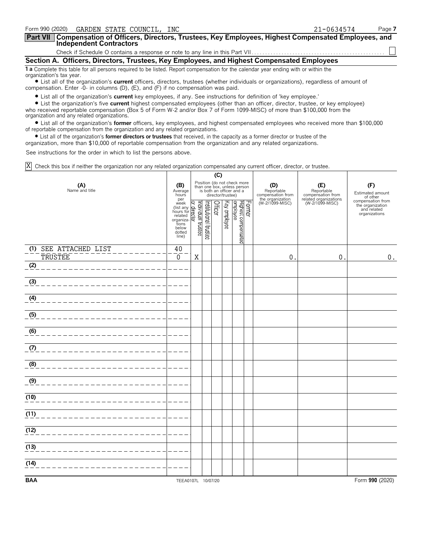| Form 990 (2020)<br>GARDEN STATE COUNCIL, INC                                                                                                                                                                                | 21-0634574 | Page 7 |  |  |  |  |  |
|-----------------------------------------------------------------------------------------------------------------------------------------------------------------------------------------------------------------------------|------------|--------|--|--|--|--|--|
| Part VII   Compensation of Officers, Directors, Trustees, Key Employees, Highest Compensated Employees, and<br><b>Independent Contractors</b>                                                                               |            |        |  |  |  |  |  |
|                                                                                                                                                                                                                             |            |        |  |  |  |  |  |
| Section A. Officers, Directors, Trustees, Key Employees, and Highest Compensated Employees                                                                                                                                  |            |        |  |  |  |  |  |
| 1 a Complete this table for all persons required to be listed. Report compensation for the calendar year ending with or within the<br>organization's tax year.                                                              |            |        |  |  |  |  |  |
| • List all of the organization's current officers, directors, trustees (whether individuals or organizations), regardless of amount of<br>compensation. Enter -0- in columns (D), (E), and (F) if no compensation was paid. |            |        |  |  |  |  |  |

? List all of the organization's **current** key employees, if any. See instructions for definition of 'key employee.'

? List the organization's five **current** highest compensated employees (other than an officer, director, trustee, or key employee) who received reportable compensation (Box 5 of Form W-2 and/or Box 7 of Form 1099-MISC) of more than \$100,000 from the organization and any related organizations.

? List all of the organization's **former** officers, key employees, and highest compensated employees who received more than \$100,000 of reportable compensation from the organization and any related organizations.

? List all of the organization's **former directors or trustees** that received, in the capacity as a former director or trustee of the

organization, more than \$10,000 of reportable compensation from the organization and any related organizations.

See instructions for the order in which to list the persons above.

Check this box if neither the organization nor any related organization compensated any current officer, director, or trustee. X

|                                         |                                                                                                                                     | (C)                                                                                                                    |                       |         |              |                                 |        |                                        |                                          |                                                                       |  |
|-----------------------------------------|-------------------------------------------------------------------------------------------------------------------------------------|------------------------------------------------------------------------------------------------------------------------|-----------------------|---------|--------------|---------------------------------|--------|----------------------------------------|------------------------------------------|-----------------------------------------------------------------------|--|
| (A)<br>Name and title                   |                                                                                                                                     | Position (do not check more<br>than one box, unless person<br>is both an officer and a<br>Average<br>director/trustee) |                       |         |              |                                 |        | (D)<br>Reportable<br>compensation from | (E)<br>Reportable<br>compensation from   | (F)<br>Estimated amount<br>of other                                   |  |
|                                         | per<br>per<br>week<br>(list any <b>Q</b><br>hours for <b>related</b><br>organiza-<br>organiza-<br>tions<br>below<br>dotted<br>line) | Individual trustee                                                                                                     | Institutional trustee | Officer | Key employee | Highest compensated<br>employee | Former | the organization<br>(W-2/1099-MISC)    | related organizations<br>(W-2/1099-MISC) | compensation from<br>the organization<br>and related<br>organizations |  |
| (1) SEE ATTACHED LIST<br><b>TRUSTEE</b> | 40<br>0                                                                                                                             | X                                                                                                                      |                       |         |              |                                 |        | $\mathbf 0$                            | $\mathbf 0$                              | 0.                                                                    |  |
| (2)                                     |                                                                                                                                     |                                                                                                                        |                       |         |              |                                 |        |                                        |                                          |                                                                       |  |
| (3)                                     |                                                                                                                                     |                                                                                                                        |                       |         |              |                                 |        |                                        |                                          |                                                                       |  |
| (4)                                     |                                                                                                                                     |                                                                                                                        |                       |         |              |                                 |        |                                        |                                          |                                                                       |  |
| (5)                                     |                                                                                                                                     |                                                                                                                        |                       |         |              |                                 |        |                                        |                                          |                                                                       |  |
| (6)                                     |                                                                                                                                     |                                                                                                                        |                       |         |              |                                 |        |                                        |                                          |                                                                       |  |
| (7)                                     |                                                                                                                                     |                                                                                                                        |                       |         |              |                                 |        |                                        |                                          |                                                                       |  |
| (8)                                     |                                                                                                                                     |                                                                                                                        |                       |         |              |                                 |        |                                        |                                          |                                                                       |  |
| (9)                                     |                                                                                                                                     |                                                                                                                        |                       |         |              |                                 |        |                                        |                                          |                                                                       |  |
| (10)                                    |                                                                                                                                     |                                                                                                                        |                       |         |              |                                 |        |                                        |                                          |                                                                       |  |
| (11)                                    |                                                                                                                                     |                                                                                                                        |                       |         |              |                                 |        |                                        |                                          |                                                                       |  |
| (12)                                    |                                                                                                                                     |                                                                                                                        |                       |         |              |                                 |        |                                        |                                          |                                                                       |  |
| (13)                                    |                                                                                                                                     |                                                                                                                        |                       |         |              |                                 |        |                                        |                                          |                                                                       |  |
| (14)                                    |                                                                                                                                     |                                                                                                                        |                       |         |              |                                 |        |                                        |                                          |                                                                       |  |
| <b>BAA</b>                              | TEEA0107L 10/07/20                                                                                                                  |                                                                                                                        |                       |         |              |                                 |        |                                        |                                          | Form 990 (2020)                                                       |  |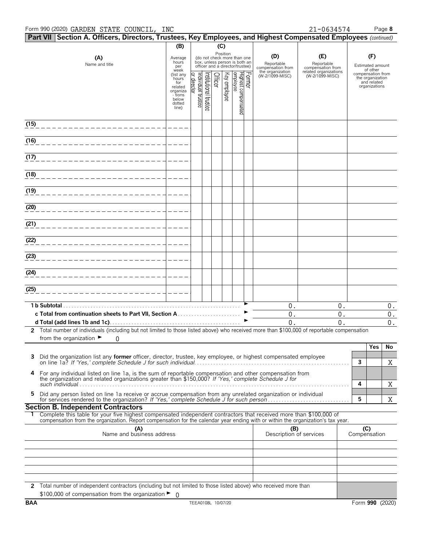#### Form 990 (2020) Page **8** GARDEN STATE COUNCIL, INC 21-0634574

|                   | Part VII Section A. Officers, Directors, Trustees, Key Employees, and Highest Compensated Employees (continued)                                                                                                                                        |                                                                                                 |                               |                       |                |              |                                                                                                             |        |                                        |                                          |                     |                                                                       |                          |
|-------------------|--------------------------------------------------------------------------------------------------------------------------------------------------------------------------------------------------------------------------------------------------------|-------------------------------------------------------------------------------------------------|-------------------------------|-----------------------|----------------|--------------|-------------------------------------------------------------------------------------------------------------|--------|----------------------------------------|------------------------------------------|---------------------|-----------------------------------------------------------------------|--------------------------|
|                   |                                                                                                                                                                                                                                                        | (B)                                                                                             |                               |                       | (C)            |              |                                                                                                             |        |                                        |                                          |                     |                                                                       |                          |
|                   | (A)<br>Name and title                                                                                                                                                                                                                                  | Average<br>hours<br>per                                                                         |                               |                       |                |              | Position<br>(do not check more than one<br>box, unless person is both an<br>officer and a director/trustee) |        | (D)<br>Reportable<br>compensation from | (E)<br>Reportable<br>compensation from   |                     | (F)<br>Estimated amount<br>of other                                   |                          |
|                   |                                                                                                                                                                                                                                                        | week<br>(list any<br>hours<br>for<br>related<br>organiza<br>- tions<br>below<br>dotted<br>line) | ndividual trustee<br>director | Institutional trustee | <b>Officer</b> | Key employee | Highest compensated<br>employee                                                                             | Former | the organization<br>(W-2/1099-MISC)    | related organizations<br>(W-2/1099-MISC) |                     | compensation from<br>the organization<br>and related<br>organizations |                          |
| (15)              |                                                                                                                                                                                                                                                        |                                                                                                 |                               |                       |                |              |                                                                                                             |        |                                        |                                          |                     |                                                                       |                          |
| (16)              |                                                                                                                                                                                                                                                        |                                                                                                 |                               |                       |                |              |                                                                                                             |        |                                        |                                          |                     |                                                                       |                          |
| (17)              |                                                                                                                                                                                                                                                        |                                                                                                 |                               |                       |                |              |                                                                                                             |        |                                        |                                          |                     |                                                                       |                          |
| $\overline{(18)}$ |                                                                                                                                                                                                                                                        |                                                                                                 |                               |                       |                |              |                                                                                                             |        |                                        |                                          |                     |                                                                       |                          |
| (19)              |                                                                                                                                                                                                                                                        |                                                                                                 |                               |                       |                |              |                                                                                                             |        |                                        |                                          |                     |                                                                       |                          |
| (20)              |                                                                                                                                                                                                                                                        |                                                                                                 |                               |                       |                |              |                                                                                                             |        |                                        |                                          |                     |                                                                       |                          |
| (21)              |                                                                                                                                                                                                                                                        |                                                                                                 |                               |                       |                |              |                                                                                                             |        |                                        |                                          |                     |                                                                       |                          |
| (22)              |                                                                                                                                                                                                                                                        |                                                                                                 |                               |                       |                |              |                                                                                                             |        |                                        |                                          |                     |                                                                       |                          |
| (23)              |                                                                                                                                                                                                                                                        |                                                                                                 |                               |                       |                |              |                                                                                                             |        |                                        |                                          |                     |                                                                       |                          |
| (24)              |                                                                                                                                                                                                                                                        |                                                                                                 |                               |                       |                |              |                                                                                                             |        |                                        |                                          |                     |                                                                       |                          |
| (25)              |                                                                                                                                                                                                                                                        |                                                                                                 |                               |                       |                |              |                                                                                                             |        |                                        |                                          |                     |                                                                       |                          |
|                   |                                                                                                                                                                                                                                                        |                                                                                                 |                               |                       |                |              |                                                                                                             |        | 0.                                     | $0$ .                                    |                     |                                                                       | $0$ .                    |
|                   |                                                                                                                                                                                                                                                        |                                                                                                 |                               |                       |                |              |                                                                                                             |        | 0.<br>0.                               | $0$ .<br>0.                              |                     |                                                                       | $\boldsymbol{0}$ .<br>0. |
|                   | 2 Total number of individuals (including but not limited to those listed above) who received more than \$100,000 of reportable compensation                                                                                                            |                                                                                                 |                               |                       |                |              |                                                                                                             |        |                                        |                                          |                     |                                                                       |                          |
|                   | from the organization $\blacktriangleright$<br>0                                                                                                                                                                                                       |                                                                                                 |                               |                       |                |              |                                                                                                             |        |                                        |                                          |                     | Yes                                                                   | No                       |
| 3                 | Did the organization list any <b>former</b> officer, director, trustee, key employee, or highest compensated employee                                                                                                                                  |                                                                                                 |                               |                       |                |              |                                                                                                             |        |                                        |                                          | 3                   |                                                                       | Χ                        |
| 4                 | For any individual listed on line 1a, is the sum of reportable compensation and other compensation from<br>the organization and related organizations greater than \$150,000? If 'Yes,' complete Schedule J for                                        |                                                                                                 |                               |                       |                |              |                                                                                                             |        |                                        |                                          | 4                   |                                                                       |                          |
| 5                 | Did any person listed on line 1a receive or accrue compensation from any unrelated organization or individual                                                                                                                                          |                                                                                                 |                               |                       |                |              |                                                                                                             |        |                                        |                                          | 5                   |                                                                       | Χ<br>Χ                   |
|                   | <b>Section B. Independent Contractors</b>                                                                                                                                                                                                              |                                                                                                 |                               |                       |                |              |                                                                                                             |        |                                        |                                          |                     |                                                                       |                          |
|                   | Complete this table for your five highest compensated independent contractors that received more than \$100,000 of<br>compensation from the organization. Report compensation for the calendar year ending with or within the organization's tax year. |                                                                                                 |                               |                       |                |              |                                                                                                             |        |                                        |                                          |                     |                                                                       |                          |
|                   | (A)<br>Name and business address                                                                                                                                                                                                                       |                                                                                                 |                               |                       |                |              |                                                                                                             |        | (B)<br>Description of services         |                                          | (C)<br>Compensation |                                                                       |                          |
|                   |                                                                                                                                                                                                                                                        |                                                                                                 |                               |                       |                |              |                                                                                                             |        |                                        |                                          |                     |                                                                       |                          |
|                   |                                                                                                                                                                                                                                                        |                                                                                                 |                               |                       |                |              |                                                                                                             |        |                                        |                                          |                     |                                                                       |                          |
|                   |                                                                                                                                                                                                                                                        |                                                                                                 |                               |                       |                |              |                                                                                                             |        |                                        |                                          |                     |                                                                       |                          |
|                   |                                                                                                                                                                                                                                                        |                                                                                                 |                               |                       |                |              |                                                                                                             |        |                                        |                                          |                     |                                                                       |                          |
|                   | 2 Total number of independent contractors (including but not limited to those listed above) who received more than<br>\$100,000 of compensation from the organization $\blacktriangleright$ 0                                                          |                                                                                                 |                               |                       |                |              |                                                                                                             |        |                                        |                                          |                     |                                                                       |                          |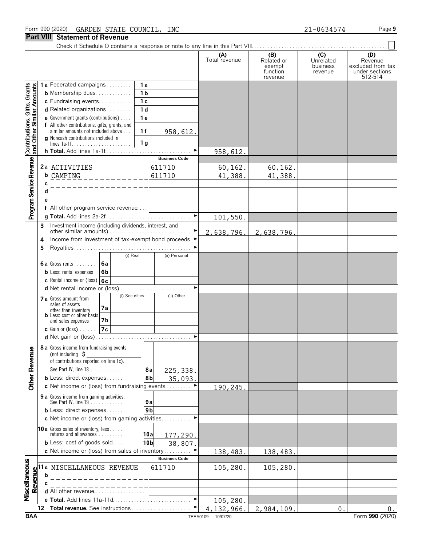### **Part VIII Statement of Revenue**

Check if Schedule O contains a response or note to any line in this Part VIII. . . . . . . . . . . . . . . . . . . . . . . . . . . . . . . . . . . . . . . . . . . . . . . . .

**(A) (B) (C) (D)**

|                                                           |                                                                                                    | Total revenue | Related or<br>exempt<br>function<br>revenue | Unrelated<br>business<br>revenue | Revenue<br>excluded from tax<br>under sections<br>512-514 |
|-----------------------------------------------------------|----------------------------------------------------------------------------------------------------|---------------|---------------------------------------------|----------------------------------|-----------------------------------------------------------|
|                                                           | 1a Federated campaigns<br>1a                                                                       |               |                                             |                                  |                                                           |
| Contributions, Gifts, Grants<br>and Other Similar Amounts | 1 <sub>b</sub><br><b>b</b> Membership dues                                                         |               |                                             |                                  |                                                           |
|                                                           | 1 <sub>c</sub><br>c Fundraising events                                                             |               |                                             |                                  |                                                           |
|                                                           | 1 <sub>d</sub><br><b>d</b> Related organizations $\ldots$                                          |               |                                             |                                  |                                                           |
|                                                           | e Government grants (contributions)<br>1e                                                          |               |                                             |                                  |                                                           |
|                                                           | f All other contributions, gifts, grants, and                                                      |               |                                             |                                  |                                                           |
|                                                           | similar amounts not included above<br>1f<br>958,612.<br><b>g</b> Noncash contributions included in |               |                                             |                                  |                                                           |
|                                                           | 1 <sub>q</sub>                                                                                     |               |                                             |                                  |                                                           |
|                                                           | ►                                                                                                  | 958,612.      |                                             |                                  |                                                           |
|                                                           | <b>Business Code</b>                                                                               |               |                                             |                                  |                                                           |
|                                                           | 2a $ACTIVITIES$<br>611710                                                                          | 60, 162.      | 60, 162.                                    |                                  |                                                           |
|                                                           | <b>b</b> CAMPING<br>611710<br>- - - - - - - - -                                                    | 41,388.       | 41,388.                                     |                                  |                                                           |
|                                                           |                                                                                                    |               |                                             |                                  |                                                           |
|                                                           |                                                                                                    |               |                                             |                                  |                                                           |
|                                                           |                                                                                                    |               |                                             |                                  |                                                           |
| Program Service Revenue                                   | f All other program service revenue                                                                |               |                                             |                                  |                                                           |
|                                                           |                                                                                                    | 101,550.      |                                             |                                  |                                                           |
|                                                           | Investment income (including dividends, interest, and<br>3<br>other similar amounts)               |               |                                             |                                  |                                                           |
|                                                           | Income from investment of tax-exempt bond proceeds ▶<br>4                                          | 2,638,796.    | 2,638,796.                                  |                                  |                                                           |
|                                                           | 5                                                                                                  |               |                                             |                                  |                                                           |
|                                                           | (i) Real<br>(ii) Personal                                                                          |               |                                             |                                  |                                                           |
|                                                           | 6a<br><b>6a</b> Gross rents $\ldots$                                                               |               |                                             |                                  |                                                           |
|                                                           | 6b<br><b>b</b> Less: rental expenses                                                               |               |                                             |                                  |                                                           |
|                                                           | 6c<br>c Rental income or (loss)                                                                    |               |                                             |                                  |                                                           |
|                                                           | d Net rental income or (loss)                                                                      |               |                                             |                                  |                                                           |
|                                                           | (i) Securities<br>(ii) Other                                                                       |               |                                             |                                  |                                                           |
|                                                           | 7 a Gross amount from<br>sales of assets                                                           |               |                                             |                                  |                                                           |
|                                                           | 7a<br>other than inventory                                                                         |               |                                             |                                  |                                                           |
|                                                           | <b>b</b> Less: cost or other basis<br>7b<br>and sales expenses                                     |               |                                             |                                  |                                                           |
|                                                           | 7c<br>$c$ Gain or (loss)                                                                           |               |                                             |                                  |                                                           |
|                                                           | ►                                                                                                  |               |                                             |                                  |                                                           |
|                                                           | 8 a Gross income from fundraising events                                                           |               |                                             |                                  |                                                           |
| evenue                                                    | (not including $\sharp$                                                                            |               |                                             |                                  |                                                           |
|                                                           | of contributions reported on line 1c).                                                             |               |                                             |                                  |                                                           |
| Œ                                                         | See Part IV, line 18<br>225, 338.<br>8а                                                            |               |                                             |                                  |                                                           |
| <b>Other</b>                                              | 8b<br><b>b</b> Less: direct expenses $\ldots$<br>35,093.                                           |               |                                             |                                  |                                                           |
|                                                           | c Net income or (loss) from fundraising events                                                     | 190,245.      |                                             |                                  |                                                           |
|                                                           | 9 a Gross income from gaming activities.                                                           |               |                                             |                                  |                                                           |
|                                                           | See Part IV, line 19.<br>9a                                                                        |               |                                             |                                  |                                                           |
|                                                           | <b>b</b> Less: direct expenses<br>9 <sub>b</sub>                                                   |               |                                             |                                  |                                                           |
|                                                           | <b>c</b> Net income or (loss) from gaming activities                                               |               |                                             |                                  |                                                           |
|                                                           | 10a Gross sales of inventory, less<br>returns and allowances                                       |               |                                             |                                  |                                                           |
|                                                           | 10a<br>177,290.                                                                                    |               |                                             |                                  |                                                           |
|                                                           | <b>b</b> Less: cost of goods sold<br>10b<br>38,807.                                                |               |                                             |                                  |                                                           |
|                                                           | c Net income or (loss) from sales of inventory                                                     | 138,483.      | 138,483.                                    |                                  |                                                           |
|                                                           | <b>Business Code</b>                                                                               |               |                                             |                                  |                                                           |
| Miscellaneous                                             | MISCELLANEOUS REVENUE<br>611710<br>Ίa                                                              | 105,280.      | 105,280.                                    |                                  |                                                           |
| Revenue                                                   | b                                                                                                  |               |                                             |                                  |                                                           |
|                                                           | <b>d</b> All other revenue $\ldots \ldots \ldots \ldots \ldots$                                    |               |                                             |                                  |                                                           |
|                                                           |                                                                                                    |               |                                             |                                  |                                                           |
|                                                           | Total revenue. See instructions<br>12                                                              | 105,280.      |                                             |                                  |                                                           |
|                                                           |                                                                                                    | 4,132,966.    | 2,984,109.                                  | $\mathsf{O}$ .                   | 0.                                                        |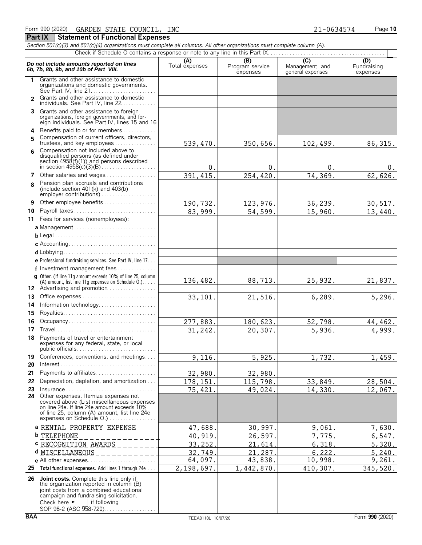|                              | Section 501(c)(3) and 501(c)(4) organizations must complete all columns. All other organizations must complete column (A).                                                                                                  |                       |                             |                                    |                         |  |  |  |  |  |  |
|------------------------------|-----------------------------------------------------------------------------------------------------------------------------------------------------------------------------------------------------------------------------|-----------------------|-----------------------------|------------------------------------|-------------------------|--|--|--|--|--|--|
| $\overline{C}$<br>(B)<br>(D) |                                                                                                                                                                                                                             |                       |                             |                                    |                         |  |  |  |  |  |  |
|                              | Do not include amounts reported on lines<br>6b, 7b, 8b, 9b, and 10b of Part VIII.                                                                                                                                           | (A)<br>Total expenses | Program service<br>expenses | Management and<br>general expenses | Fundraising<br>expenses |  |  |  |  |  |  |
| 1.                           | Grants and other assistance to domestic<br>organizations and domestic governments.                                                                                                                                          |                       |                             |                                    |                         |  |  |  |  |  |  |
| $\mathcal{P}$                | Grants and other assistance to domestic<br>individuals. See Part IV, line 22                                                                                                                                                |                       |                             |                                    |                         |  |  |  |  |  |  |
|                              | 3 Grants and other assistance to foreign<br>organizations, foreign governments, and for-<br>eign individuals. See Part IV, lines 15 and 16                                                                                  |                       |                             |                                    |                         |  |  |  |  |  |  |
| 4                            | Benefits paid to or for members                                                                                                                                                                                             |                       |                             |                                    |                         |  |  |  |  |  |  |
| 5                            | Compensation of current officers, directors,<br>trustees, and key employees                                                                                                                                                 | 539,470.              | 350,656.                    | 102,499.                           | 86, 315.                |  |  |  |  |  |  |
| ĥ                            | Compensation not included above to                                                                                                                                                                                          |                       |                             |                                    |                         |  |  |  |  |  |  |
|                              | disqualified persons (as defined under<br>section 4958(f)(1)) and persons described                                                                                                                                         | 0.                    | 0.                          | 0.                                 | υ.                      |  |  |  |  |  |  |
| 7                            | Other salaries and wages                                                                                                                                                                                                    | 391, 415.             | 254,420.                    | 74,369.                            | 62,626.                 |  |  |  |  |  |  |
| 8                            | Pension plan accruals and contributions<br>(include section $401(k)$ and $403(b)$<br>employer contributions)                                                                                                                |                       |                             |                                    |                         |  |  |  |  |  |  |
| 9                            | Other employee benefits                                                                                                                                                                                                     | 190,732.              | 123,976.                    | 36,239.                            | 30, 517.                |  |  |  |  |  |  |
| 10                           | Payroll taxes                                                                                                                                                                                                               | 83,999.               | 54,599.                     | 15,960.                            | 13,440.                 |  |  |  |  |  |  |
| 11                           | Fees for services (nonemployees):                                                                                                                                                                                           |                       |                             |                                    |                         |  |  |  |  |  |  |
|                              | a Management                                                                                                                                                                                                                |                       |                             |                                    |                         |  |  |  |  |  |  |
|                              |                                                                                                                                                                                                                             |                       |                             |                                    |                         |  |  |  |  |  |  |
|                              |                                                                                                                                                                                                                             |                       |                             |                                    |                         |  |  |  |  |  |  |
|                              |                                                                                                                                                                                                                             |                       |                             |                                    |                         |  |  |  |  |  |  |
|                              | <b>e</b> Professional fundraising services. See Part IV, line $17$                                                                                                                                                          |                       |                             |                                    |                         |  |  |  |  |  |  |
|                              | f Investment management fees                                                                                                                                                                                                |                       |                             |                                    |                         |  |  |  |  |  |  |
|                              | g Other. (If line 11g amount exceeds 10% of line 25, column<br>(A) amount, list line 11g expenses on Schedule $0.$ )<br>12 Advertising and promotion                                                                        | 136,482.              | 88,713.                     | 25,932.                            | 21,837.                 |  |  |  |  |  |  |
| 13                           | Office expenses                                                                                                                                                                                                             | 33,101.               | 21,516.                     | 6,289.                             | 5,296.                  |  |  |  |  |  |  |
| 14                           | Information technology                                                                                                                                                                                                      |                       |                             |                                    |                         |  |  |  |  |  |  |
| 15                           |                                                                                                                                                                                                                             |                       |                             |                                    |                         |  |  |  |  |  |  |
| 16                           | Occupancy                                                                                                                                                                                                                   | 277,883.              | 180,623.                    | 52,798.                            | 44,462.                 |  |  |  |  |  |  |
| 17                           |                                                                                                                                                                                                                             | 31,242.               | 20,307.                     | 5,936.                             | 4,999.                  |  |  |  |  |  |  |
| 18.                          | Payments of travel or entertainment<br>expenses for any federal, state, or local                                                                                                                                            |                       |                             |                                    |                         |  |  |  |  |  |  |
| 19                           | Conferences, conventions, and meetings                                                                                                                                                                                      | 9,116.                | 5,925.                      | 1,732.                             | 1,459.                  |  |  |  |  |  |  |
| 20                           | $Interest \dots \dots \dots \dots \dots \dots \dots \dots \dots \dots \dots \dots \dots \dots$                                                                                                                              |                       |                             |                                    |                         |  |  |  |  |  |  |
| 21                           | Payments to affiliates                                                                                                                                                                                                      | 32,980.               | 32,980.                     |                                    |                         |  |  |  |  |  |  |
| 22                           | Depreciation, depletion, and amortization                                                                                                                                                                                   | 178, 151.             | 115,798.                    | 33,849.                            | 28,504.                 |  |  |  |  |  |  |
| 23<br>24                     | $Insurance \ldots \ldots \ldots \ldots \ldots \ldots \ldots \ldots \ldots$<br>Other expenses. Itemize expenses not                                                                                                          | 75,421.               | 49,024.                     | 14,330.                            | 12,067.                 |  |  |  |  |  |  |
|                              | covered above (List miscellaneous expenses<br>on line 24e. If line 24e amount exceeds 10%<br>of line 25, column (A) amount, list line 24e<br>expenses on Schedule O.)                                                       |                       |                             |                                    |                         |  |  |  |  |  |  |
|                              | a RENTAL PROPERTY EXPENSE                                                                                                                                                                                                   | 47,688.               | 30,997.                     | 9,061                              | 7,630.                  |  |  |  |  |  |  |
|                              | <b>b</b> TELEPHONE                                                                                                                                                                                                          | 40,919                | 26,597.                     | 7,775.                             | 6,547.                  |  |  |  |  |  |  |
|                              | C RECOGNITION AWARDS                                                                                                                                                                                                        | 33,252                | 21,614                      | 6,318.                             | 5,320.                  |  |  |  |  |  |  |
|                              | d MISCELLANEOUS                                                                                                                                                                                                             | 32,749.               | 21,287.                     | 6, 222.                            | 5,240.                  |  |  |  |  |  |  |
|                              |                                                                                                                                                                                                                             | 64,097.               | 43,838.                     | 10,998.                            | 9,261.                  |  |  |  |  |  |  |
| 25                           | Total functional expenses. Add lines 1 through 24e.                                                                                                                                                                         | 2,198,697.            | 1,442,870.                  | 410,307.                           | 345,520.                |  |  |  |  |  |  |
| 26                           | Joint costs. Complete this line only if<br>the organization reported in column (B)<br>joint costs from a combined educational<br>campaign and fundraising solicitation.<br>Check here $\blacktriangleright$<br>if following |                       |                             |                                    |                         |  |  |  |  |  |  |

SOP 98-2 (ASC 958-720). . . . . . . . . . . . . . . . .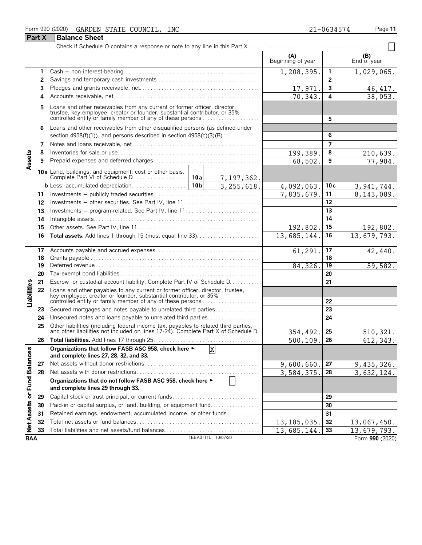#### Form 990 (2020) GARDEN STATE COUNCIL, INC 21-0634574 Page 11 **Part X Balance Sheet**

|                             | <b>Part X</b> | <b>Balance Sheet</b>                                                                                                                                                                                                  |                 |                 |                          |                |                    |
|-----------------------------|---------------|-----------------------------------------------------------------------------------------------------------------------------------------------------------------------------------------------------------------------|-----------------|-----------------|--------------------------|----------------|--------------------|
|                             |               |                                                                                                                                                                                                                       |                 |                 |                          |                |                    |
|                             |               |                                                                                                                                                                                                                       |                 |                 | (A)<br>Beginning of year |                | (B)<br>End of year |
|                             | 1             |                                                                                                                                                                                                                       | 1,208,395.      | 1               | 1,029,065.               |                |                    |
|                             | 2             |                                                                                                                                                                                                                       |                 | $\overline{2}$  |                          |                |                    |
|                             | 3             |                                                                                                                                                                                                                       | 17,971.         | 3               | 46, 417.                 |                |                    |
|                             | 4             |                                                                                                                                                                                                                       | 70,343.         | 4               | 38,053.                  |                |                    |
|                             | 5             | Loans and other receivables from any current or former officer, director,<br>trustee, key employee, creator or founder, substantial contributor, or 35%<br>controlled entity or family member of any of these persons |                 |                 |                          | 5              |                    |
|                             | 6             | Loans and other receivables from other disqualified persons (as defined under                                                                                                                                         |                 |                 |                          |                |                    |
|                             |               | section 4958(f)(1)), and persons described in section $4958(c)(3)(B)$                                                                                                                                                 |                 | 6               |                          |                |                    |
|                             | 7             |                                                                                                                                                                                                                       |                 |                 |                          | $\overline{7}$ |                    |
|                             | 8             |                                                                                                                                                                                                                       |                 |                 | 199,389.                 | 8              | 210,639.           |
| Assets                      | 9             |                                                                                                                                                                                                                       |                 |                 | 68,502.                  | 9              | 77,984.            |
|                             |               |                                                                                                                                                                                                                       |                 | 7,197,362.      |                          |                |                    |
|                             |               |                                                                                                                                                                                                                       | 10 <sub>b</sub> | 3, 255, 618.    | 4,092,063.               | 10c            | 3, 941, 744.       |
|                             | 11            |                                                                                                                                                                                                                       |                 |                 | 7,835,679.               | 11             | 8,143,089.         |
|                             | 12            |                                                                                                                                                                                                                       |                 | 12              |                          |                |                    |
|                             | 13            | Investments – program-related. See Part IV, line 11                                                                                                                                                                   |                 |                 |                          | 13             |                    |
|                             | 14            |                                                                                                                                                                                                                       |                 |                 |                          | 14             |                    |
|                             | 15            |                                                                                                                                                                                                                       | 192,802.        | 15              | 192,802.                 |                |                    |
|                             | 16            |                                                                                                                                                                                                                       |                 |                 | 13,685,144.              | 16             | 13,679,793.        |
|                             | 17            |                                                                                                                                                                                                                       |                 |                 | 61,291.                  | 17             | 42,440.            |
|                             | 18            |                                                                                                                                                                                                                       |                 | 18              |                          |                |                    |
|                             | 19            |                                                                                                                                                                                                                       | 84,326.         | $\overline{19}$ | 59,582.                  |                |                    |
|                             | 20            |                                                                                                                                                                                                                       |                 |                 |                          | 20             |                    |
|                             | 21            | Escrow or custodial account liability. Complete Part IV of Schedule D.                                                                                                                                                |                 |                 |                          | 21             |                    |
| Liabilities                 | 22            | Loans and other payables to any current or former officer, director, trustee,                                                                                                                                         |                 |                 |                          | 22             |                    |
|                             | 23            | Secured mortgages and notes payable to unrelated third parties                                                                                                                                                        |                 |                 |                          | 23             |                    |
|                             | 24            | Unsecured notes and loans payable to unrelated third parties                                                                                                                                                          |                 |                 |                          | 24             |                    |
|                             | 25            | Other liabilities (including federal income tax, payables to related third parties, and other liabilities not included on lines 17-24). Complete Part X of Schedule D.                                                |                 |                 | 354,492.                 | 25             | 510, 321.          |
|                             | 26            |                                                                                                                                                                                                                       |                 |                 | 500, 109.                | 26             | 612, 343.          |
|                             |               | Organizations that follow FASB ASC 958, check here ►                                                                                                                                                                  |                 | X               |                          |                |                    |
|                             |               | and complete lines 27, 28, 32, and 33.                                                                                                                                                                                |                 |                 |                          |                |                    |
|                             | 27            |                                                                                                                                                                                                                       |                 |                 | 9,600,660.               | 27             | 9,435,326.         |
|                             | 28            |                                                                                                                                                                                                                       |                 |                 | 3,584,375.               | 28             | 3,632,124.         |
| Net Assets or Fund Balances |               | Organizations that do not follow FASB ASC 958, check here ►<br>and complete lines 29 through 33.                                                                                                                      |                 |                 |                          |                |                    |
|                             | 29            | Capital stock or trust principal, or current funds                                                                                                                                                                    |                 |                 | 29                       |                |                    |
|                             | 30            | Paid-in or capital surplus, or land, building, or equipment fund                                                                                                                                                      |                 |                 |                          | 30             |                    |
|                             | 31            | Retained earnings, endowment, accumulated income, or other funds                                                                                                                                                      |                 |                 |                          | 31             |                    |
|                             | 32            |                                                                                                                                                                                                                       |                 |                 | 13, 185, 035.            | 32             | 13,067,450.        |
|                             | 33            | Total liabilities and net assets/fund balances                                                                                                                                                                        |                 |                 | 13,685,144.              | 33             | 13,679,793.        |

**BAA** TEEA0111L 10/07/20 Form **990** (2020) 13,679,793.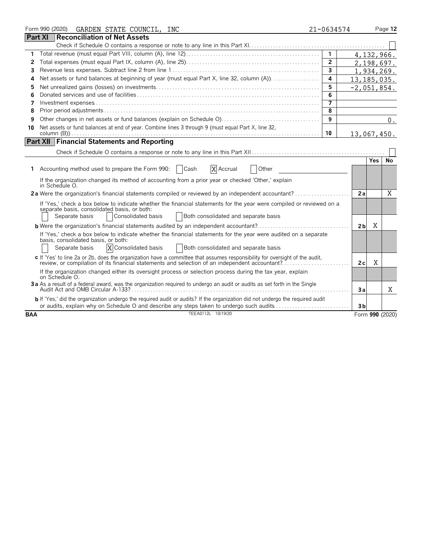|            | Form 990 (2020)<br>GARDEN STATE COUNCIL, INC                                                                                                                                                                                   | 21-0634574     |                |            | Page 12         |  |  |  |
|------------|--------------------------------------------------------------------------------------------------------------------------------------------------------------------------------------------------------------------------------|----------------|----------------|------------|-----------------|--|--|--|
|            | <b>Part XI</b><br><b>Reconciliation of Net Assets</b>                                                                                                                                                                          |                |                |            |                 |  |  |  |
|            |                                                                                                                                                                                                                                |                |                |            |                 |  |  |  |
| 1          |                                                                                                                                                                                                                                | $\mathbf{1}$   |                | 4,132,966. |                 |  |  |  |
| 2          |                                                                                                                                                                                                                                | $\overline{2}$ |                |            | 2,198,697.      |  |  |  |
| 3          |                                                                                                                                                                                                                                | $\mathbf{3}$   |                |            | 1,934,269.      |  |  |  |
| 4          | Net assets or fund balances at beginning of year (must equal Part X, line 32, column (A))<br>4<br>13, 185, 035.                                                                                                                |                |                |            |                 |  |  |  |
| 5          |                                                                                                                                                                                                                                | 5              | $-2,051,854.$  |            |                 |  |  |  |
| 6          |                                                                                                                                                                                                                                | 6              |                |            |                 |  |  |  |
| 7          |                                                                                                                                                                                                                                | 7              |                |            |                 |  |  |  |
| 8          |                                                                                                                                                                                                                                | 8              |                |            |                 |  |  |  |
| 9          |                                                                                                                                                                                                                                | 9              |                |            | 0.              |  |  |  |
| 10         | Net assets or fund balances at end of year. Combine lines 3 through 9 (must equal Part X, line 32,                                                                                                                             |                |                |            |                 |  |  |  |
|            |                                                                                                                                                                                                                                | 10             | 13,067,450.    |            |                 |  |  |  |
|            | <b>Part XII Financial Statements and Reporting</b>                                                                                                                                                                             |                |                |            |                 |  |  |  |
|            |                                                                                                                                                                                                                                |                |                |            |                 |  |  |  |
|            |                                                                                                                                                                                                                                |                |                | <b>Yes</b> | No              |  |  |  |
| 1.         | X Accrual<br>Accounting method used to prepare the Form 990:<br>Cash<br>Other                                                                                                                                                  |                |                |            |                 |  |  |  |
|            | If the organization changed its method of accounting from a prior year or checked 'Other,' explain<br>in Schedule O.                                                                                                           |                |                |            |                 |  |  |  |
|            | 2a Were the organization's financial statements compiled or reviewed by an independent accountant?                                                                                                                             |                | 2a             |            | X               |  |  |  |
|            |                                                                                                                                                                                                                                |                |                |            |                 |  |  |  |
|            | If 'Yes,' check a box below to indicate whether the financial statements for the year were compiled or reviewed on a<br>separate basis, consolidated basis, or both:                                                           |                |                |            |                 |  |  |  |
|            | Consolidated basis<br>Both consolidated and separate basis<br>Separate basis                                                                                                                                                   |                |                |            |                 |  |  |  |
|            | <b>b</b> Were the organization's financial statements audited by an independent accountant?                                                                                                                                    |                | 2 <sub>b</sub> | Χ          |                 |  |  |  |
|            | If 'Yes,' check a box below to indicate whether the financial statements for the year were audited on a separate                                                                                                               |                |                |            |                 |  |  |  |
|            | basis, consolidated basis, or both:                                                                                                                                                                                            |                |                |            |                 |  |  |  |
|            | X Consolidated basis<br>Separate basis<br>Both consolidated and separate basis                                                                                                                                                 |                |                |            |                 |  |  |  |
|            | c If 'Yes' to line 2a or 2b, does the organization have a committee that assumes responsibility for oversight of the audit,<br>review, or compilation of its financial statements and selection of an independent accountant?. |                | 2c             | X          |                 |  |  |  |
|            | If the organization changed either its oversight process or selection process during the tax year, explain                                                                                                                     |                |                |            |                 |  |  |  |
|            | on Schedule O.                                                                                                                                                                                                                 |                |                |            |                 |  |  |  |
|            | 3a As a result of a federal award, was the organization required to undergo an audit or audits as set forth in the Single                                                                                                      |                | 3a             |            | Χ               |  |  |  |
|            |                                                                                                                                                                                                                                |                |                |            |                 |  |  |  |
|            | b If 'Yes,' did the organization undergo the required audit or audits? If the organization did not undergo the required audit<br>or audits, explain why on Schedule O and describe any steps taken to undergo such audits      |                | 3 <sub>b</sub> |            |                 |  |  |  |
| <b>BAA</b> | TEEA0112L 10/19/20                                                                                                                                                                                                             |                |                |            | Form 990 (2020) |  |  |  |
|            |                                                                                                                                                                                                                                |                |                |            |                 |  |  |  |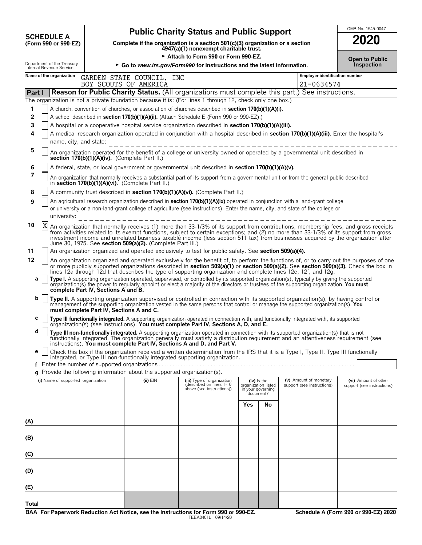| <b>SCHEDULE A</b>                            |
|----------------------------------------------|
| $T_{\rm C}$ $\sim$ 000 $\sim$ 000 $\Gamma$ 7 |

# **CHEDULE A** Public Charity Status and Public Support<br>
(Form 990 or 990-EZ) Complete if the organization is a section 501(c)(3) organization or a section

**COMPOSCHEDULE A**<br>(Form 990 or 990-EZ) Complete if the organization is a section 501(c)(3) organization or a section<br>4947(a)(1) nonexempt charitable trust.

Attach to Form 990 or Form 990-EZ.

|          | Department of the Treasury<br>Internal Revenue Service<br>Inspection<br>$\triangleright$ Go to <i>www.irs.gov/Form990</i> for instructions and the latest information.                                                                                                                                                                                                                                                                                                                |                                                                                                                                                                                                                                                                                                                                                                                                                                                                                                                                                                                                                                     |                                                                                     |                                               |                     |                                                      |                                                    |  |  |
|----------|---------------------------------------------------------------------------------------------------------------------------------------------------------------------------------------------------------------------------------------------------------------------------------------------------------------------------------------------------------------------------------------------------------------------------------------------------------------------------------------|-------------------------------------------------------------------------------------------------------------------------------------------------------------------------------------------------------------------------------------------------------------------------------------------------------------------------------------------------------------------------------------------------------------------------------------------------------------------------------------------------------------------------------------------------------------------------------------------------------------------------------------|-------------------------------------------------------------------------------------|-----------------------------------------------|---------------------|------------------------------------------------------|----------------------------------------------------|--|--|
|          | Name of the organization                                                                                                                                                                                                                                                                                                                                                                                                                                                              | GARDEN STATE COUNCIL, INC                                                                                                                                                                                                                                                                                                                                                                                                                                                                                                                                                                                                           |                                                                                     |                                               |                     | <b>Employer identification number</b>                |                                                    |  |  |
| Part I   |                                                                                                                                                                                                                                                                                                                                                                                                                                                                                       | BOY SCOUTS OF AMERICA<br>Reason for Public Charity Status. (All organizations must complete this part.) See instructions.                                                                                                                                                                                                                                                                                                                                                                                                                                                                                                           |                                                                                     |                                               |                     | 21-0634574                                           |                                                    |  |  |
|          | The organization is not a private foundation because it is: (For lines 1 through 12, check only one box.)                                                                                                                                                                                                                                                                                                                                                                             |                                                                                                                                                                                                                                                                                                                                                                                                                                                                                                                                                                                                                                     |                                                                                     |                                               |                     |                                                      |                                                    |  |  |
| 1        |                                                                                                                                                                                                                                                                                                                                                                                                                                                                                       | A church, convention of churches, or association of churches described in section 170(b)(1)(A)(i).                                                                                                                                                                                                                                                                                                                                                                                                                                                                                                                                  |                                                                                     |                                               |                     |                                                      |                                                    |  |  |
| 2        |                                                                                                                                                                                                                                                                                                                                                                                                                                                                                       | A school described in section 170(b)(1)(A)(ii). (Attach Schedule E (Form 990 or 990-EZ).)                                                                                                                                                                                                                                                                                                                                                                                                                                                                                                                                           |                                                                                     |                                               |                     |                                                      |                                                    |  |  |
| 3        |                                                                                                                                                                                                                                                                                                                                                                                                                                                                                       | A hospital or a cooperative hospital service organization described in section 170(b)(1)(A)(iii).                                                                                                                                                                                                                                                                                                                                                                                                                                                                                                                                   |                                                                                     |                                               |                     |                                                      |                                                    |  |  |
| 4        | name, city, and state:                                                                                                                                                                                                                                                                                                                                                                                                                                                                | A medical research organization operated in conjunction with a hospital described in section 170(b)(1)(A)(iii). Enter the hospital's                                                                                                                                                                                                                                                                                                                                                                                                                                                                                                |                                                                                     |                                               |                     |                                                      |                                                    |  |  |
| 5        | An organization operated for the benefit of a college or university owned or operated by a governmental unit described in<br>section 170(b)(1)(A)(iv). (Complete Part II.)                                                                                                                                                                                                                                                                                                            |                                                                                                                                                                                                                                                                                                                                                                                                                                                                                                                                                                                                                                     |                                                                                     |                                               |                     |                                                      |                                                    |  |  |
| 6        |                                                                                                                                                                                                                                                                                                                                                                                                                                                                                       | A federal, state, or local government or governmental unit described in section 170(b)(1)(A)(v).                                                                                                                                                                                                                                                                                                                                                                                                                                                                                                                                    |                                                                                     |                                               |                     |                                                      |                                                    |  |  |
| 7        |                                                                                                                                                                                                                                                                                                                                                                                                                                                                                       | An organization that normally receives a substantial part of its support from a governmental unit or from the general public described<br>in section 170(b)(1)(A)(vi). (Complete Part II.)                                                                                                                                                                                                                                                                                                                                                                                                                                          |                                                                                     |                                               |                     |                                                      |                                                    |  |  |
| 8        |                                                                                                                                                                                                                                                                                                                                                                                                                                                                                       | A community trust described in section 170(b)(1)(A)(vi). (Complete Part II.)                                                                                                                                                                                                                                                                                                                                                                                                                                                                                                                                                        |                                                                                     |                                               |                     |                                                      |                                                    |  |  |
| 9        | university:                                                                                                                                                                                                                                                                                                                                                                                                                                                                           | An agricultural research organization described in section 170(b)(1)(A)(ix) operated in conjunction with a land-grant college<br>or university or a non-land-grant college of agriculture (see instructions). Enter the name, city, and state of the college or                                                                                                                                                                                                                                                                                                                                                                     |                                                                                     |                                               |                     |                                                      |                                                    |  |  |
| 10       | Χ<br>An organization that normally receives (1) more than 33-1/3% of its support from contributions, membership fees, and gross receipts<br>from activities related to its exempt functions, subject to certain exceptions; and (2) no more than 33-1/3% of its support from gross<br>investment income and unrelated business taxable income (less section 511 tax) from businesses acquired by the organization after<br>June 30, 1975. See section 509(a)(2). (Complete Part III.) |                                                                                                                                                                                                                                                                                                                                                                                                                                                                                                                                                                                                                                     |                                                                                     |                                               |                     |                                                      |                                                    |  |  |
| 11<br>12 |                                                                                                                                                                                                                                                                                                                                                                                                                                                                                       | An organization organized and operated exclusively to test for public safety. See section 509(a)(4).                                                                                                                                                                                                                                                                                                                                                                                                                                                                                                                                |                                                                                     |                                               |                     |                                                      |                                                    |  |  |
| a        | complete Part IV, Sections A and B.                                                                                                                                                                                                                                                                                                                                                                                                                                                   | An organization organized and operated exclusively for the benefit of, to perform the functions of, or to carry out the purposes of one<br>or more publicly supported organizations described in section 509(a)(1) or section 509(a)(2). See section 509(a)(3). Check the box in<br>lines 12a through 12d that describes the type of supporting organization and complete lines 12e, 12f, and 12g.<br>Type I. A supporting organization operated, supervised, or controlled by its supported organization(s), typically by giving the supported organization(s) the power to regularly appoint or elect a majority of the directors |                                                                                     |                                               |                     |                                                      |                                                    |  |  |
| b        | must complete Part IV, Sections A and C.                                                                                                                                                                                                                                                                                                                                                                                                                                              | Type II. A supporting organization supervised or controlled in connection with its supported organization(s), by having control or<br>management of the supporting organization vested in the same persons that control or manage the supported organization(s). You                                                                                                                                                                                                                                                                                                                                                                |                                                                                     |                                               |                     |                                                      |                                                    |  |  |
| с        |                                                                                                                                                                                                                                                                                                                                                                                                                                                                                       | Type III functionally integrated. A supporting organization operated in connection with, and functionally integrated with, its supported organization(s) (see instructions). You must complete Part IV, Sections A, D, and E.                                                                                                                                                                                                                                                                                                                                                                                                       |                                                                                     |                                               |                     |                                                      |                                                    |  |  |
| d        |                                                                                                                                                                                                                                                                                                                                                                                                                                                                                       | Type III non-functionally integrated. A supporting organization operated in connection with its supported organization(s) that is not<br>functionally integrated. The organization generally must satisfy a distribution requirement and an attentiveness requirement (see<br>instructions). You must complete Part IV, Sections A and D, and Part V.                                                                                                                                                                                                                                                                               |                                                                                     |                                               |                     |                                                      |                                                    |  |  |
| е        |                                                                                                                                                                                                                                                                                                                                                                                                                                                                                       | Check this box if the organization received a written determination from the IRS that it is a Type I, Type II, Type III functionally<br>integrated, or Type III non-functionally integrated supporting organization.                                                                                                                                                                                                                                                                                                                                                                                                                |                                                                                     |                                               |                     |                                                      |                                                    |  |  |
|          | g Provide the following information about the supported organization(s).                                                                                                                                                                                                                                                                                                                                                                                                              |                                                                                                                                                                                                                                                                                                                                                                                                                                                                                                                                                                                                                                     |                                                                                     |                                               |                     |                                                      |                                                    |  |  |
|          | (i) Name of supported organization                                                                                                                                                                                                                                                                                                                                                                                                                                                    | $(ii)$ $EIN$                                                                                                                                                                                                                                                                                                                                                                                                                                                                                                                                                                                                                        | (iii) Type of organization<br>(described on lines 1-10<br>above (see instructions)) | (iv) Is the<br>in your governing<br>document? | organization listed | (v) Amount of monetary<br>support (see instructions) | (vi) Amount of other<br>support (see instructions) |  |  |
|          |                                                                                                                                                                                                                                                                                                                                                                                                                                                                                       |                                                                                                                                                                                                                                                                                                                                                                                                                                                                                                                                                                                                                                     |                                                                                     | Yes                                           | No                  |                                                      |                                                    |  |  |
| (A)      |                                                                                                                                                                                                                                                                                                                                                                                                                                                                                       |                                                                                                                                                                                                                                                                                                                                                                                                                                                                                                                                                                                                                                     |                                                                                     |                                               |                     |                                                      |                                                    |  |  |
|          |                                                                                                                                                                                                                                                                                                                                                                                                                                                                                       |                                                                                                                                                                                                                                                                                                                                                                                                                                                                                                                                                                                                                                     |                                                                                     |                                               |                     |                                                      |                                                    |  |  |
| (B)      |                                                                                                                                                                                                                                                                                                                                                                                                                                                                                       |                                                                                                                                                                                                                                                                                                                                                                                                                                                                                                                                                                                                                                     |                                                                                     |                                               |                     |                                                      |                                                    |  |  |
| (C)      |                                                                                                                                                                                                                                                                                                                                                                                                                                                                                       |                                                                                                                                                                                                                                                                                                                                                                                                                                                                                                                                                                                                                                     |                                                                                     |                                               |                     |                                                      |                                                    |  |  |
| (D)      |                                                                                                                                                                                                                                                                                                                                                                                                                                                                                       |                                                                                                                                                                                                                                                                                                                                                                                                                                                                                                                                                                                                                                     |                                                                                     |                                               |                     |                                                      |                                                    |  |  |
| (E)      |                                                                                                                                                                                                                                                                                                                                                                                                                                                                                       |                                                                                                                                                                                                                                                                                                                                                                                                                                                                                                                                                                                                                                     |                                                                                     |                                               |                     |                                                      |                                                    |  |  |
| Total    |                                                                                                                                                                                                                                                                                                                                                                                                                                                                                       |                                                                                                                                                                                                                                                                                                                                                                                                                                                                                                                                                                                                                                     |                                                                                     |                                               |                     |                                                      |                                                    |  |  |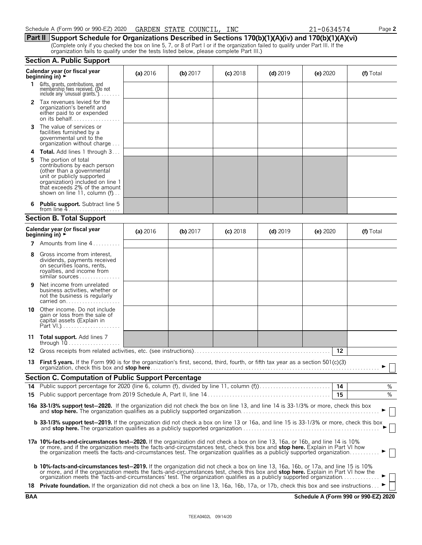|          | Calendar year (or fiscal year<br>beginning in) $\rightarrow$                                                                                                                                                                                                                                                                                                                                | (a) 2016 | $(b)$ 2017 | $(c)$ 2018 | $(d)$ 2019 | (e) 2020 | (f) Total |
|----------|---------------------------------------------------------------------------------------------------------------------------------------------------------------------------------------------------------------------------------------------------------------------------------------------------------------------------------------------------------------------------------------------|----------|------------|------------|------------|----------|-----------|
| 1.       | Gifts, grants, contributions, and<br>membership fees received. (Do not<br>include any 'unusual grants.'). $\ldots$                                                                                                                                                                                                                                                                          |          |            |            |            |          |           |
|          | 2 Tax revenues levied for the<br>organization's benefit and<br>either paid to or expended                                                                                                                                                                                                                                                                                                   |          |            |            |            |          |           |
| 3        | The value of services or<br>facilities furnished by a<br>governmental unit to the<br>organization without charge                                                                                                                                                                                                                                                                            |          |            |            |            |          |           |
| 4        | <b>Total.</b> Add lines 1 through 3                                                                                                                                                                                                                                                                                                                                                         |          |            |            |            |          |           |
| 5        | The portion of total<br>contributions by each person<br>(other than a governmental<br>unit or publicly supported<br>organization) included on line 1<br>that exceeds 2% of the amount<br>shown on line 11, column (f)                                                                                                                                                                       |          |            |            |            |          |           |
| 6        | Public support. Subtract line 5                                                                                                                                                                                                                                                                                                                                                             |          |            |            |            |          |           |
|          | <b>Section B. Total Support</b>                                                                                                                                                                                                                                                                                                                                                             |          |            |            |            |          |           |
|          | Calendar year (or fiscal year<br>beginning in) $\rightarrow$                                                                                                                                                                                                                                                                                                                                | (a) 2016 | (b) 2017   | $(c)$ 2018 | $(d)$ 2019 | (e) 2020 | (f) Total |
| 7        | Amounts from line 4                                                                                                                                                                                                                                                                                                                                                                         |          |            |            |            |          |           |
| 8        | Gross income from interest.<br>dividends, payments received<br>on securities loans, rents,<br>royalties, and income from<br>similar sources                                                                                                                                                                                                                                                 |          |            |            |            |          |           |
| 9        | Net income from unrelated<br>business activities, whether or<br>not the business is regularly<br>carried on                                                                                                                                                                                                                                                                                 |          |            |            |            |          |           |
|          | <b>10</b> Other income. Do not include<br>gain or loss from the sale of<br>capital assets (Explain in                                                                                                                                                                                                                                                                                       |          |            |            |            |          |           |
|          | 11 Total support. Add lines 7                                                                                                                                                                                                                                                                                                                                                               |          |            |            |            |          |           |
|          | 12 Gross receipts from related activities, etc. (see instructions).                                                                                                                                                                                                                                                                                                                         |          |            |            |            | $12 \,$  |           |
|          | 13 First 5 years. If the Form 990 is for the organization's first, second, third, fourth, or fifth tax year as a section 501(c)(3)                                                                                                                                                                                                                                                          |          |            |            |            |          |           |
|          | Section C. Computation of Public Support Percentage                                                                                                                                                                                                                                                                                                                                         |          |            |            |            |          |           |
| 14<br>15 | Public support percentage for 2020 (line 6, column (f), divided by line 11, column (f)                                                                                                                                                                                                                                                                                                      |          |            |            |            | 14<br>15 | $\%$<br>% |
|          | 16a 33-1/3% support test-2020. If the organization did not check the box on line 13, and line 14 is 33-1/3% or more, check this box                                                                                                                                                                                                                                                         |          |            |            |            |          |           |
|          | <b>b 33-1/3% support test-2019.</b> If the organization did not check a box on line 13 or 16a, and line 15 is 33-1/3% or more, check this box                                                                                                                                                                                                                                               |          |            |            |            |          |           |
|          | 17a 10%-facts-and-circumstances test-2020. If the organization did not check a box on line 13, 16a, or 16b, and line 14 is 10%<br>or more, and if the organization meets the facts-and-circumstances test, check this box and stop here. Explain in Part VI how<br>the organization meets the facts-and-circumstances test. The organization qualifies as a publicly supported organization |          |            |            |            |          |           |
|          | <b>b 10%-facts-and-circumstances test-2019.</b> If the organization did not check a box on line 13, 16a, 16b, or 17a, and line 15 is 10%<br>or more, and if the organization meets the facts-and-circumstances test, check this box and stop here. Explain in Part VI how the                                                                                                               |          |            |            |            |          |           |
|          | 18 Private foundation. If the organization did not check a box on line 13, 16a, 16b, 17a, or 17b, check this box and see instructions                                                                                                                                                                                                                                                       |          |            |            |            |          |           |

| Schedule A (Form |  |  |  | ו 990 or 990-EZ) 2020 | GARDEN | STATE |  | COUNCIL, | INC |  |  | <u>_</u> | $\bigcap_{i=1}^n$<br>"-0634574 | $\sim$ $ -$ |  | $\mathsf{a}$ age $\mathsf{a}$ |  |
|------------------|--|--|--|-----------------------|--------|-------|--|----------|-----|--|--|----------|--------------------------------|-------------|--|-------------------------------|--|
|                  |  |  |  |                       |        |       |  |          |     |  |  |          |                                |             |  |                               |  |

**Part II Support Schedule for Organizations Described in Sections 170(b)(1)(A)(iv) and 170(b)(1)(A)(vi)** (Complete only if you checked the box on line 5, 7, or 8 of Part I or if the organization failed to qualify under Part III. If the organization fails to qualify under the tests listed below, please complete Part III.)

#### **Section A. Public Support**

| ۰. |  |
|----|--|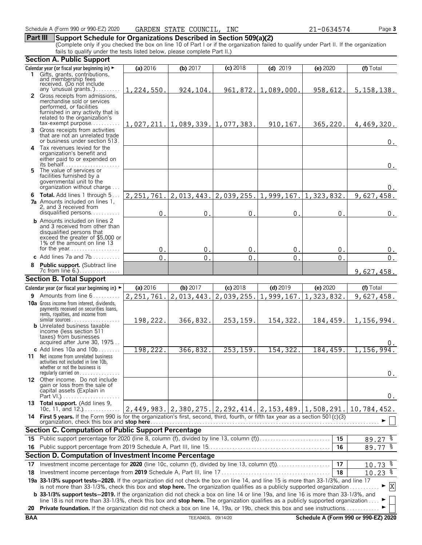### **Part III Support Schedule for Organizations Described in Section 509(a)(2)**

(Complete only if you checked the box on line 10 of Part I or if the organization failed to qualify under Part II. If the organization fails to qualify under the tests listed below, please complete Part II.)

|     | <b>Section A. Public Support</b>                                                                                                                                                        |                  |                                  |                |                                                        |                |              |
|-----|-----------------------------------------------------------------------------------------------------------------------------------------------------------------------------------------|------------------|----------------------------------|----------------|--------------------------------------------------------|----------------|--------------|
|     | Calendar year (or fiscal year beginning in) ►                                                                                                                                           | (a) 2016         | (b) $2017$                       | (c) 2018       | $(d)$ 2019                                             | (e) 2020       | (f) Total    |
|     | 1 Gifts, grants, contributions,                                                                                                                                                         |                  |                                  |                |                                                        |                |              |
|     | and membership fees<br>received. (Do not include                                                                                                                                        |                  |                                  |                |                                                        |                |              |
|     | any 'unusual grants.')<br>2 Gross receipts from admissions,                                                                                                                             | 1,224,550.       | 924,104.                         |                | $961, 872.$   1,089,000.                               | 958,612.       | 5, 158, 138. |
|     | merchandise sold or services                                                                                                                                                            |                  |                                  |                |                                                        |                |              |
|     | performed, or facilities                                                                                                                                                                |                  |                                  |                |                                                        |                |              |
|     | furnished in any activity that is<br>related to the organization's                                                                                                                      |                  |                                  |                |                                                        |                |              |
|     | $tax\text{-}exempt$ purpose                                                                                                                                                             |                  | 1,027,211. 1,089,339. 1,077,383. |                | 910, 167.                                              | 365,220.       | 4,469,320.   |
|     | <b>3</b> Gross receipts from activities                                                                                                                                                 |                  |                                  |                |                                                        |                |              |
|     | that are not an unrelated trade<br>or business under section 513.                                                                                                                       |                  |                                  |                |                                                        |                | $0$ .        |
|     | 4 Tax revenues levied for the                                                                                                                                                           |                  |                                  |                |                                                        |                |              |
|     | organization's benefit and                                                                                                                                                              |                  |                                  |                |                                                        |                |              |
|     | either paid to or expended on<br>its behalf                                                                                                                                             |                  |                                  |                |                                                        |                | $0$ .        |
|     | 5 The value of services or                                                                                                                                                              |                  |                                  |                |                                                        |                |              |
|     | facilities furnished by a<br>governmental unit to the                                                                                                                                   |                  |                                  |                |                                                        |                |              |
|     | organization without charge                                                                                                                                                             |                  |                                  |                |                                                        |                | 0.           |
|     | 6 Total. Add lines 1 through 5.                                                                                                                                                         | 2, 251, 761.     | 2,013,443.                       |                | $2,039,255.$ 1,999,167.                                | 1,323,832.     | 9,627,458.   |
|     | <b>7a</b> Amounts included on lines 1,                                                                                                                                                  |                  |                                  |                |                                                        |                |              |
|     | 2, and 3 received from<br>disqualified persons                                                                                                                                          | $\mathbf{0}$     | $\pmb{0}$                        | $\mathbf{0}$ . | $\mathbf 0$                                            | $\mathbf{0}$ . | 0.           |
|     | <b>b</b> Amounts included on lines 2                                                                                                                                                    |                  |                                  |                |                                                        |                |              |
|     | and 3 received from other than                                                                                                                                                          |                  |                                  |                |                                                        |                |              |
|     | disqualified persons that                                                                                                                                                               |                  |                                  |                |                                                        |                |              |
|     | exceed the greater of \$5,000 or<br>1% of the amount on line 13                                                                                                                         |                  |                                  |                |                                                        |                |              |
|     |                                                                                                                                                                                         | 0.               | $\mathbf{0}$ .                   | $\mathbf 0$ .  | $\mathbf{0}$                                           | 0 <sub>1</sub> | 0.           |
|     | c Add lines 7a and $7b$                                                                                                                                                                 | $\overline{0}$ . | 0                                | $\Omega$       | $\overline{0}$                                         | $\Omega$       | 0.           |
|     | Public support. (Subtract line                                                                                                                                                          |                  |                                  |                |                                                        |                |              |
|     |                                                                                                                                                                                         |                  |                                  |                |                                                        |                | 9,627,458.   |
|     | <b>Section B. Total Support</b>                                                                                                                                                         |                  |                                  |                |                                                        |                |              |
|     | Calendar year (or fiscal year beginning in) $\blacktriangleright$                                                                                                                       | (a) 2016         | (b) 2017                         | $(c)$ 2018     | $(d)$ 2019                                             | (e) 2020       | (f) Total    |
|     | <b>9</b> Amounts from line $6$                                                                                                                                                          | 2, 251, 761.     | 2,013,443.                       | 2,039,255.     | 1,999,167.                                             | 1,323,832.     | 9,627,458.   |
|     | <b>10a</b> Gross income from interest, dividends,<br>payments received on securities loans,                                                                                             |                  |                                  |                |                                                        |                |              |
|     | rents, royalties, and income from                                                                                                                                                       |                  |                                  |                |                                                        |                |              |
|     | <b>b</b> Unrelated business taxable                                                                                                                                                     | 198,222.         | 366,832.                         | 253,159.       | 154,322.                                               | 184,459.       | 1,156,994.   |
|     | income (less section 511                                                                                                                                                                |                  |                                  |                |                                                        |                |              |
|     | taxes) from businesses                                                                                                                                                                  |                  |                                  |                |                                                        |                |              |
|     | acquired after June 30, 1975<br>c Add lines 10a and 10b $\dots$                                                                                                                         | 198,222.         | 366,832.                         | 253, 159.      | 154,322.                                               | 184,459.       | 1,156,994.   |
|     | <b>11</b> Net income from unrelated business                                                                                                                                            |                  |                                  |                |                                                        |                |              |
|     | activities not included in line 10b,                                                                                                                                                    |                  |                                  |                |                                                        |                |              |
|     | whether or not the business is<br>regularly carried on $\dots\dots\dots\dots$                                                                                                           |                  |                                  |                |                                                        |                | $0$ .        |
|     | 12 Other income. Do not include                                                                                                                                                         |                  |                                  |                |                                                        |                |              |
|     | gain or loss from the sale of                                                                                                                                                           |                  |                                  |                |                                                        |                |              |
|     | capital assets (Explain in                                                                                                                                                              |                  |                                  |                |                                                        |                | 0.           |
|     | 13 Total support. (Add lines 9,                                                                                                                                                         |                  |                                  |                |                                                        |                |              |
|     | 10c, 11, and $12.$ )                                                                                                                                                                    |                  |                                  |                | 2,449,983. 2,380,275. 2,292,414. 2,153,489. 1,508,291. |                | 10,784,452.  |
|     | 14 First 5 years. If the Form 990 is for the organization's first, second, third, fourth, or fifth tax year as a section 501(c)(3)<br>organization, check this box and <b>stop here</b> |                  |                                  |                |                                                        |                |              |
|     | Section C. Computation of Public Support Percentage                                                                                                                                     |                  |                                  |                |                                                        |                |              |
| 15. | Public support percentage for 2020 (line 8, column (f), divided by line 13, column (f)                                                                                                  |                  |                                  |                |                                                        | 15             | $89.27$ $%$  |
|     |                                                                                                                                                                                         |                  |                                  |                |                                                        | 16             | 89.77 %      |
|     | Section D. Computation of Investment Income Percentage                                                                                                                                  |                  |                                  |                |                                                        |                |              |
| 17  |                                                                                                                                                                                         |                  |                                  |                |                                                        | 17             | $10.73$ $%$  |
| 18  |                                                                                                                                                                                         |                  |                                  |                |                                                        | 18             | $10.23$ $%$  |
|     | 19a 33-1/3% support tests-2020. If the organization did not check the box on line 14, and line 15 is more than 33-1/3%, and line 17                                                     |                  |                                  |                |                                                        |                |              |
|     | is not more than 33-1/3%, check this box and stop here. The organization qualifies as a publicly supported organization                                                                 |                  |                                  |                |                                                        |                | X<br>►       |
|     | <b>b</b> 33-1/3% support tests-2019. If the organization did not check a box on line 14 or line 19a, and line 16 is more than 33-1/3%, and                                              |                  |                                  |                |                                                        |                |              |
|     | line 18 is not more than 33-1/3%, check this box and stop here. The organization qualifies as a publicly supported organization                                                         |                  |                                  |                |                                                        |                |              |
|     | 20 Private foundation. If the organization did not check a box on line 14, 19a, or 19b, check this box and see instructions                                                             |                  |                                  |                |                                                        |                |              |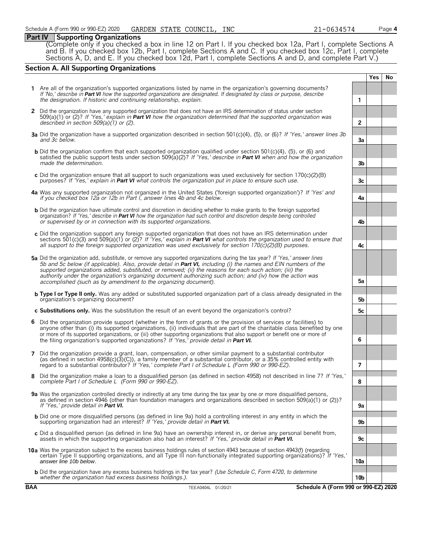#### **Part IV Supporting Organizations**

(Complete only if you checked a box in line 12 on Part I. If you checked box 12a, Part I, complete Sections A and B. If you checked box 12b, Part I, complete Sections A and C. If you checked box 12c, Part I, complete Sections A, D, and E. If you checked box 12d, Part I, complete Sections A and D, and complete Part V.)

# **Section A. All Supporting Organizations**

|   |                                                                                                                                                                                                                                                                                                                                                                                                                                                                                                                                                      |                 | <b>Yes</b> | <b>No</b> |  |  |
|---|------------------------------------------------------------------------------------------------------------------------------------------------------------------------------------------------------------------------------------------------------------------------------------------------------------------------------------------------------------------------------------------------------------------------------------------------------------------------------------------------------------------------------------------------------|-----------------|------------|-----------|--|--|
|   | 1 Are all of the organization's supported organizations listed by name in the organization's governing documents?<br>If 'No,' describe in Part VI how the supported organizations are designated. If designated by class or purpose, describe<br>the designation. If historic and continuing relationship, explain.                                                                                                                                                                                                                                  | 1               |            |           |  |  |
|   | 2 Did the organization have any supported organization that does not have an IRS determination of status under section<br>$509(a)(1)$ or (2)? If 'Yes,' explain in <b>Part VI</b> how the organization determined that the supported organization was<br>described in section $509(a)(1)$ or (2).                                                                                                                                                                                                                                                    | $\overline{2}$  |            |           |  |  |
|   | 3a Did the organization have a supported organization described in section 501(c)(4), (5), or (6)? If 'Yes,' answer lines 3b<br>and 3c below.                                                                                                                                                                                                                                                                                                                                                                                                        | 3a              |            |           |  |  |
|   | <b>b</b> Did the organization confirm that each supported organization qualified under section 501(c)(4), (5), or (6) and<br>satisfied the public support tests under section 509( $a(2)$ ? If 'Yes,' describe in <b>Part VI</b> when and how the organization<br>made the determination.                                                                                                                                                                                                                                                            | 3 <sub>b</sub>  |            |           |  |  |
|   | c Did the organization ensure that all support to such organizations was used exclusively for section $170(c)(2)(B)$<br>purposes? If 'Yes,' explain in <b>Part VI</b> what controls the organization put in place to ensure such use.                                                                                                                                                                                                                                                                                                                | 3c              |            |           |  |  |
|   | 4a Was any supported organization not organized in the United States ('foreign supported organization')? If 'Yes' and<br>if you checked box 12a or 12b in Part I, answer lines 4b and 4c below.                                                                                                                                                                                                                                                                                                                                                      | 4a              |            |           |  |  |
|   | <b>b</b> Did the organization have ultimate control and discretion in deciding whether to make grants to the foreign supported<br>organization? If 'Yes,' describe in Part VI how the organization had such control and discretion despite being controlled<br>or supervised by or in connection with its supported organizations.                                                                                                                                                                                                                   | 4b              |            |           |  |  |
|   | c Did the organization support any foreign supported organization that does not have an IRS determination under<br>sections 501(c)(3) and 509(a)(1) or (2)? If 'Yes,' explain in <b>Part VI</b> what controls the organization used to ensure that<br>all support to the foreign supported organization was used exclusively for section $170(c)(2)(B)$ purposes.                                                                                                                                                                                    | 4c              |            |           |  |  |
|   | 5a Did the organization add, substitute, or remove any supported organizations during the tax year? If 'Yes,' answer lines<br>5b and 5c below (if applicable). Also, provide detail in <b>Part VI</b> , including (i) the names and EIN numbers of the<br>supported organizations added, substituted, or removed; (ii) the reasons for each such action; (iii) the<br>authority under the organization's organizing document authorizing such action; and (iv) how the action was<br>accomplished (such as by amendment to the organizing document). |                 |            |           |  |  |
|   | <b>b</b> Type I or Type II only. Was any added or substituted supported organization part of a class already designated in the<br>organization's organizing document?                                                                                                                                                                                                                                                                                                                                                                                | 5b              |            |           |  |  |
|   | c Substitutions only. Was the substitution the result of an event beyond the organization's control?                                                                                                                                                                                                                                                                                                                                                                                                                                                 | 5с              |            |           |  |  |
| 6 | Did the organization provide support (whether in the form of grants or the provision of services or facilities) to<br>anyone other than (i) its supported organizations, (ii) individuals that are part of the charitable class benefited by one<br>or more of its supported organizations, or (iii) other supporting organizations that also support or benefit one or more of<br>the filing organization's supported organizations? If 'Yes,' provide detail in Part VI.                                                                           | 6               |            |           |  |  |
| 7 | Did the organization provide a grant, loan, compensation, or other similar payment to a substantial contributor<br>(as defined in section $4958(c)(3)(c)$ ), a family member of a substantial contributor, or a 35% controlled entity with<br>regard to a substantial contributor? If 'Yes,' complete Part I of Schedule L (Form 990 or 990-EZ).                                                                                                                                                                                                     | 7               |            |           |  |  |
| 8 | Did the organization make a loan to a disqualified person (as defined in section 4958) not described in line 7? If 'Yes,'<br>complete Part I of Schedule L (Form 990 or 990-EZ).                                                                                                                                                                                                                                                                                                                                                                     | 8               |            |           |  |  |
|   | 9a Was the organization controlled directly or indirectly at any time during the tax year by one or more disqualified persons,<br>as defined in section 4946 (other than foundation managers and organizations described in section 509(a)(1) or (2))?<br>If 'Yes,' provide detail in <b>Part VI.</b>                                                                                                                                                                                                                                                | 9a              |            |           |  |  |
|   | <b>b</b> Did one or more disqualified persons (as defined in line 9a) hold a controlling interest in any entity in which the<br>supporting organization had an interest? If 'Yes,' provide detail in Part VI.                                                                                                                                                                                                                                                                                                                                        | 9b              |            |           |  |  |
|   | c Did a disqualified person (as defined in line 9a) have an ownership interest in, or derive any personal benefit from,<br>assets in which the supporting organization also had an interest? If 'Yes,' provide detail in <b>Part VI.</b>                                                                                                                                                                                                                                                                                                             | 9c              |            |           |  |  |
|   | 10a Was the organization subject to the excess business holdings rules of section 4943 because of section 4943(f) (regarding<br>certain Type II supporting organizations, and all Type III non-functionally integrated supporting organizations)? If 'Yes,'<br>answer line 10b below.                                                                                                                                                                                                                                                                | 10a             |            |           |  |  |
|   | <b>b</b> Did the organization have any excess business holdings in the tax year? (Use Schedule C, Form 4720, to determine<br>whether the organization had excess business holdings.).                                                                                                                                                                                                                                                                                                                                                                | 10 <sub>b</sub> |            |           |  |  |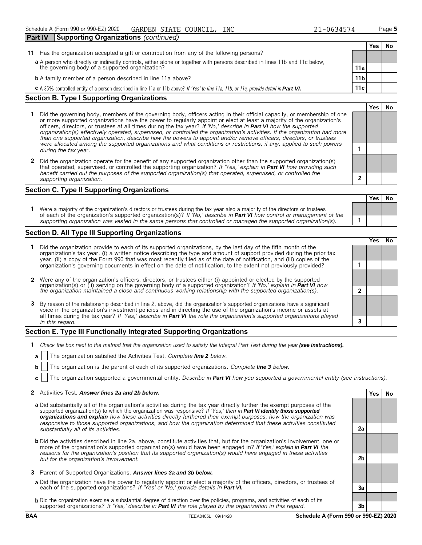|                                                                                                                             | Part IV<br><b>Supporting Organizations</b> (continued)                                     |       |      |  |
|-----------------------------------------------------------------------------------------------------------------------------|--------------------------------------------------------------------------------------------|-------|------|--|
|                                                                                                                             |                                                                                            | Yes l | . No |  |
|                                                                                                                             | 11 Has the organization accepted a gift or contribution from any of the following persons? |       |      |  |
| a A person who directly or indirectly controls, either alone or together with persons described in lines 11b and 11c below, |                                                                                            |       |      |  |
|                                                                                                                             | 11a<br>the governing body of a supported organization?                                     |       |      |  |

| <b>b</b> A family member of a person described in line 11a above? |  |
|-------------------------------------------------------------------|--|
|-------------------------------------------------------------------|--|

**c** A 35% controlled entity of a person described in line 11a or 11b above? *If 'Yes' to line 11a, 11b, or 11c, provide detail in Part VI.* **11c**

#### **Section B. Type I Supporting Organizations**

**Part IV Sup** 

- **1** Did the governing body, members of the governing body, officers acting in their official capacity, or membership of one or more supported organizations have the power to regularly appoint or elect at least a majority of the organization's officers, directors, or trustees at all times during the tax year? *If 'No,' describe in Part VI how the supported organization(s) effectively operated, supervised, or controlled the organization's activities. If the organization had more than one supported organization, describe how the powers to appoint and/or remove officers, directors, or trustees were allocated among the supported organizations and what conditions or restrictions, if any, applied to such powers* **1** *during the tax* year.
- **2** Did the organization operate for the benefit of any supported organization other than the supported organization(s) that operated, supervised, or controlled the supporting organization? *If 'Yes,' explain in Part VI how providing such benefit carried out the purposes of the supported organization(s) that operated, supervised, or controlled the supporting organization.* **2**

#### **Section C. Type II Supporting Organizations**

**Yes No 1** Were a majority of the organization's directors or trustees during the tax year also a majority of the directors or trustees of each of the organization's supported organization(s)? *If 'No,' describe in Part VI how control or management of the supporting organization was vested in the same persons that controlled or managed the supported organization(s).* **1**

#### **Section D. All Type III Supporting Organizations**

|                                                                                                                                                                                                                                                                                                                                                                                |  | ρ۵ |  |  |  |  |  |  |
|--------------------------------------------------------------------------------------------------------------------------------------------------------------------------------------------------------------------------------------------------------------------------------------------------------------------------------------------------------------------------------|--|----|--|--|--|--|--|--|
| 1 Did the organization provide to each of its supported organizations, by the last day of the fifth month of the<br>organization's tax year, (i) a written notice describing the type and amount of support provided during the prior tax<br>year, (ii) a copy of the Form 990 that was most recently filed as of the date of notification, and (iii) copies of the            |  |    |  |  |  |  |  |  |
| organization's governing documents in effect on the date of notification, to the extent not previously provided?                                                                                                                                                                                                                                                               |  |    |  |  |  |  |  |  |
| 2 Were any of the organization's officers, directors, or trustees either (i) appointed or elected by the supported                                                                                                                                                                                                                                                             |  |    |  |  |  |  |  |  |
| organization(s) or (ii) serving on the governing body of a supported organization? If No, explain in <b>Part VI</b> how<br>the organization maintained a close and continuous working relationship with the supported organization(s).                                                                                                                                         |  |    |  |  |  |  |  |  |
| 3 By reason of the relationship described in line 2, above, did the organization's supported organizations have a significant<br>voice in the organization's investment policies and in directing the use of the organization's income or assets at<br>all times during the tax year? If 'Yes,' describe in Part VI the role the organization's supported organizations played |  |    |  |  |  |  |  |  |
| in this regard.                                                                                                                                                                                                                                                                                                                                                                |  |    |  |  |  |  |  |  |

#### **Section E. Type III Functionally Integrated Supporting Organizations**

- **1** *Check the box next to the method that the organization used to satisfy the Integral Part Test during the year (see instructions).* 
	- **a** The organization satisfied the Activities Test. *Complete line 2 below.*
	- **b** The organization is the parent of each of its supported organizations. *Complete line 3 below.*
	- **c** The organization supported a governmental entity. *Describe in Part VI how you supported a governmental entity (see instructions).*

#### **2** Activities Test. *Answer lines 2a and 2b below.* **Yes No**

- **a** Did substantially all of the organization's activities during the tax year directly further the exempt purposes of the supported organization(s) to which the organization was responsive? *If 'Yes,' then in Part VI identify those supported organizations and explain how these activities directly furthered their exempt purposes, how the organization was responsive to those supported organizations, and how the organization determined that these activities constituted substantially all of its activities.* **2a**
- **b** Did the activities described in line 2a, above, constitute activities that, but for the organization's involvement, one or more of the organization's supported organization(s) would have been engaged in? *If 'Yes,' explain in Part VI the reasons for the organization's position that its supported organization(s) would have engaged in these activities but for the organization's involvement.* **2b**
- **3** Parent of Supported Organizations. *Answer lines 3a and 3b below.*
- **a** Did the organization have the power to regularly appoint or elect a majority of the officers, directors, or trustees of each of the supported organizations? *If 'Yes' or 'No,' provide details in Part VI.* **3a**
- **b** Did the organization exercise a substantial degree of direction over the policies, programs, and activities of each of its supported organizations? *If 'Yes,' describe in Part VI the role played by the organization in this regard.* **3b**

#### **BAA** TEEA0405L 09/14/20 **Schedule A (Form 990 or 990-EZ) 2020**

**Yes No**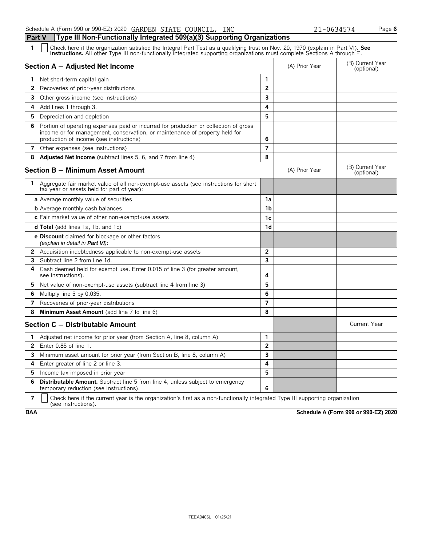#### Schedule A (Form 990 or 990-EZ) 2020 GARDEN STATE COUNCIL, INC  $21-0634574$  Page 6 **Part V Type III Non-Functionally Integrated 509(a)(3) Supporting Organizations**

| Check here if the organization satisfied the Integral Part Test as a qualifying trust on Nov. 20, 1970 (explain in Part VI). See<br>instructions. All other Type III non-functionally integrated supporting organizations must complete Sections A through E. |  |
|---------------------------------------------------------------------------------------------------------------------------------------------------------------------------------------------------------------------------------------------------------------|--|
|---------------------------------------------------------------------------------------------------------------------------------------------------------------------------------------------------------------------------------------------------------------|--|

|                | abdonon's modern right in non-randdonany integrated supporting organizations mast complete becausibility through                                                                                               |                |                |                                |
|----------------|----------------------------------------------------------------------------------------------------------------------------------------------------------------------------------------------------------------|----------------|----------------|--------------------------------|
|                | Section A - Adjusted Net Income                                                                                                                                                                                |                | (A) Prior Year | (B) Current Year<br>(optional) |
| 1              | Net short-term capital gain                                                                                                                                                                                    | 1              |                |                                |
| $\mathbf{2}$   | Recoveries of prior-year distributions                                                                                                                                                                         | $\overline{2}$ |                |                                |
| 3              | Other gross income (see instructions)                                                                                                                                                                          | 3              |                |                                |
| 4              | Add lines 1 through 3.                                                                                                                                                                                         | 4              |                |                                |
| 5              | Depreciation and depletion                                                                                                                                                                                     | 5              |                |                                |
| 6              | Portion of operating expenses paid or incurred for production or collection of gross<br>income or for management, conservation, or maintenance of property held for<br>production of income (see instructions) | 6              |                |                                |
|                | 7 Other expenses (see instructions)                                                                                                                                                                            | 7              |                |                                |
| 8              | Adjusted Net Income (subtract lines 5, 6, and 7 from line 4)                                                                                                                                                   | 8              |                |                                |
|                | <b>Section B - Minimum Asset Amount</b>                                                                                                                                                                        |                | (A) Prior Year | (B) Current Year<br>(optional) |
| 1.             | Aggregate fair market value of all non-exempt-use assets (see instructions for short<br>tax year or assets held for part of year):                                                                             |                |                |                                |
|                | a Average monthly value of securities                                                                                                                                                                          | 1a             |                |                                |
|                | <b>b</b> Average monthly cash balances                                                                                                                                                                         | 1 <sub>b</sub> |                |                                |
|                | c Fair market value of other non-exempt-use assets                                                                                                                                                             | 1 <sub>c</sub> |                |                                |
|                | <b>d Total</b> (add lines 1a, 1b, and 1c)                                                                                                                                                                      | 1d             |                |                                |
|                | <b>e Discount</b> claimed for blockage or other factors<br>(explain in detail in <b>Part VI</b> ):                                                                                                             |                |                |                                |
|                | 2 Acquisition indebtedness applicable to non-exempt-use assets                                                                                                                                                 | $\overline{2}$ |                |                                |
| 3              | Subtract line 2 from line 1d.                                                                                                                                                                                  | 3              |                |                                |
| 4              | Cash deemed held for exempt use. Enter 0.015 of line 3 (for greater amount,<br>see instructions).                                                                                                              | 4              |                |                                |
| 5              | Net value of non-exempt-use assets (subtract line 4 from line 3)                                                                                                                                               | 5              |                |                                |
| 6              | Multiply line 5 by 0.035.                                                                                                                                                                                      | 6              |                |                                |
| 7              | Recoveries of prior-year distributions                                                                                                                                                                         | $\overline{7}$ |                |                                |
| 8              | Minimum Asset Amount (add line 7 to line 6)                                                                                                                                                                    | 8              |                |                                |
|                | Section C - Distributable Amount                                                                                                                                                                               |                |                | Current Year                   |
| 1              | Adjusted net income for prior year (from Section A, line 8, column A)                                                                                                                                          | $\mathbf{1}$   |                |                                |
| $\overline{2}$ | Enter $0.85$ of line $1$ .                                                                                                                                                                                     | $\overline{2}$ |                |                                |
| 3              | Minimum asset amount for prior year (from Section B, line 8, column A)                                                                                                                                         | $\overline{3}$ |                |                                |
| 4              | Enter greater of line 2 or line 3.                                                                                                                                                                             | 4              |                |                                |
| 5              | Income tax imposed in prior year                                                                                                                                                                               | 5              |                |                                |
| 6              | Distributable Amount. Subtract line 5 from line 4, unless subject to emergency<br>temporary reduction (see instructions).                                                                                      | 6              |                |                                |
|                |                                                                                                                                                                                                                |                |                |                                |

**7**  $\mid$  Check here if the current year is the organization's first as a non-functionally integrated Type III supporting organization (see instructions).

**BAA Schedule A (Form 990 or 990-EZ) 2020**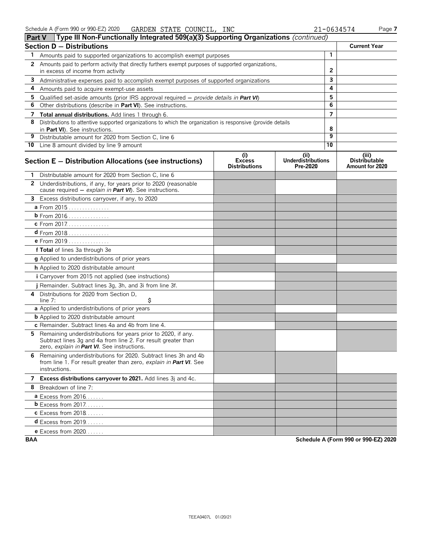| Type III Non-Functionally Integrated 509(a)(3) Supporting Organizations (continued)<br><b>Part V</b> |                                                                                                                                                                               |                                              |                                               |                |                                                  |  |  |  |
|------------------------------------------------------------------------------------------------------|-------------------------------------------------------------------------------------------------------------------------------------------------------------------------------|----------------------------------------------|-----------------------------------------------|----------------|--------------------------------------------------|--|--|--|
|                                                                                                      | <b>Section D - Distributions</b>                                                                                                                                              |                                              |                                               |                | <b>Current Year</b>                              |  |  |  |
| 1                                                                                                    | Amounts paid to supported organizations to accomplish exempt purposes                                                                                                         |                                              |                                               | $\mathbf{1}$   |                                                  |  |  |  |
| 2                                                                                                    | Amounts paid to perform activity that directly furthers exempt purposes of supported organizations,<br>in excess of income from activity                                      |                                              |                                               | 2              |                                                  |  |  |  |
| 3                                                                                                    | Administrative expenses paid to accomplish exempt purposes of supported organizations                                                                                         |                                              |                                               | 3              |                                                  |  |  |  |
| 4                                                                                                    | Amounts paid to acquire exempt-use assets                                                                                                                                     |                                              |                                               | 4              |                                                  |  |  |  |
| 5                                                                                                    | Qualified set-aside amounts (prior IRS approval required $-$ provide details in Part VI)                                                                                      |                                              |                                               | 5              |                                                  |  |  |  |
| 6                                                                                                    | Other distributions (describe in Part VI). See instructions.                                                                                                                  |                                              |                                               | 6              |                                                  |  |  |  |
| 7                                                                                                    | Total annual distributions. Add lines 1 through 6.                                                                                                                            |                                              |                                               | $\overline{7}$ |                                                  |  |  |  |
| 8                                                                                                    | Distributions to attentive supported organizations to which the organization is responsive (provide details<br>in Part VI). See instructions.                                 |                                              |                                               | 8              |                                                  |  |  |  |
| 9                                                                                                    | Distributable amount for 2020 from Section C, line 6                                                                                                                          |                                              |                                               | 9              |                                                  |  |  |  |
|                                                                                                      | 10 Line 8 amount divided by line 9 amount                                                                                                                                     |                                              |                                               | 10             |                                                  |  |  |  |
|                                                                                                      | Section E - Distribution Allocations (see instructions)                                                                                                                       | (i)<br><b>Excess</b><br><b>Distributions</b> | (ii)<br><b>Underdistributions</b><br>Pre-2020 |                | (iii)<br><b>Distributable</b><br>Amount for 2020 |  |  |  |
|                                                                                                      | Distributable amount for 2020 from Section C, line 6                                                                                                                          |                                              |                                               |                |                                                  |  |  |  |
|                                                                                                      | 2 Underdistributions, if any, for years prior to 2020 (reasonable<br>cause required $-$ explain in Part VI). See instructions.                                                |                                              |                                               |                |                                                  |  |  |  |
|                                                                                                      | 3 Excess distributions carryover, if any, to 2020                                                                                                                             |                                              |                                               |                |                                                  |  |  |  |
|                                                                                                      | a From 2015                                                                                                                                                                   |                                              |                                               |                |                                                  |  |  |  |
|                                                                                                      | <b>b</b> From 2016                                                                                                                                                            |                                              |                                               |                |                                                  |  |  |  |
|                                                                                                      | c From 2017.                                                                                                                                                                  |                                              |                                               |                |                                                  |  |  |  |
|                                                                                                      | <b>d</b> From 2018                                                                                                                                                            |                                              |                                               |                |                                                  |  |  |  |
|                                                                                                      | e From 2019                                                                                                                                                                   |                                              |                                               |                |                                                  |  |  |  |
|                                                                                                      | f Total of lines 3a through 3e                                                                                                                                                |                                              |                                               |                |                                                  |  |  |  |
|                                                                                                      | g Applied to underdistributions of prior years                                                                                                                                |                                              |                                               |                |                                                  |  |  |  |
|                                                                                                      | h Applied to 2020 distributable amount                                                                                                                                        |                                              |                                               |                |                                                  |  |  |  |
|                                                                                                      | <i>i</i> Carryover from 2015 not applied (see instructions)                                                                                                                   |                                              |                                               |                |                                                  |  |  |  |
|                                                                                                      | j Remainder. Subtract lines 3g, 3h, and 3i from line 3f.                                                                                                                      |                                              |                                               |                |                                                  |  |  |  |
| 4                                                                                                    | Distributions for 2020 from Section D.<br>\$<br>line 7:                                                                                                                       |                                              |                                               |                |                                                  |  |  |  |
|                                                                                                      | a Applied to underdistributions of prior years                                                                                                                                |                                              |                                               |                |                                                  |  |  |  |
|                                                                                                      | <b>b</b> Applied to 2020 distributable amount                                                                                                                                 |                                              |                                               |                |                                                  |  |  |  |
|                                                                                                      | c Remainder. Subtract lines 4a and 4b from line 4.                                                                                                                            |                                              |                                               |                |                                                  |  |  |  |
| 5.                                                                                                   | Remaining underdistributions for years prior to 2020, if any.<br>Subtract lines 3g and 4a from line 2. For result greater than<br>zero, explain in Part VI. See instructions. |                                              |                                               |                |                                                  |  |  |  |
|                                                                                                      | 6 Remaining underdistributions for 2020. Subtract lines 3h and 4b<br>from line 1. For result greater than zero, explain in Part VI. See<br>instructions.                      |                                              |                                               |                |                                                  |  |  |  |
|                                                                                                      | 7 Excess distributions carryover to 2021. Add lines 3j and 4c.                                                                                                                |                                              |                                               |                |                                                  |  |  |  |
|                                                                                                      | 8 Breakdown of line 7:                                                                                                                                                        |                                              |                                               |                |                                                  |  |  |  |
|                                                                                                      | <b>a</b> Excess from $2016$                                                                                                                                                   |                                              |                                               |                |                                                  |  |  |  |
|                                                                                                      | $b$ Excess from 2017.                                                                                                                                                         |                                              |                                               |                |                                                  |  |  |  |
|                                                                                                      | <b>c</b> Excess from 2018                                                                                                                                                     |                                              |                                               |                |                                                  |  |  |  |
|                                                                                                      | <b>d</b> Excess from 2019                                                                                                                                                     |                                              |                                               |                |                                                  |  |  |  |
|                                                                                                      | e Excess from 2020                                                                                                                                                            |                                              |                                               |                |                                                  |  |  |  |

**BAA Schedule A (Form 990 or 990-EZ) 2020**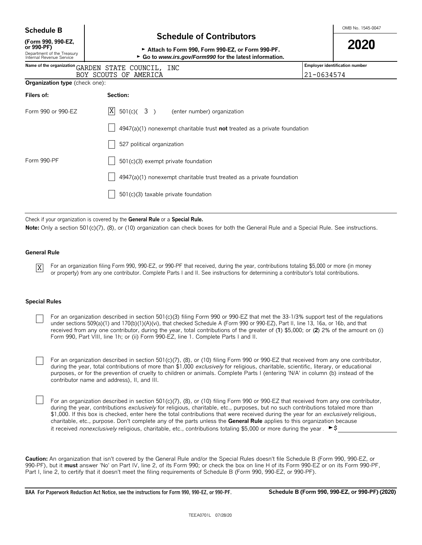**Schedule B**  $\overline{B}$  **Schedule B**  $\overline{B}$  **Schedule B**  $\overline{B}$  **Schedule B**  $\overline{B}$  **Schedule B**  $\overline{B}$  **SC EXECULE B**  $\overline{B}$  **SCHEDULE B**  $\overline{B}$  **SCHEDULE B**  $\overline{B}$  **SCHEDULE B**  $\overline{B}$  **SCHEDULE B**  $\overline{B}$ 

**(Form 990, 990-EZ,**

# **Schedule of Contributors**

| (Form 990, 990-EZ,<br>or 990-PF)<br>Department of the Treasury<br>Internal Revenue Service | Attach to Form 990, Form 990-EZ, or Form 990-PF.<br>► Go to www.irs.gov/Form990 for the latest information. | 2020                           |
|--------------------------------------------------------------------------------------------|-------------------------------------------------------------------------------------------------------------|--------------------------------|
|                                                                                            | Name of the organization GARDEN STATE COUNCIL, INC                                                          | Employer identification number |
|                                                                                            | BOY SCOUTS OF AMERICA                                                                                       | 21-0634574                     |
| <b>Organization type</b> (check one):                                                      |                                                                                                             |                                |
| Filers of:                                                                                 | <b>Section:</b>                                                                                             |                                |
| Form 990 or 990-EZ                                                                         | X<br>$501(c)$ (3)<br>(enter number) organization                                                            |                                |
|                                                                                            | $4947(a)(1)$ nonexempt charitable trust not treated as a private foundation                                 |                                |
|                                                                                            | 527 political organization                                                                                  |                                |
| Form 990-PF                                                                                | 501(c)(3) exempt private foundation                                                                         |                                |
|                                                                                            | 4947(a)(1) nonexempt charitable trust treated as a private foundation                                       |                                |

501(c)(3) taxable private foundation

Check if your organization is covered by the **General Rule** or a **Special Rule.**

**Note:** Only a section 501(c)(7), (8), or (10) organization can check boxes for both the General Rule and a Special Rule. See instructions.

#### **General Rule**

X

For an organization filing Form 990, 990-EZ, or 990-PF that received, during the year, contributions totaling \$5,000 or more (in money or property) from any one contributor. Complete Parts I and II. See instructions for determining a contributor's total contributions.

#### **Special Rules**

For an organization described in section 501(c)(3) filing Form 990 or 990-EZ that met the 33-1/3% support test of the regulations under sections 509(a)(1) and 170(b)(1)(A)(vi), that checked Schedule A (Form 990 or 990-EZ), Part II, line 13, 16a, or 16b, and that received from any one contributor, during the year, total contributions of the greater of (**1**) \$5,000; or (**2**) 2% of the amount on (i) Form 990, Part VIII, line 1h; or (ii) Form 990-EZ, line 1. Complete Parts I and II.

For an organization described in section 501(c)(7), (8), or (10) filing Form 990 or 990-EZ that received from any one contributor, during the year, total contributions of more than \$1,000 *exclusively* for religious, charitable, scientific, literary, or educational purposes, or for the prevention of cruelty to children or animals. Complete Parts I (entering 'N/A' in column (b) instead of the contributor name and address), II, and III.

For an organization described in section 501(c)(7), (8), or (10) filing Form 990 or 990-EZ that received from any one contributor, during the year, contributions *exclusively* for religious, charitable, etc., purposes, but no such contributions totaled more than \$1,000. If this box is checked, enter here the total contributions that were received during the year for an *exclusively* religious, charitable, etc., purpose. Don't complete any of the parts unless the **General Rule** applies to this organization because it received *nonexclusively* religious, charitable, etc., contributions totaling \$5,000 or more during the year .  $\blacktriangleright$ \$

**Caution:** An organization that isn't covered by the General Rule and/or the Special Rules doesn't file Schedule B (Form 990, 990-EZ, or 990-PF), but it **must** answer 'No' on Part IV, line 2, of its Form 990; or check the box on line H of its Form 990-EZ or on its Form 990-PF, Part I, line 2, to certify that it doesn't meet the filing requirements of Schedule B (Form 990, 990-EZ, or 990-PF).

**BAA For Paperwork Reduction Act Notice, see the instructions for Form 990, 990-EZ, or 990-PF. Schedule B (Form 990, 990-EZ, or 990-PF) (2020)**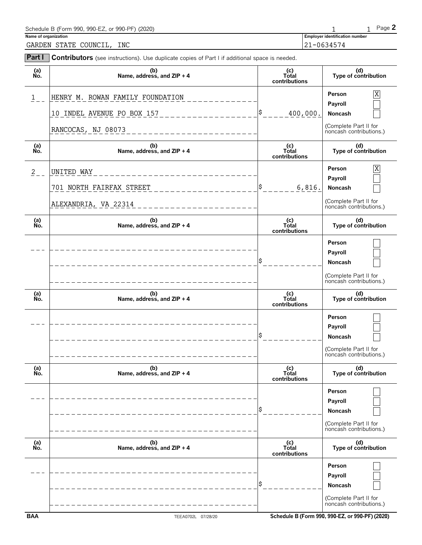| Schedule B (Form 990, 990-EZ, or 990-PF) (2020) |                                       | $P$ aqe $\blacktriangle$ |
|-------------------------------------------------|---------------------------------------|--------------------------|
| Name of organization                            | <b>Employer identification number</b> |                          |
| INC<br>GARDEN STATE COUNCIL,                    | $21 - 0634574$                        |                          |

| Part I        | Contributors (see instructions). Use duplicate copies of Part I if additional space is needed. |                               |                                                  |
|---------------|------------------------------------------------------------------------------------------------|-------------------------------|--------------------------------------------------|
| (a)<br>No.    | (b)<br>Name, address, and ZIP + 4                                                              | (c)<br>Total<br>contributions | (d)<br>Type of contribution                      |
| $1 \quad$     | HENRY M. ROWAN FAMILY FOUNDATION                                                               |                               | X<br>Person<br>Payroll                           |
|               | 10 INDEL AVENUE PO BOX 157                                                                     | 400,000.                      | Noncash                                          |
|               | RANCOCAS, NJ 08073                                                                             |                               | (Complete Part II for<br>noncash contributions.) |
| (a)<br>No.    | (b)<br>Name, address, and ZIP + 4                                                              | (c)<br>Total<br>contributions | (d)<br>Type of contribution                      |
| $\frac{2}{2}$ | UNITED WAY                                                                                     |                               | Χ<br>Person                                      |
|               | 701 NORTH FAIRFAX STREET                                                                       | 6,816.                        | Payroll<br>Noncash                               |
|               | ALEXANDRIA, VA 22314                                                                           |                               | (Complete Part II for<br>noncash contributions.) |
| (a)<br>Ňó.    | (b)<br>Name, address, and ZIP + 4                                                              | (c)<br>Total<br>contributions | (d)<br>Type of contribution                      |
|               |                                                                                                |                               | Person                                           |
|               |                                                                                                |                               | Payroll<br>Noncash                               |
|               |                                                                                                |                               | (Complete Part II for<br>noncash contributions.) |
| (a)<br>No.    | (b)<br>Name, address, and ZIP + 4                                                              | (c)<br>Total<br>contributions | (d)<br>Type of contribution                      |
|               |                                                                                                |                               | Person                                           |
|               |                                                                                                |                               | Payroll<br>Noncash                               |
|               |                                                                                                |                               | (Complete Part II for<br>noncash contributions.) |
| (a)<br>Ńó.    | (b)<br>Name, address, and ZIP + 4                                                              | (c)<br>Total<br>contributions | (d)<br>Type of contribution                      |
|               |                                                                                                |                               | Person                                           |
|               |                                                                                                |                               | Payroll<br>Noncash                               |
|               |                                                                                                |                               | (Complete Part II for<br>noncash contributions.) |
| (a)<br>No.    | (b)<br>Name, address, and ZIP + 4                                                              | (c)<br>Total<br>contributions | (d)<br>Type of contribution                      |
|               |                                                                                                |                               | Person                                           |
|               |                                                                                                |                               | Payroll<br>Noncash                               |
|               |                                                                                                |                               | (Complete Part II for<br>noncash contributions.) |
|               |                                                                                                |                               |                                                  |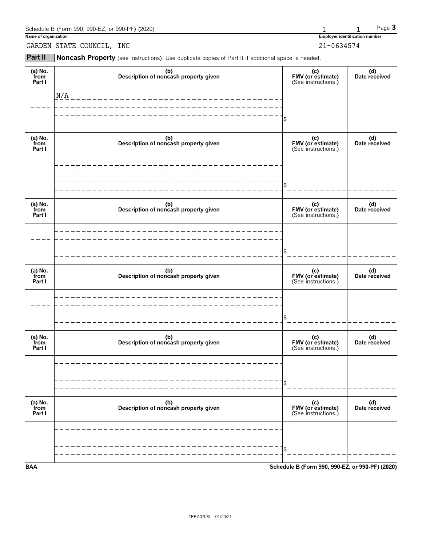| Schedule B (Form 990, 990-EZ, or 990-PF) (2020) |                                       | $P$ aqe $\bullet$ |
|-------------------------------------------------|---------------------------------------|-------------------|
| Name of organization                            | <b>Employer identification number</b> |                   |
| INC<br>GARDEN STATE COUNCIL,                    | 21-0634574                            |                   |

**Part II** Noncash Property (see instructions). Use duplicate copies of Part II if additional space is needed.

| (a) No.<br>from<br>Part I | (b)<br>Description of noncash property given | (c)<br>FMV (or estimate)<br>(See instructions.) | (d)<br>Date received |
|---------------------------|----------------------------------------------|-------------------------------------------------|----------------------|
|                           | N/A                                          |                                                 |                      |
|                           |                                              | \$                                              |                      |
| (a) No.<br>from<br>Part I | (b)<br>Description of noncash property given | (c)<br>FMV (or estimate)<br>(See instructions.) | (d)<br>Date received |
|                           |                                              |                                                 |                      |
|                           |                                              | \$                                              |                      |
| (a) No.<br>from<br>Part I | (b)<br>Description of noncash property given | (c)<br>FMV (or estimate)<br>(See instructions.) | (d)<br>Date received |
|                           |                                              |                                                 |                      |
|                           |                                              | \$                                              |                      |
| (a) No.<br>from<br>Part I | (b)<br>Description of noncash property given | (c)<br>FMV (or estimate)<br>(See instructions.) | (d)<br>Date received |
|                           |                                              |                                                 |                      |
|                           |                                              | \$                                              |                      |
| (a) No.<br>from<br>Part I | (b)<br>Description of noncash property given | (c)<br>FMV (or estimate)<br>(See instructions.) | (d)<br>Date received |
|                           |                                              |                                                 |                      |
|                           |                                              | \$                                              |                      |
| (a) No.<br>from<br>Part I | (b)<br>Description of noncash property given | (c)<br>FMV (or estimate)<br>(See instructions.) | (d)<br>Date received |
|                           |                                              |                                                 |                      |
|                           |                                              | \$                                              |                      |
| <b>BAA</b>                |                                              | Schedule B (Form 990, 990-EZ, or 990-PF) (2020) |                      |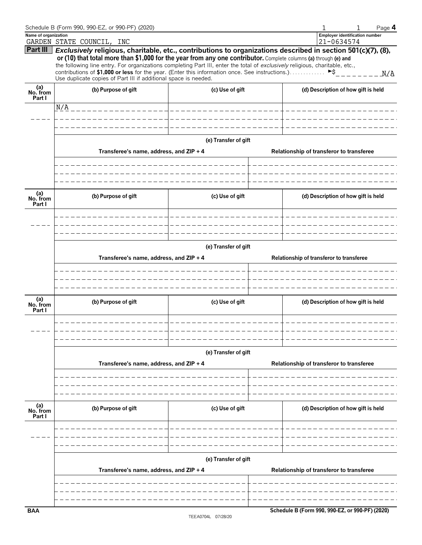|                           | Schedule B (Form 990, 990-EZ, or 990-PF) (2020)                                                                                                                                                                                                                                                                                                                                                                                                                                                                                        |                       |                                          | Page 4                                              |  |  |  |  |  |  |  |
|---------------------------|----------------------------------------------------------------------------------------------------------------------------------------------------------------------------------------------------------------------------------------------------------------------------------------------------------------------------------------------------------------------------------------------------------------------------------------------------------------------------------------------------------------------------------------|-----------------------|------------------------------------------|-----------------------------------------------------|--|--|--|--|--|--|--|
| Name of organization      | GARDEN STATE COUNCIL, INC                                                                                                                                                                                                                                                                                                                                                                                                                                                                                                              |                       |                                          | <b>Employer identification number</b><br>21-0634574 |  |  |  |  |  |  |  |
| Part III                  | Exclusively religious, charitable, etc., contributions to organizations described in section 501(c)(7), (8),<br>or (10) that total more than \$1,000 for the year from any one contributor. Complete columns (a) through (e) and<br>the following line entry. For organizations completing Part III, enter the total of exclusively religious, charitable, etc.,<br>contributions of \$1,000 or less for the year. (Enter this information once. See instructions.)<br>Use duplicate copies of Part III if additional space is needed. |                       |                                          | ►\$<br>N/A                                          |  |  |  |  |  |  |  |
| (a)<br>No. from<br>Part I | (b) Purpose of gift                                                                                                                                                                                                                                                                                                                                                                                                                                                                                                                    |                       | (d) Description of how gift is held      |                                                     |  |  |  |  |  |  |  |
|                           | N/A _________________                                                                                                                                                                                                                                                                                                                                                                                                                                                                                                                  | _____________________ |                                          |                                                     |  |  |  |  |  |  |  |
|                           |                                                                                                                                                                                                                                                                                                                                                                                                                                                                                                                                        |                       |                                          |                                                     |  |  |  |  |  |  |  |
|                           |                                                                                                                                                                                                                                                                                                                                                                                                                                                                                                                                        |                       |                                          |                                                     |  |  |  |  |  |  |  |
|                           | Transferee's name, address, and ZIP + 4                                                                                                                                                                                                                                                                                                                                                                                                                                                                                                | (e) Transfer of gift  |                                          | Relationship of transferor to transferee            |  |  |  |  |  |  |  |
|                           |                                                                                                                                                                                                                                                                                                                                                                                                                                                                                                                                        |                       |                                          |                                                     |  |  |  |  |  |  |  |
| (a)<br>No. from<br>Part I | (b) Purpose of gift                                                                                                                                                                                                                                                                                                                                                                                                                                                                                                                    | (c) Use of gift       |                                          | (d) Description of how gift is held                 |  |  |  |  |  |  |  |
|                           |                                                                                                                                                                                                                                                                                                                                                                                                                                                                                                                                        |                       |                                          |                                                     |  |  |  |  |  |  |  |
|                           | (e) Transfer of gift                                                                                                                                                                                                                                                                                                                                                                                                                                                                                                                   |                       |                                          |                                                     |  |  |  |  |  |  |  |
|                           | Transferee's name, address, and ZIP + 4                                                                                                                                                                                                                                                                                                                                                                                                                                                                                                |                       | Relationship of transferor to transferee |                                                     |  |  |  |  |  |  |  |
|                           |                                                                                                                                                                                                                                                                                                                                                                                                                                                                                                                                        |                       |                                          |                                                     |  |  |  |  |  |  |  |
|                           |                                                                                                                                                                                                                                                                                                                                                                                                                                                                                                                                        |                       |                                          |                                                     |  |  |  |  |  |  |  |
| (a)<br>No. from<br>Part I | (b) Purpose of gift                                                                                                                                                                                                                                                                                                                                                                                                                                                                                                                    | (c) Use of gift       |                                          | (d) Description of how gift is held                 |  |  |  |  |  |  |  |
|                           |                                                                                                                                                                                                                                                                                                                                                                                                                                                                                                                                        |                       |                                          |                                                     |  |  |  |  |  |  |  |
|                           | (e) Transfer of gift                                                                                                                                                                                                                                                                                                                                                                                                                                                                                                                   |                       |                                          |                                                     |  |  |  |  |  |  |  |
|                           | Transferee's name, address, and ZIP + 4                                                                                                                                                                                                                                                                                                                                                                                                                                                                                                |                       |                                          | Relationship of transferor to transferee            |  |  |  |  |  |  |  |
|                           |                                                                                                                                                                                                                                                                                                                                                                                                                                                                                                                                        |                       |                                          |                                                     |  |  |  |  |  |  |  |
|                           |                                                                                                                                                                                                                                                                                                                                                                                                                                                                                                                                        |                       |                                          |                                                     |  |  |  |  |  |  |  |
| (a)<br>No. from<br>Part I | (b) Purpose of gift                                                                                                                                                                                                                                                                                                                                                                                                                                                                                                                    | (c) Use of gift       |                                          | (d) Description of how gift is held                 |  |  |  |  |  |  |  |
|                           |                                                                                                                                                                                                                                                                                                                                                                                                                                                                                                                                        |                       |                                          |                                                     |  |  |  |  |  |  |  |
|                           |                                                                                                                                                                                                                                                                                                                                                                                                                                                                                                                                        |                       |                                          |                                                     |  |  |  |  |  |  |  |
|                           | Transferee's name, address, and ZIP + 4                                                                                                                                                                                                                                                                                                                                                                                                                                                                                                | (e) Transfer of gift  | Relationship of transferor to transferee |                                                     |  |  |  |  |  |  |  |
|                           |                                                                                                                                                                                                                                                                                                                                                                                                                                                                                                                                        |                       |                                          |                                                     |  |  |  |  |  |  |  |
|                           |                                                                                                                                                                                                                                                                                                                                                                                                                                                                                                                                        |                       |                                          |                                                     |  |  |  |  |  |  |  |
| <b>BAA</b>                |                                                                                                                                                                                                                                                                                                                                                                                                                                                                                                                                        |                       |                                          | Schedule B (Form 990, 990-EZ, or 990-PF) (2020)     |  |  |  |  |  |  |  |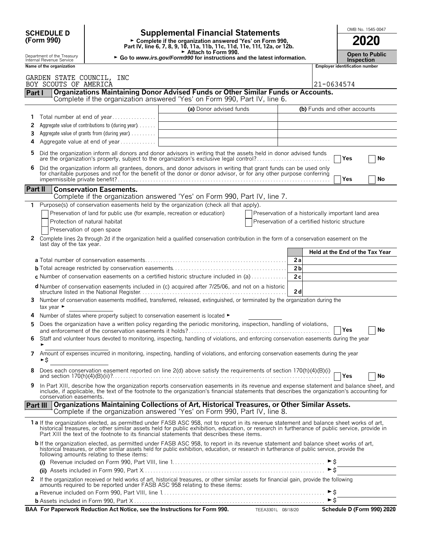| <b>SCHEDULE D</b>                                      |                                                                                                                                                                                                           | OMB No. 1545-0047                                                                                                                                                                                                                                                                                                                                                                      |                       |                                                 |                                       |                                 |  |  |
|--------------------------------------------------------|-----------------------------------------------------------------------------------------------------------------------------------------------------------------------------------------------------------|----------------------------------------------------------------------------------------------------------------------------------------------------------------------------------------------------------------------------------------------------------------------------------------------------------------------------------------------------------------------------------------|-----------------------|-------------------------------------------------|---------------------------------------|---------------------------------|--|--|
| (Form 990)                                             | <b>Supplemental Financial Statements</b><br>► Complete if the organization answered 'Yes' on Form 990,<br>Part IV, line 6, 7, 8, 9, 10, 11a, 11b, 11c, 11d, 11e, 11f, 12a, or 12b.<br>Attach to Form 990. |                                                                                                                                                                                                                                                                                                                                                                                        |                       |                                                 |                                       |                                 |  |  |
| Department of the Treasury<br>Internal Revenue Service |                                                                                                                                                                                                           | <b>Inspection</b>                                                                                                                                                                                                                                                                                                                                                                      | <b>Open to Public</b> |                                                 |                                       |                                 |  |  |
| Name of the organization                               |                                                                                                                                                                                                           |                                                                                                                                                                                                                                                                                                                                                                                        |                       |                                                 | <b>Employer identification number</b> |                                 |  |  |
| GARDEN STATE COUNCIL, INC<br>BOY SCOUTS OF AMERICA     |                                                                                                                                                                                                           |                                                                                                                                                                                                                                                                                                                                                                                        |                       | 21-0634574                                      |                                       |                                 |  |  |
| Part I                                                 |                                                                                                                                                                                                           | Organizations Maintaining Donor Advised Funds or Other Similar Funds or Accounts.                                                                                                                                                                                                                                                                                                      |                       |                                                 |                                       |                                 |  |  |
|                                                        |                                                                                                                                                                                                           | Complete if the organization answered 'Yes' on Form 990, Part IV, line 6.                                                                                                                                                                                                                                                                                                              |                       |                                                 |                                       |                                 |  |  |
| 1.                                                     | Total number at end of year                                                                                                                                                                               | (a) Donor advised funds                                                                                                                                                                                                                                                                                                                                                                |                       |                                                 | (b) Funds and other accounts          |                                 |  |  |
| 2                                                      | Aggregate value of contributions to (during year)                                                                                                                                                         |                                                                                                                                                                                                                                                                                                                                                                                        |                       |                                                 |                                       |                                 |  |  |
| 3                                                      | Aggregate value of grants from (during year)                                                                                                                                                              |                                                                                                                                                                                                                                                                                                                                                                                        |                       |                                                 |                                       |                                 |  |  |
| 4                                                      | Aggregate value at end of year                                                                                                                                                                            |                                                                                                                                                                                                                                                                                                                                                                                        |                       |                                                 |                                       |                                 |  |  |
| 5.                                                     |                                                                                                                                                                                                           | Did the organization inform all donors and donor advisors in writing that the assets held in donor advised funds<br>are the organization's property, subject to the organization's exclusive legal control?                                                                                                                                                                            |                       |                                                 | Yes                                   | No                              |  |  |
| 6                                                      |                                                                                                                                                                                                           | Did the organization inform all grantees, donors, and donor advisors in writing that grant funds can be used only for charitable purposes and not for the benefit of the donor or donor advisor, or for any other purpose conf                                                                                                                                                         |                       |                                                 |                                       |                                 |  |  |
|                                                        |                                                                                                                                                                                                           |                                                                                                                                                                                                                                                                                                                                                                                        |                       |                                                 | Yes                                   | No                              |  |  |
| Part II                                                | <b>Conservation Easements.</b>                                                                                                                                                                            | Complete if the organization answered 'Yes' on Form 990, Part IV, line 7.                                                                                                                                                                                                                                                                                                              |                       |                                                 |                                       |                                 |  |  |
| 1                                                      |                                                                                                                                                                                                           | Purpose(s) of conservation easements held by the organization (check all that apply).                                                                                                                                                                                                                                                                                                  |                       |                                                 |                                       |                                 |  |  |
|                                                        | Preservation of land for public use (for example, recreation or education)                                                                                                                                | Preservation of a historically important land area                                                                                                                                                                                                                                                                                                                                     |                       |                                                 |                                       |                                 |  |  |
|                                                        | Protection of natural habitat                                                                                                                                                                             | Preservation of a certified historic structure                                                                                                                                                                                                                                                                                                                                         |                       |                                                 |                                       |                                 |  |  |
|                                                        | Preservation of open space                                                                                                                                                                                |                                                                                                                                                                                                                                                                                                                                                                                        |                       |                                                 |                                       |                                 |  |  |
| 2<br>last day of the tax year.                         |                                                                                                                                                                                                           | Complete lines 2a through 2d if the organization held a qualified conservation contribution in the form of a conservation easement on the                                                                                                                                                                                                                                              |                       |                                                 |                                       |                                 |  |  |
|                                                        |                                                                                                                                                                                                           |                                                                                                                                                                                                                                                                                                                                                                                        |                       |                                                 |                                       | Held at the End of the Tax Year |  |  |
|                                                        |                                                                                                                                                                                                           |                                                                                                                                                                                                                                                                                                                                                                                        | 2a                    |                                                 |                                       |                                 |  |  |
|                                                        |                                                                                                                                                                                                           |                                                                                                                                                                                                                                                                                                                                                                                        | 2 <sub>b</sub>        |                                                 |                                       |                                 |  |  |
|                                                        |                                                                                                                                                                                                           | <b>c</b> Number of conservation easements on a certified historic structure included in (a) $\dots \dots \dots$                                                                                                                                                                                                                                                                        | 2c                    |                                                 |                                       |                                 |  |  |
|                                                        |                                                                                                                                                                                                           | d Number of conservation easements included in (c) acquired after 7/25/06, and not on a historic                                                                                                                                                                                                                                                                                       | 2d                    |                                                 |                                       |                                 |  |  |
| tax year ►                                             |                                                                                                                                                                                                           | 3 Number of conservation easements modified, transferred, released, extinguished, or terminated by the organization during the                                                                                                                                                                                                                                                         |                       |                                                 |                                       |                                 |  |  |
|                                                        | Number of states where property subject to conservation easement is located $\blacktriangleright$                                                                                                         |                                                                                                                                                                                                                                                                                                                                                                                        |                       |                                                 |                                       |                                 |  |  |
| 5.                                                     |                                                                                                                                                                                                           | Does the organization have a written policy regarding the periodic monitoring, inspection, handling of violations,                                                                                                                                                                                                                                                                     |                       |                                                 |                                       |                                 |  |  |
|                                                        |                                                                                                                                                                                                           | Staff and volunteer hours devoted to monitoring, inspecting, handling of violations, and enforcing conservation easements during the year                                                                                                                                                                                                                                              |                       |                                                 | Yes                                   | No                              |  |  |
| ►\$                                                    |                                                                                                                                                                                                           | 7 Amount of expenses incurred in monitoring, inspecting, handling of violations, and enforcing conservation easements during the year                                                                                                                                                                                                                                                  |                       |                                                 |                                       |                                 |  |  |
| 8                                                      |                                                                                                                                                                                                           | Does each conservation easement reported on line 2(d) above satisfy the requirements of section 170(h)(4)(B)(i)                                                                                                                                                                                                                                                                        |                       |                                                 | <b>PYes</b>                           | No                              |  |  |
| 9                                                      |                                                                                                                                                                                                           | In Part XIII, describe how the organization reports conservation easements in its revenue and expense statement and balance sheet, and<br>include, if applicable, the text of the footnote to the organization's financial statements that describes the organization's accounting for                                                                                                 |                       |                                                 |                                       |                                 |  |  |
| conservation easements.                                |                                                                                                                                                                                                           | Part III   Organizations Maintaining Collections of Art, Historical Treasures, or Other Similar Assets.                                                                                                                                                                                                                                                                                |                       |                                                 |                                       |                                 |  |  |
|                                                        |                                                                                                                                                                                                           | Complete if the organization answered 'Yes' on Form 990, Part IV, line 8.                                                                                                                                                                                                                                                                                                              |                       |                                                 |                                       |                                 |  |  |
|                                                        |                                                                                                                                                                                                           | 1a If the organization elected, as permitted under FASB ASC 958, not to report in its revenue statement and balance sheet works of art,<br>historical treasures, or other similar assets held for public exhibition, education, or research in furtherance of public service, provide in<br>Part XIII the text of the footnote to its financial statements that describes these items. |                       |                                                 |                                       |                                 |  |  |
|                                                        | following amounts relating to these items:                                                                                                                                                                | <b>b</b> If the organization elected, as permitted under FASB ASC 958, to report in its revenue statement and balance sheet works of art, historical treasures, or other similar assets held for public exhibition, education, or r                                                                                                                                                    |                       |                                                 |                                       |                                 |  |  |
|                                                        |                                                                                                                                                                                                           |                                                                                                                                                                                                                                                                                                                                                                                        |                       |                                                 |                                       |                                 |  |  |
|                                                        |                                                                                                                                                                                                           |                                                                                                                                                                                                                                                                                                                                                                                        |                       | $\triangleright$ \$                             |                                       |                                 |  |  |
| 2                                                      |                                                                                                                                                                                                           | If the organization received or held works of art, historical treasures, or other similar assets for financial gain, provide the following<br>amounts required to be reported under FASB ASC 958 relating to these items:                                                                                                                                                              |                       |                                                 |                                       |                                 |  |  |
|                                                        |                                                                                                                                                                                                           |                                                                                                                                                                                                                                                                                                                                                                                        |                       | $\blacktriangleright$ \$<br>$\triangleright$ \$ |                                       |                                 |  |  |
|                                                        |                                                                                                                                                                                                           |                                                                                                                                                                                                                                                                                                                                                                                        |                       |                                                 |                                       |                                 |  |  |

| BAA For Paperwork Reduction Act Notice, see the Instructions for Form 990. | TEEA3301L 08/18/20 | Schedule D (Form 990) 2020 |
|----------------------------------------------------------------------------|--------------------|----------------------------|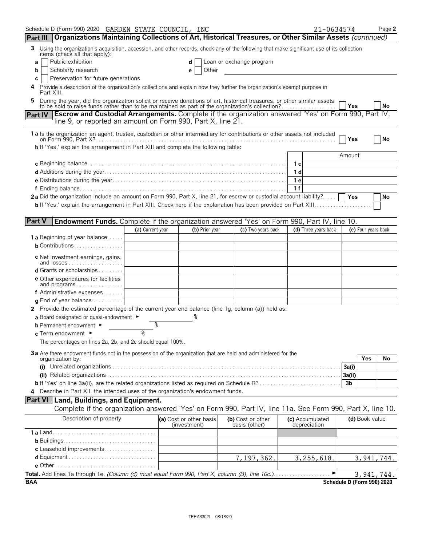|                                        | Schedule D (Form 990) 2020 GARDEN STATE COUNCIL, INC                                                                                                                                                                      |                  |                         |                          |     | 21-0634574           |                            | Page 2       |
|----------------------------------------|---------------------------------------------------------------------------------------------------------------------------------------------------------------------------------------------------------------------------|------------------|-------------------------|--------------------------|-----|----------------------|----------------------------|--------------|
| <b>Part III</b>                        | Organizations Maintaining Collections of Art, Historical Treasures, or Other Similar Assets (continued)                                                                                                                   |                  |                         |                          |     |                      |                            |              |
| 3                                      | Using the organization's acquisition, accession, and other records, check any of the following that make significant use of its collection<br>items (check all that apply):                                               |                  |                         |                          |     |                      |                            |              |
| a                                      | Public exhibition                                                                                                                                                                                                         |                  | d                       | Loan or exchange program |     |                      |                            |              |
| b                                      | Scholarly research                                                                                                                                                                                                        |                  | Other<br>е              |                          |     |                      |                            |              |
| С                                      | Preservation for future generations                                                                                                                                                                                       |                  |                         |                          |     |                      |                            |              |
| Part XIII.                             | Provide a description of the organization's collections and explain how they further the organization's exempt purpose in                                                                                                 |                  |                         |                          |     |                      |                            |              |
|                                        | During the year, did the organization solicit or receive donations of art, historical treasures, or other similar assets to be sold to raise funds rather than to be maintained as part of the organization's collection? |                  |                         |                          |     |                      | Yes                        | <b>No</b>    |
| <b>Part IV</b>                         | <b>Escrow and Custodial Arrangements.</b> Complete if the organization answered 'Yes' on Form 990, Part IV,                                                                                                               |                  |                         |                          |     |                      |                            |              |
|                                        | line 9, or reported an amount on Form 990, Part X, line 21.                                                                                                                                                               |                  |                         |                          |     |                      |                            |              |
|                                        | 1a Is the organization an agent, trustee, custodian or other intermediary for contributions or other assets not included                                                                                                  |                  |                         |                          |     |                      |                            |              |
|                                        | <b>b</b> If 'Yes,' explain the arrangement in Part XIII and complete the following table:                                                                                                                                 |                  |                         |                          |     |                      | Yes                        | No           |
|                                        |                                                                                                                                                                                                                           |                  |                         |                          |     |                      | Amount                     |              |
|                                        |                                                                                                                                                                                                                           |                  |                         |                          | 1 с |                      |                            |              |
|                                        |                                                                                                                                                                                                                           |                  |                         |                          | 1 d |                      |                            |              |
|                                        |                                                                                                                                                                                                                           |                  |                         |                          | 1 e |                      |                            |              |
|                                        |                                                                                                                                                                                                                           |                  |                         |                          | 1f  |                      |                            |              |
|                                        | 2a Did the organization include an amount on Form 990, Part X, line 21, for escrow or custodial account liability?                                                                                                        |                  |                         |                          |     |                      | Yes                        | No           |
|                                        |                                                                                                                                                                                                                           |                  |                         |                          |     |                      |                            |              |
|                                        |                                                                                                                                                                                                                           |                  |                         |                          |     |                      |                            |              |
| <b>Part V</b>                          | <b>Endowment Funds.</b> Complete if the organization answered 'Yes' on Form 990, Part IV, line 10.                                                                                                                        |                  |                         |                          |     |                      |                            |              |
|                                        |                                                                                                                                                                                                                           | (a) Current year | (b) Prior year          | (c) Two years back       |     | (d) Three years back | (e) Four years back        |              |
|                                        | <b>1 a</b> Beginning of year balance                                                                                                                                                                                      |                  |                         |                          |     |                      |                            |              |
|                                        | <b>b</b> Contributions                                                                                                                                                                                                    |                  |                         |                          |     |                      |                            |              |
|                                        | c Net investment earnings, gains,<br>and losses                                                                                                                                                                           |                  |                         |                          |     |                      |                            |              |
|                                        | <b>d</b> Grants or scholarships $\ldots$                                                                                                                                                                                  |                  |                         |                          |     |                      |                            |              |
|                                        | <b>e</b> Other expenditures for facilities<br>and programs                                                                                                                                                                |                  |                         |                          |     |                      |                            |              |
|                                        | <b>f</b> Administrative expenses $\dots$                                                                                                                                                                                  |                  |                         |                          |     |                      |                            |              |
|                                        | <b>q</b> End of year balance $\ldots \ldots \ldots$                                                                                                                                                                       |                  |                         |                          |     |                      |                            |              |
|                                        | 2 Provide the estimated percentage of the current year end balance (line 1g, column (a)) held as:                                                                                                                         |                  |                         |                          |     |                      |                            |              |
|                                        | a Board designated or quasi-endowment $\blacktriangleright$                                                                                                                                                               |                  |                         |                          |     |                      |                            |              |
| <b>b</b> Permanent endowment ►         |                                                                                                                                                                                                                           | ిం               |                         |                          |     |                      |                            |              |
| c Term endowment $\blacktriangleright$ |                                                                                                                                                                                                                           | يو               |                         |                          |     |                      |                            |              |
|                                        | The percentages on lines 2a, 2b, and 2c should equal 100%.                                                                                                                                                                |                  |                         |                          |     |                      |                            |              |
|                                        | 3a Are there endowment funds not in the possession of the organization that are held and administered for the                                                                                                             |                  |                         |                          |     |                      |                            |              |
| organization by:                       |                                                                                                                                                                                                                           |                  |                         |                          |     |                      | Yes                        | No           |
|                                        |                                                                                                                                                                                                                           |                  |                         |                          |     |                      | 3a(i)                      |              |
|                                        |                                                                                                                                                                                                                           |                  |                         |                          |     |                      | 3a(ii)                     |              |
|                                        | b If 'Yes' on line 3a(ii), are the related organizations listed as required on Schedule R?<br>4 Describe in Part XIII the intended uses of the organization's endowment funds.                                            |                  |                         |                          |     |                      | 3b                         |              |
|                                        | <b>Part VI</b> Land, Buildings, and Equipment.                                                                                                                                                                            |                  |                         |                          |     |                      |                            |              |
|                                        | Complete if the organization answered 'Yes' on Form 990, Part IV, line 11a. See Form 990, Part X, line 10.                                                                                                                |                  |                         |                          |     |                      |                            |              |
|                                        | Description of property                                                                                                                                                                                                   |                  | (a) Cost or other basis | (b) Cost or other        |     | (c) Accumulated      | (d) Book value             |              |
|                                        |                                                                                                                                                                                                                           |                  | (investment)            | basis (other)            |     | depreciation         |                            |              |
|                                        |                                                                                                                                                                                                                           |                  |                         |                          |     |                      |                            |              |
|                                        |                                                                                                                                                                                                                           |                  |                         |                          |     |                      |                            |              |
|                                        | c Leasehold improvements                                                                                                                                                                                                  |                  |                         |                          |     |                      |                            |              |
|                                        |                                                                                                                                                                                                                           |                  |                         | 7,197,362.               |     | 3, 255, 618.         |                            | 3, 941, 744. |
|                                        |                                                                                                                                                                                                                           |                  |                         |                          |     | ▶                    |                            |              |
| <b>BAA</b>                             |                                                                                                                                                                                                                           |                  |                         |                          |     |                      | Schedule D (Form 990) 2020 | 3, 941, 744. |
|                                        |                                                                                                                                                                                                                           |                  |                         |                          |     |                      |                            |              |

TEEA3302L 08/18/20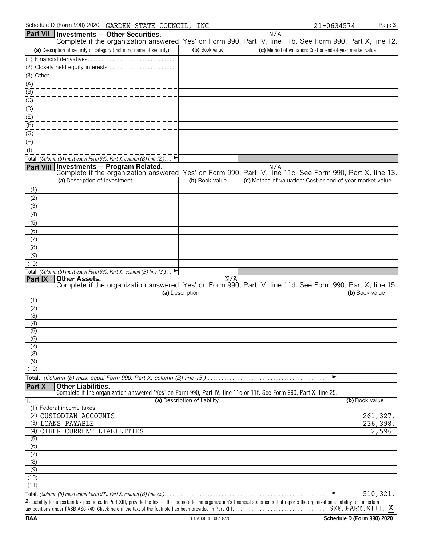| Schedule D (Form 990) 2020 GARDEN STATE COUNCIL,                                                                        | INC                          | 21-0634574                                                | Page 3         |
|-------------------------------------------------------------------------------------------------------------------------|------------------------------|-----------------------------------------------------------|----------------|
| Part VII   Investments - Other Securities.                                                                              |                              | N/A                                                       |                |
| Complete if the organization answered 'Yes' on Form 990, Part IV, line 11b. See Form 990, Part X, line 12.              |                              |                                                           |                |
| (a) Description of security or category (including name of security)                                                    | (b) Book value               | (c) Method of valuation: Cost or end-of-year market value |                |
|                                                                                                                         |                              |                                                           |                |
| (2) Closely held equity interests                                                                                       |                              |                                                           |                |
| (3) Other                                                                                                               |                              |                                                           |                |
| (A)<br>(B)                                                                                                              |                              |                                                           |                |
| (C)                                                                                                                     |                              |                                                           |                |
| (D)                                                                                                                     |                              |                                                           |                |
| (E)                                                                                                                     |                              |                                                           |                |
| (F)                                                                                                                     |                              |                                                           |                |
| (G)                                                                                                                     |                              |                                                           |                |
| (H)                                                                                                                     |                              |                                                           |                |
| $($ l $)$                                                                                                               |                              |                                                           |                |
| Total. (Column (b) must equal Form 990, Part X, column (B) line 12.)                                                    |                              |                                                           |                |
| Part VIII Investments - Program Related.                                                                                |                              | N/A                                                       |                |
| Complete if the organization answered 'Yes' on Form 990, Part IV, line 11c. See Form 990, Part X, line 13.              |                              |                                                           |                |
| (a) Description of investment                                                                                           | (b) Book value               | (c) Method of valuation: Cost or end-of-year market value |                |
| (1)                                                                                                                     |                              |                                                           |                |
| (2)                                                                                                                     |                              |                                                           |                |
| (3)                                                                                                                     |                              |                                                           |                |
| (4)                                                                                                                     |                              |                                                           |                |
| (5)                                                                                                                     |                              |                                                           |                |
| (6)                                                                                                                     |                              |                                                           |                |
| (7)                                                                                                                     |                              |                                                           |                |
| (8)                                                                                                                     |                              |                                                           |                |
| (9)                                                                                                                     |                              |                                                           |                |
| (10)<br>Total. (Column (b) must equal Form 990, Part X, column (B) line 13.).                                           |                              |                                                           |                |
| Part IX<br><b>Other Assets.</b>                                                                                         | N/A                          |                                                           |                |
| Complete if the organization answered 'Yes' on Form 990, Part IV, line 11d. See Form 990, Part X, line 15.              |                              |                                                           |                |
|                                                                                                                         | (a) Description              |                                                           | (b) Book value |
| (1)                                                                                                                     |                              |                                                           |                |
| (2)<br>(3)                                                                                                              |                              |                                                           |                |
| (4)                                                                                                                     |                              |                                                           |                |
| $\overline{(5)}$                                                                                                        |                              |                                                           |                |
| (6)                                                                                                                     |                              |                                                           |                |
| (7)                                                                                                                     |                              |                                                           |                |
| (8)                                                                                                                     |                              |                                                           |                |
| (9)                                                                                                                     |                              |                                                           |                |
| (10)                                                                                                                    |                              |                                                           |                |
|                                                                                                                         |                              | ▶                                                         |                |
| <b>Other Liabilities.</b><br>Part X                                                                                     |                              |                                                           |                |
| Complete if the organization answered 'Yes' on Form 990, Part IV, line 11e or 11f. See Form 990, Part X, line 25.<br>ī. | (a) Description of liability |                                                           | (b) Book value |
| (1) Federal income taxes                                                                                                |                              |                                                           |                |
| (2) CUSTODIAN ACCOUNTS                                                                                                  |                              |                                                           | 261,327.       |
| (3) LOANS PAYABLE                                                                                                       |                              |                                                           | 236,398.       |
| (4) OTHER CURRENT LIABILITIES                                                                                           |                              |                                                           | 12,596.        |
| $\overline{(5)}$                                                                                                        |                              |                                                           |                |
| $\overline{(6)}$                                                                                                        |                              |                                                           |                |
| (7)                                                                                                                     |                              |                                                           |                |
| (8)                                                                                                                     |                              |                                                           |                |
| (9)                                                                                                                     |                              |                                                           |                |
| (10)<br>(11)                                                                                                            |                              |                                                           |                |
|                                                                                                                         |                              |                                                           |                |

**Total.** *(Column (b) must equal Form 990, Part X, column (B) line 25.)*. . . . . . . . . . . . . . . . . . . . . . . . . . . . . . . . . . . . . . . . . . . . . . . . . . . . . . . . . . . . . G **2.** Liability for uncertain tax positions. In Part XIII, provide the text of the footnote to the organization's financial statements that reports the organization's liability for uncertain tax positions under FASB ASC 740. Check here if the text of the footnote has been provided in Part XIII. . . . . . . . . . . . . . . . . . . . . . . . . . . . . . . . . . . . . . . . . . . . . . . . . . . . . . . . 510,321. SEE PART XIII <mark>X</mark>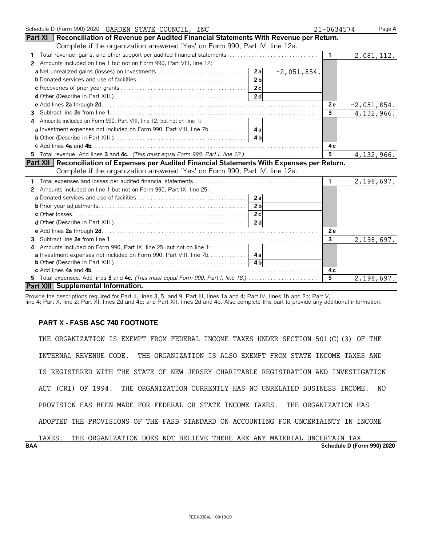| Schedule D (Form 990) 2020 GARDEN STATE COUNCIL, INC                                                  | 21-0634574     | Page 4        |
|-------------------------------------------------------------------------------------------------------|----------------|---------------|
| Part XI   Reconciliation of Revenue per Audited Financial Statements With Revenue per Return.         |                |               |
| Complete if the organization answered 'Yes' on Form 990, Part IV, line 12a.                           |                |               |
|                                                                                                       | $\mathbf{1}$   | 2,081,112.    |
| Amounts included on line 1 but not on Form 990, Part VIII, line 12:<br>2                              |                |               |
| $-2,051,854.$                                                                                         |                |               |
| 2 <sub>b</sub>                                                                                        |                |               |
|                                                                                                       |                |               |
|                                                                                                       |                |               |
|                                                                                                       | 2e             | $-2,051,854.$ |
| 3                                                                                                     | $\overline{3}$ | 4, 132, 966.  |
| Amounts included on Form 990, Part VIII, line 12, but not on line 1:<br>4                             |                |               |
| a Investment expenses not included on Form 990, Part VIII, line 7b. 4a                                |                |               |
|                                                                                                       |                |               |
|                                                                                                       | 4с             |               |
| 5 Total revenue. Add lines 3 and 4c. (This must equal Form 990, Part I, line 12.)                     | 5              | 4, 132, 966.  |
| <b>Part XII Reconciliation of Expenses per Audited Financial Statements With Expenses per Return.</b> |                |               |
| Complete if the organization answered 'Yes' on Form 990, Part IV, line 12a.                           |                |               |
|                                                                                                       | $\mathbf{1}$   | 2,198,697.    |
| Amounts included on line 1 but not on Form 990, Part IX, line 25:<br>2                                |                |               |
| 2a                                                                                                    |                |               |
| 2 <sub>b</sub>                                                                                        |                |               |
|                                                                                                       |                |               |
|                                                                                                       |                |               |
|                                                                                                       | 2e             |               |
| 3.                                                                                                    | 3              | 2,198,697.    |
| Amounts included on Form 990, Part IX, line 25, but not on line 1:<br>4                               |                |               |
| a Investment expenses not included on Form 990, Part VIII, line 7b. 4a                                |                |               |
| 4 <sub>h</sub>                                                                                        |                |               |
|                                                                                                       | 4 c            |               |
| 5 Total expenses. Add lines 3 and 4c. (This must equal Form 990, Part I, line 18.)                    | $\overline{5}$ | 2,198,697.    |
| Part XIII Supplemental Information.                                                                   |                |               |

Provide the descriptions required for Part II, lines 3, 5, and 9; Part III, lines 1a and 4; Part IV, lines 1b and 2b; Part V,

line 4; Part X, line 2; Part XI, lines 2d and 4b; and Part XII, lines 2d and 4b. Also complete this part to provide any additional information.

# **PART X - FASB ASC 740 FOOTNOTE**

THE ORGANIZATION IS EXEMPT FROM FEDERAL INCOME TAXES UNDER SECTION 501(C)(3) OF THE INTERNAL REVENUE CODE. THE ORGANIZATION IS ALSO EXEMPT FROM STATE INCOME TAXES AND IS REGISTERED WITH THE STATE OF NEW JERSEY CHARITABLE REGISTRATION AND INVESTIGATION ACT (CRI) OF 1994. THE ORGANIZATION CURRENTLY HAS NO UNRELATED BUSINESS INCOME. NO PROVISION HAS BEEN MADE FOR FEDERAL OR STATE INCOME TAXES. THE ORGANIZATION HAS ADOPTED THE PROVISIONS OF THE FASB STANDARD ON ACCOUNTING FOR UNCERTAINTY IN INCOME

|            | TAXES | THE. | ORGANIZATION DOES NOT BELIEVE THERE ARE ANY MATERIAL UNCERTAIN TAX |  |  |  |  |                            |  |
|------------|-------|------|--------------------------------------------------------------------|--|--|--|--|----------------------------|--|
| <b>BAA</b> |       |      |                                                                    |  |  |  |  | Schedule D (Form 990) 2020 |  |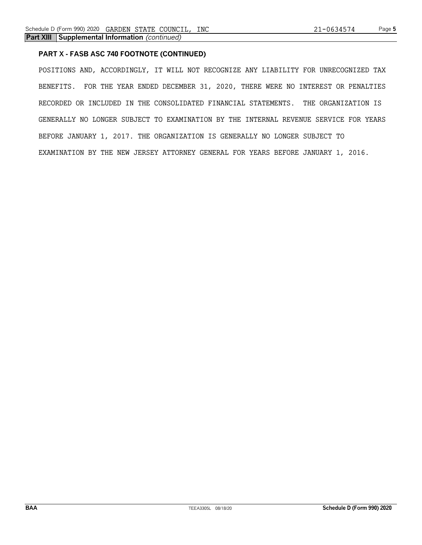# **PART X - FASB ASC 740 FOOTNOTE (CONTINUED)**

POSITIONS AND, ACCORDINGLY, IT WILL NOT RECOGNIZE ANY LIABILITY FOR UNRECOGNIZED TAX BENEFITS. FOR THE YEAR ENDED DECEMBER 31, 2020, THERE WERE NO INTEREST OR PENALTIES RECORDED OR INCLUDED IN THE CONSOLIDATED FINANCIAL STATEMENTS. THE ORGANIZATION IS GENERALLY NO LONGER SUBJECT TO EXAMINATION BY THE INTERNAL REVENUE SERVICE FOR YEARS BEFORE JANUARY 1, 2017. THE ORGANIZATION IS GENERALLY NO LONGER SUBJECT TO EXAMINATION BY THE NEW JERSEY ATTORNEY GENERAL FOR YEARS BEFORE JANUARY 1, 2016.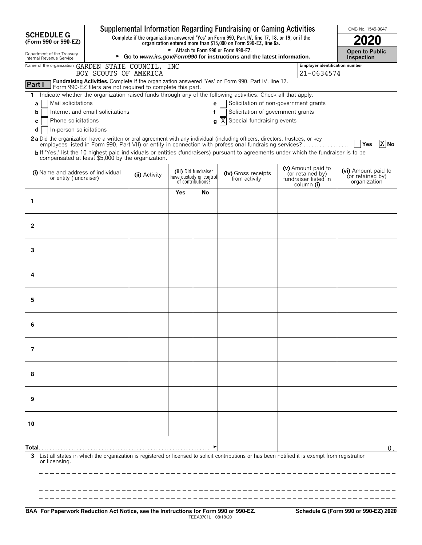|                                                                                               | Supplemental Information Regarding Fundraising or Gaming Activities      | OMB No. 1545-0047                          |     |                                                                      |                                                                                                                                                                                                                                                                                                                                                                                                                                                                             |                                                                              |                                                         |
|-----------------------------------------------------------------------------------------------|--------------------------------------------------------------------------|--------------------------------------------|-----|----------------------------------------------------------------------|-----------------------------------------------------------------------------------------------------------------------------------------------------------------------------------------------------------------------------------------------------------------------------------------------------------------------------------------------------------------------------------------------------------------------------------------------------------------------------|------------------------------------------------------------------------------|---------------------------------------------------------|
| <b>SCHEDULE G</b><br>(Form 990 or 990-EZ)                                                     |                                                                          |                                            |     |                                                                      | Complete if the organization answered 'Yes' on Form 990, Part IV, line 17, 18, or 19, or if the<br>organization entered more than \$15,000 on Form 990-EZ, line 6a.                                                                                                                                                                                                                                                                                                         |                                                                              |                                                         |
| Department of the Treasury<br>Internal Revenue Service                                        | ► Go to www.irs.gov/Form990 for instructions and the latest information. | <b>Open to Public</b><br><b>Inspection</b> |     |                                                                      |                                                                                                                                                                                                                                                                                                                                                                                                                                                                             |                                                                              |                                                         |
| Name of the organization GARDEN STATE COUNCIL, INC                                            |                                                                          |                                            |     |                                                                      |                                                                                                                                                                                                                                                                                                                                                                                                                                                                             | Employer identification number                                               |                                                         |
|                                                                                               | BOY SCOUTS OF AMERICA                                                    |                                            |     |                                                                      |                                                                                                                                                                                                                                                                                                                                                                                                                                                                             | 21-0634574                                                                   |                                                         |
| Part I                                                                                        | Form 990-EZ filers are not required to complete this part.               |                                            |     |                                                                      | Fundraising Activities. Complete if the organization answered 'Yes' on Form 990, Part IV, line 17.                                                                                                                                                                                                                                                                                                                                                                          |                                                                              |                                                         |
| 1<br>Mail solicitations<br>a<br>b<br>Phone solicitations<br>c<br>In-person solicitations<br>d | Internet and email solicitations                                         |                                            |     | e<br>f<br>q                                                          | Indicate whether the organization raised funds through any of the following activities. Check all that apply.<br>Solicitation of non-government grants<br>Solicitation of government grants<br>ΙX<br>Special fundraising events<br>2a Did the organization have a written or oral agreement with any individual (including officers, directors, trustees, or key<br>employees listed in Form 990, Part VII) or entity in connection with professional fundraising services? |                                                                              | $X$ No<br>Yes                                           |
| compensated at least \$5,000 by the organization.                                             |                                                                          |                                            |     |                                                                      | b If 'Yes,' list the 10 highest paid individuals or entities (fundraisers) pursuant to agreements under which the fundraiser is to be                                                                                                                                                                                                                                                                                                                                       |                                                                              |                                                         |
| (i) Name and address of individual<br>or entity (fundraiser)                                  |                                                                          | (ii) Activity                              |     | (iii) Did fundraiser<br>have custody or control<br>of contributions? | (iv) Gross receipts<br>from activity                                                                                                                                                                                                                                                                                                                                                                                                                                        | (v) Amount paid to<br>(or retained by)<br>fundraiser listed in<br>column (i) | (vi) Amount paid to<br>(or retained by)<br>organization |
|                                                                                               |                                                                          |                                            | Yes | No                                                                   |                                                                                                                                                                                                                                                                                                                                                                                                                                                                             |                                                                              |                                                         |
| $\mathbf{1}$                                                                                  |                                                                          |                                            |     |                                                                      |                                                                                                                                                                                                                                                                                                                                                                                                                                                                             |                                                                              |                                                         |
| 2                                                                                             |                                                                          |                                            |     |                                                                      |                                                                                                                                                                                                                                                                                                                                                                                                                                                                             |                                                                              |                                                         |
| 3                                                                                             |                                                                          |                                            |     |                                                                      |                                                                                                                                                                                                                                                                                                                                                                                                                                                                             |                                                                              |                                                         |
| 4                                                                                             |                                                                          |                                            |     |                                                                      |                                                                                                                                                                                                                                                                                                                                                                                                                                                                             |                                                                              |                                                         |
| 5                                                                                             |                                                                          |                                            |     |                                                                      |                                                                                                                                                                                                                                                                                                                                                                                                                                                                             |                                                                              |                                                         |
| 6                                                                                             |                                                                          |                                            |     |                                                                      |                                                                                                                                                                                                                                                                                                                                                                                                                                                                             |                                                                              |                                                         |
| 7                                                                                             |                                                                          |                                            |     |                                                                      |                                                                                                                                                                                                                                                                                                                                                                                                                                                                             |                                                                              |                                                         |
| 8                                                                                             |                                                                          |                                            |     |                                                                      |                                                                                                                                                                                                                                                                                                                                                                                                                                                                             |                                                                              |                                                         |
| 9                                                                                             |                                                                          |                                            |     |                                                                      |                                                                                                                                                                                                                                                                                                                                                                                                                                                                             |                                                                              |                                                         |
| 10                                                                                            |                                                                          |                                            |     |                                                                      |                                                                                                                                                                                                                                                                                                                                                                                                                                                                             |                                                                              |                                                         |
| Total…<br>3<br>or licensing.                                                                  |                                                                          |                                            |     |                                                                      | List all states in which the organization is registered or licensed to solicit contributions or has been notified it is exempt from registration                                                                                                                                                                                                                                                                                                                            |                                                                              | $0$ .                                                   |
|                                                                                               |                                                                          |                                            |     |                                                                      |                                                                                                                                                                                                                                                                                                                                                                                                                                                                             |                                                                              |                                                         |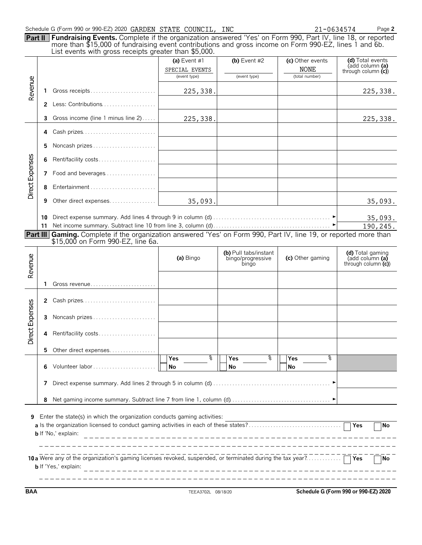|                 |                       | Schedule G (Form 990 or 990-EZ) 2020 GARDEN STATE COUNCIL, INC<br><b>Part II Fundraising Events.</b> Complete if the organization answered 'Yes' on Form 990, Part IV, line 18, or reported<br>more than \$15,000 of fundraising event contributions and gross income on Form 990-EZ, lines 1 and 6b.<br>List events with gross receipts greater than \$5,000. |                                                  |                                                     |                                                   | Page 2<br>21-0634574                                                             |
|-----------------|-----------------------|----------------------------------------------------------------------------------------------------------------------------------------------------------------------------------------------------------------------------------------------------------------------------------------------------------------------------------------------------------------|--------------------------------------------------|-----------------------------------------------------|---------------------------------------------------|----------------------------------------------------------------------------------|
| Revenue         |                       |                                                                                                                                                                                                                                                                                                                                                                | (a) Event $#1$<br>SPECIAL EVENTS<br>(event type) | (b) Event $#2$<br>(event type)                      | (c) Other events<br><b>NONE</b><br>(total number) | (d) Total events<br>(add column (a)<br>through column $(c)$                      |
|                 | 1                     | Gross receipts                                                                                                                                                                                                                                                                                                                                                 | 225,338.                                         |                                                     |                                                   | 225,338.                                                                         |
|                 |                       | 2 Less: Contributions                                                                                                                                                                                                                                                                                                                                          |                                                  |                                                     |                                                   |                                                                                  |
|                 | 3                     | Gross income (line 1 minus line 2)                                                                                                                                                                                                                                                                                                                             | 225,338.                                         |                                                     |                                                   | 225,338.                                                                         |
|                 | 4                     | Cash prizes                                                                                                                                                                                                                                                                                                                                                    |                                                  |                                                     |                                                   |                                                                                  |
|                 | 5                     | Noncash prizes                                                                                                                                                                                                                                                                                                                                                 |                                                  |                                                     |                                                   |                                                                                  |
|                 | 6                     | Rent/facility costs                                                                                                                                                                                                                                                                                                                                            |                                                  |                                                     |                                                   |                                                                                  |
|                 |                       | 7 Food and beverages                                                                                                                                                                                                                                                                                                                                           |                                                  |                                                     |                                                   |                                                                                  |
| Direct Expenses | 8                     | Entertainment                                                                                                                                                                                                                                                                                                                                                  |                                                  |                                                     |                                                   |                                                                                  |
|                 |                       |                                                                                                                                                                                                                                                                                                                                                                |                                                  |                                                     |                                                   |                                                                                  |
|                 | 9                     | Other direct expenses                                                                                                                                                                                                                                                                                                                                          | 35,093.                                          |                                                     |                                                   | 35,093.                                                                          |
|                 | 10                    |                                                                                                                                                                                                                                                                                                                                                                |                                                  |                                                     |                                                   | 35,093.                                                                          |
|                 | 11<br><b>Part III</b> |                                                                                                                                                                                                                                                                                                                                                                |                                                  |                                                     |                                                   | 190,245.                                                                         |
|                 |                       | Gaming. Complete if the organization answered 'Yes' on Form 990, Part IV, line 19, or reported more than<br>\$15,000 on Form 990-EZ, line 6a.                                                                                                                                                                                                                  |                                                  |                                                     |                                                   |                                                                                  |
|                 |                       |                                                                                                                                                                                                                                                                                                                                                                | (a) Bingo                                        | (b) Pull tabs/instant<br>bingo/progressive<br>bingo | (c) Other gaming                                  | (d) Total gaming<br>$\mathsf{radd}$ column $\mathsf{fa}$<br>through column $(c)$ |
| Revenue         |                       | Gross revenue                                                                                                                                                                                                                                                                                                                                                  |                                                  |                                                     |                                                   |                                                                                  |
|                 |                       |                                                                                                                                                                                                                                                                                                                                                                |                                                  |                                                     |                                                   |                                                                                  |
|                 | $\mathbf{z}$          | Cash prizes                                                                                                                                                                                                                                                                                                                                                    |                                                  |                                                     |                                                   |                                                                                  |
|                 | 4                     | 3 Noncash prizes<br>Rent/facility costs                                                                                                                                                                                                                                                                                                                        |                                                  |                                                     |                                                   |                                                                                  |
| Direct Expenses |                       |                                                                                                                                                                                                                                                                                                                                                                |                                                  |                                                     |                                                   |                                                                                  |
|                 | 5                     | Other direct expenses                                                                                                                                                                                                                                                                                                                                          | နွ<br>Yes                                        | နွ<br>Yes                                           | ž<br>Yes                                          |                                                                                  |
|                 | 6                     | Volunteer labor                                                                                                                                                                                                                                                                                                                                                | No                                               | No                                                  | No                                                |                                                                                  |
|                 | 7                     |                                                                                                                                                                                                                                                                                                                                                                |                                                  |                                                     |                                                   |                                                                                  |

| 10a Were any of the organization's gaming licenses revoked, suspended, or terminated during the tax year? | N |
|-----------------------------------------------------------------------------------------------------------|---|
| <b>b</b> If 'Yes,' explain:                                                                               |   |
|                                                                                                           |   |

\_\_\_\_\_

 $- - \overline{\phantom{a}}$   $-$ 

**BAA** TEEA3702L 08/18/20 **Schedule G (Form 990 or 990-EZ) 2020**

 $\sim$   $-$ 

 $\overline{\phantom{0}}$ 

------------------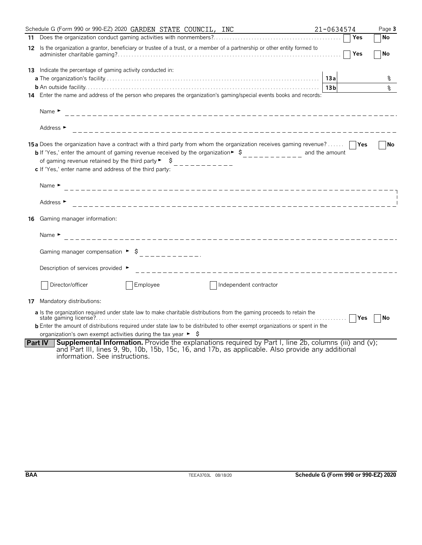|    | Schedule G (Form 990 or 990-EZ) 2020 GARDEN STATE COUNCIL, INC                                                                                                                                                                                                                                                                                                                         | 21-0634574      | Page 3    |
|----|----------------------------------------------------------------------------------------------------------------------------------------------------------------------------------------------------------------------------------------------------------------------------------------------------------------------------------------------------------------------------------------|-----------------|-----------|
| 11 |                                                                                                                                                                                                                                                                                                                                                                                        | Yes             | No        |
| 12 | Is the organization a grantor, beneficiary or trustee of a trust, or a member of a partnership or other entity formed to                                                                                                                                                                                                                                                               | Yes             | No        |
| 13 | Indicate the percentage of gaming activity conducted in:                                                                                                                                                                                                                                                                                                                               |                 |           |
|    |                                                                                                                                                                                                                                                                                                                                                                                        | 13a             | ଽ         |
|    |                                                                                                                                                                                                                                                                                                                                                                                        | 13 <sub>b</sub> | နွ        |
|    | 14 Enter the name and address of the person who prepares the organization's gaming/special events books and records:                                                                                                                                                                                                                                                                   |                 |           |
|    | Name $\blacktriangleright$                                                                                                                                                                                                                                                                                                                                                             |                 |           |
|    | Address ►                                                                                                                                                                                                                                                                                                                                                                              |                 |           |
|    | <b>15a</b> Does the organization have a contract with a third party from whom the organization receives gaming revenue?<br><b>b</b> If 'Yes,' enter the amount of gaming revenue received by the organization $\bullet$ $\circ$<br>of gaming revenue retained by the third party $\blacktriangleright$ $\blacktriangleright$<br>c If 'Yes,' enter name and address of the third party: | and the amount  | l No      |
|    | Name $\blacktriangleright$                                                                                                                                                                                                                                                                                                                                                             |                 |           |
|    | Address $\blacktriangleright$                                                                                                                                                                                                                                                                                                                                                          |                 |           |
| 16 | Gaming manager information:                                                                                                                                                                                                                                                                                                                                                            |                 |           |
|    | Name $\blacktriangleright$<br>_____________________________                                                                                                                                                                                                                                                                                                                            |                 |           |
|    |                                                                                                                                                                                                                                                                                                                                                                                        |                 |           |
|    | Description of services provided ►<br>____________________________                                                                                                                                                                                                                                                                                                                     |                 |           |
|    | Employee<br>Director/officer<br>Independent contractor                                                                                                                                                                                                                                                                                                                                 |                 |           |
|    | 17 Mandatory distributions:                                                                                                                                                                                                                                                                                                                                                            |                 |           |
|    | a Is the organization required under state law to make charitable distributions from the gaming proceeds to retain the<br><b>b</b> Enter the amount of distributions required under state law to be distributed to other exempt organizations or spent in the                                                                                                                          |                 | <b>No</b> |
|    | organization's own exempt activities during the tax year $\blacktriangleright$ $\blacklozenge$                                                                                                                                                                                                                                                                                         |                 |           |
|    | <b>Supplemental Information.</b> Provide the explanations required by Part I, line 2b, columns (iii) and (v);<br><b>Part IV</b><br>and Part III, lines 9, 9b, 10b, 15b, 15c, 16, and 17b, as applicable. Also provide any additional<br>information. See instructions.                                                                                                                 |                 |           |